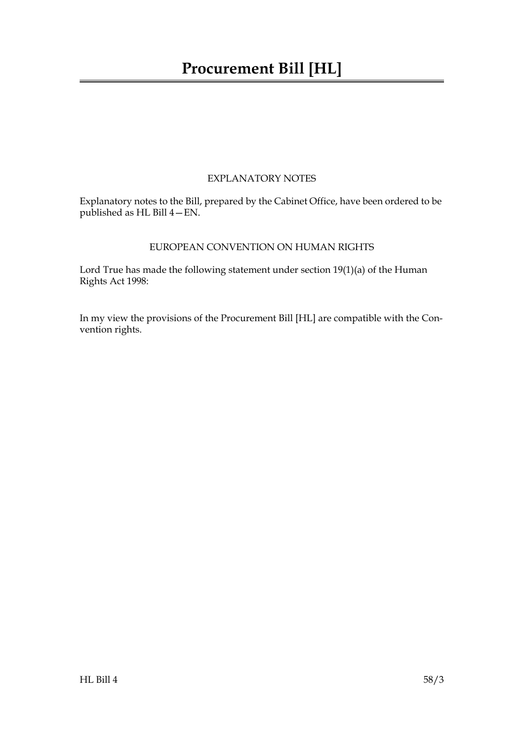## EXPLANATORY NOTES

Explanatory notes to the Bill, prepared by the Cabinet Office, have been ordered to be published as HL Bill 4—EN.

## EUROPEAN CONVENTION ON HUMAN RIGHTS

Lord True has made the following statement under section 19(1)(a) of the Human Rights Act 1998:

In my view the provisions of the Procurement Bill [HL] are compatible with the Convention rights.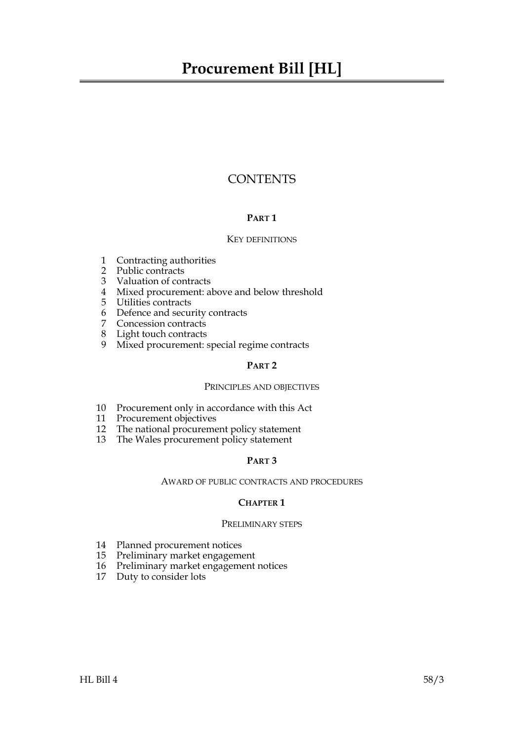## **CONTENTS**

## **PART 1**

## KEY DEFINITIONS

- [1 Contracting authorities](#page-8-0)
- [2 Public contracts](#page-9-0)
- [3 Valuation of contracts](#page-10-0)
- [4 Mixed procurement: above and below threshold](#page-10-1)
- [5 Utilities contracts](#page-10-2)
- [6 Defence and security contracts](#page-11-0)
- [7 Concession contracts](#page-13-0)
- [8 Light touch contracts](#page-13-1)
- [9 Mixed procurement: special regime contracts](#page-14-0)

## **PART 2**

## PRINCIPLES AND OBJECTIVES

- [10 Procurement only in accordance with this Act](#page-15-0)
- [11 Procurement objectives](#page-15-1)
- [12 The national procurement policy statement](#page-16-0)
- [13 The Wales procurement policy statement](#page-16-1)

## **PART 3**

## AWARD OF PUBLIC CONTRACTS AND PROCEDURES

## **CHAPTER 1**

## PRELIMINARY STEPS

- [14 Planned procurement notices](#page-17-0)
- [15 Preliminary market engagement](#page-18-0)
- [16 Preliminary market engagement notices](#page-18-1)
- 17 [Duty to consider lots](#page-18-2)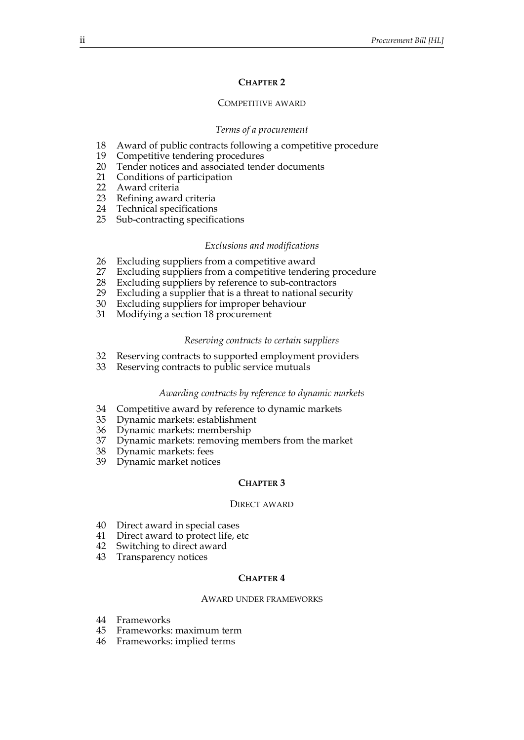## **CHAPTER 2**

#### COMPETITIVE AWARD

#### *Terms of a procurement*

- [18 Award of public contracts following a competitive procedure](#page-19-0)
- [19 Competitive tendering procedures](#page-20-0)
- [20 Tender notices and associated tender documents](#page-21-0)
- [21 Conditions of participation](#page-21-1)
- [22 Award criteria](#page-22-0)
- [23 Refining award criteria](#page-23-0)
- [24 Technical specifications](#page-23-1)
- [25 Sub-contracting specifications](#page-24-0)

#### *Exclusions and modifications*

- [26 Excluding suppliers from a competitive award](#page-24-1)
- [27 Excluding suppliers from a competitive tendering procedure](#page-24-2)
- [28 Excluding suppliers by reference to sub-contractors](#page-25-0)
- [29 Excluding a supplier that is a threat to national security](#page-25-1)
- [30 Excluding suppliers for improper behaviour](#page-26-0)
- 31 [Modifying a section](#page-26-1) [18](#page-19-0) procurement

#### *Reserving contracts to certain suppliers*

- [32 Reserving contracts to supported employment providers](#page-28-0)
- [33 Reserving contracts to public service mutuals](#page-28-1)

#### *Awarding contracts by reference to dynamic markets*

- [34 Competitive award by reference to dynamic markets](#page-29-0)
- [35 Dynamic markets: establishment](#page-29-1)
- [36 Dynamic markets: membership](#page-30-0)
- [37 Dynamic markets: removing members from the market](#page-31-0)
- [38 Dynamic markets: fees](#page-31-1)
- [39 Dynamic market notices](#page-31-2)

#### **CHAPTER 3**

#### DIRECT AWARD

- [40 Direct award in special cases](#page-32-0)
- [41 Direct award to protect life, etc](#page-33-0)
- [42 Switching to direct award](#page-33-1)
- [43 Transparency notices](#page-34-0)

#### **CHAPTER 4**

#### AWARD UNDER FRAMEWORKS

- [44 Frameworks](#page-34-1)
- [45 Frameworks: maximum term](#page-35-0)
- 46 [Frameworks: implied terms](#page-35-1)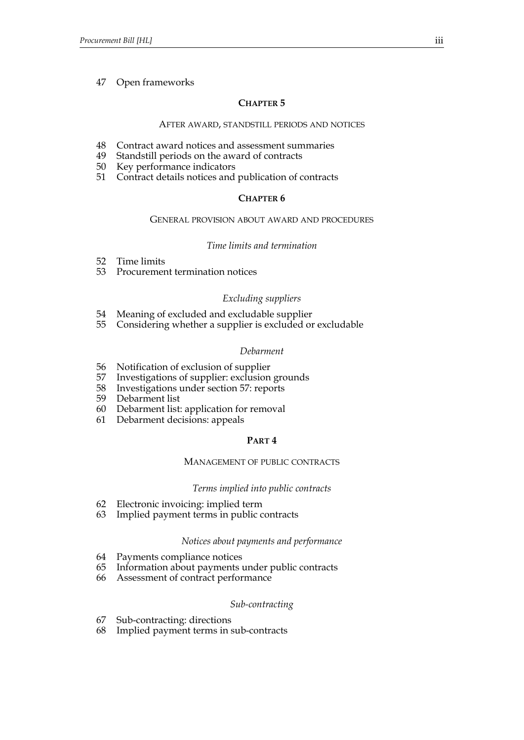## [47 Open frameworks](#page-36-0)

## **CHAPTER 5**

#### AFTER AWARD, STANDSTILL PERIODS AND NOTICES

- [48 Contract award notices and assessment summaries](#page-37-0)
- [49 Standstill periods on the award of contracts](#page-37-1)
- [50 Key performance indicators](#page-38-0)
- [51 Contract details notices and publication of contracts](#page-38-1)

## **CHAPTER 6**

#### GENERAL PROVISION ABOUT AWARD AND PROCEDURES

## *Time limits and termination*

- [52 Time limits](#page-39-0)
- [53 Procurement termination notices](#page-40-0)

## *Excluding suppliers*

- [54 Meaning of excluded and excludable supplier](#page-40-1)
- [55 Considering whether a supplier is excluded or excludable](#page-41-0)

## *Debarment*

- [56 Notification of exclusion of supplier](#page-42-0)
- [57 Investigations of supplier: exclusion grounds](#page-43-0)
- 58 [Investigations under section](#page-44-0) [57:](#page-43-0) reports
- [59 Debarment list](#page-44-1)
- [60 Debarment list: application for removal](#page-45-0)
- [61 Debarment decisions: appeals](#page-46-0)

## **PART 4**

#### MANAGEMENT OF PUBLIC CONTRACTS

## *Terms implied into public contracts*

- [62 Electronic invoicing: implied term](#page-46-1)
- [63 Implied payment terms in public contracts](#page-47-0)

#### *Notices about payments and performance*

- [64 Payments compliance notices](#page-48-0)
- [65 Information about payments under public contracts](#page-48-1)
- [66 Assessment of contract performance](#page-49-0)

#### *Sub-contracting*

- [67 Sub-contracting: directions](#page-50-0)
- 68 [Implied payment terms in sub-contracts](#page-50-1)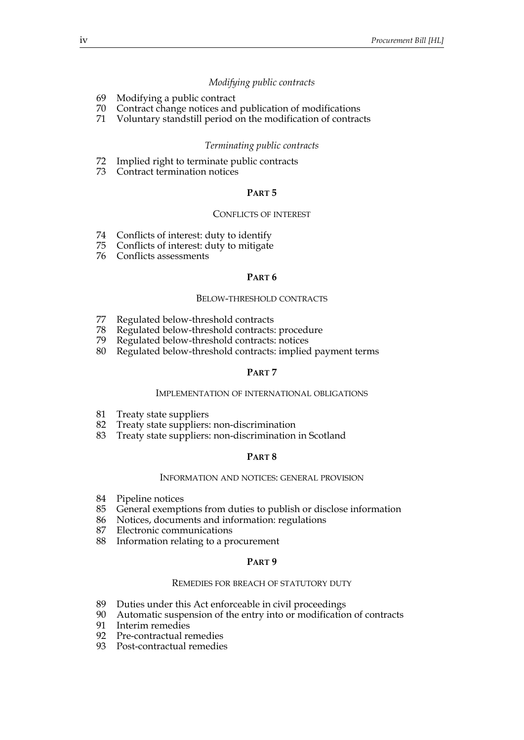#### *Modifying public contracts*

- [69 Modifying a public contract](#page-51-0)
- [70 Contract change notices and publication of modifications](#page-52-0)
- [71 Voluntary standstill period on the modification of contracts](#page-53-0)

#### *Terminating public contracts*

- [72 Implied right to terminate public contracts](#page-53-1)
- [73 Contract termination notices](#page-54-0)

#### **PART 5**

#### CONFLICTS OF INTEREST

- [74 Conflicts of interest: duty to identify](#page-54-1)
- [75 Conflicts of interest: duty to mitigate](#page-55-0)
- [76 Conflicts assessments](#page-55-1)

#### **PART 6**

#### BELOW-THRESHOLD CONTRACTS

- [77 Regulated below-threshold contracts](#page-57-0)
- [78 Regulated below-threshold contracts: procedure](#page-57-1)
- Regulated below-threshold contracts: notices
- [80 Regulated below-threshold contracts: implied payment terms](#page-58-1)

#### **PART 7**

#### IMPLEMENTATION OF INTERNATIONAL OBLIGATIONS

- [81 Treaty state suppliers](#page-59-0)
- [82 Treaty state suppliers: non-discrimination](#page-60-0)
- [83 Treaty state suppliers: non-discrimination in Scotland](#page-61-0)

#### **PART 8**

#### INFORMATION AND NOTICES: GENERAL PROVISION

- [84 Pipeline notices](#page-61-1)
- [85 General exemptions from duties to publish or disclose information](#page-61-2)
- [86 Notices, documents and information: regulations](#page-62-0)
- [87 Electronic communications](#page-62-1)
- [88 Information relating to a procurement](#page-63-0)

## **PART 9**

#### REMEDIES FOR BREACH OF STATUTORY DUTY

- [89 Duties under this Act enforceable in civil proceedings](#page-63-1)
- [90 Automatic suspension of the entry into or modification of contracts](#page-64-0)
- Interim remedies
- [92 Pre-contractual remedies](#page-65-0)
- 93 [Post-contractual remedies](#page-65-1)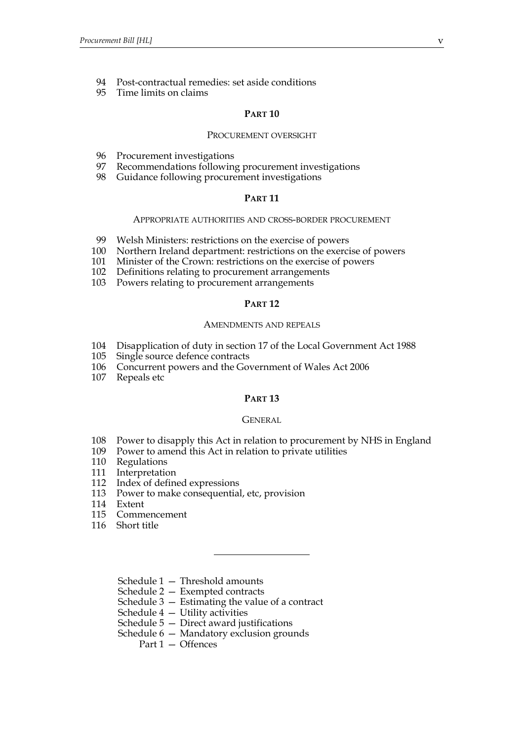- [94 Post-contractual remedies: set aside conditions](#page-66-0)
- [95 Time limits on claims](#page-67-0)

## **PART 10**

#### PROCUREMENT OVERSIGHT

- [96 Procurement investigations](#page-67-1)
- [97 Recommendations following procurement investigations](#page-68-0)
- [98 Guidance following procurement investigations](#page-69-0)

## **PART 11**

#### APPROPRIATE AUTHORITIES AND CROSS-BORDER PROCUREMENT

- [99 Welsh Ministers: restrictions on the exercise of powers](#page-69-1)
- [100 Northern Ireland department: restrictions on the exercise of powers](#page-70-0)
- [101 Minister of the Crown: restrictions on the exercise of powers](#page-70-1)
- [102 Definitions relating to procurement arrangements](#page-71-0)
- [103 Powers relating to procurement arrangements](#page-72-0)

#### **PART 12**

#### AMENDMENTS AND REPEALS

- [104 Disapplication of duty in section 17 of the Local Government Act 1988](#page-73-0)
- [105 Single source defence contracts](#page-73-1)
- [106 Concurrent powers and the Government of Wales Act 2006](#page-73-2)
- [107 Repeals etc](#page-74-0)

#### **PART 13**

#### GENERAL

- [108 Power to disapply this Act in relation to procurement by NHS in England](#page-74-1)
- [109 Power to amend this Act in relation to private utilities](#page-74-2)
- [110 Regulations](#page-75-0)
- [111 Interpretation](#page-77-0)
- [112 Index of defined expressions](#page-77-1)
- [113 Power to make consequential, etc, provision](#page-80-0)
- [114 Extent](#page-80-1)
- [115 Commencement](#page-80-2)
- [116 Short title](#page-80-3)
	- [Schedule 1 Threshold amounts](#page-81-0)
	- [Schedule 2 Exempted contracts](#page-83-0)
	- [Schedule 3 Estimating the value of a contract](#page-89-0)
	- [Schedule 4 Utility activities](#page-91-0)
	- [Schedule 5 Direct award justifications](#page-94-0)
	- [Schedule 6 Mandatory exclusion grounds](#page-98-0)
		- Part 1 Offences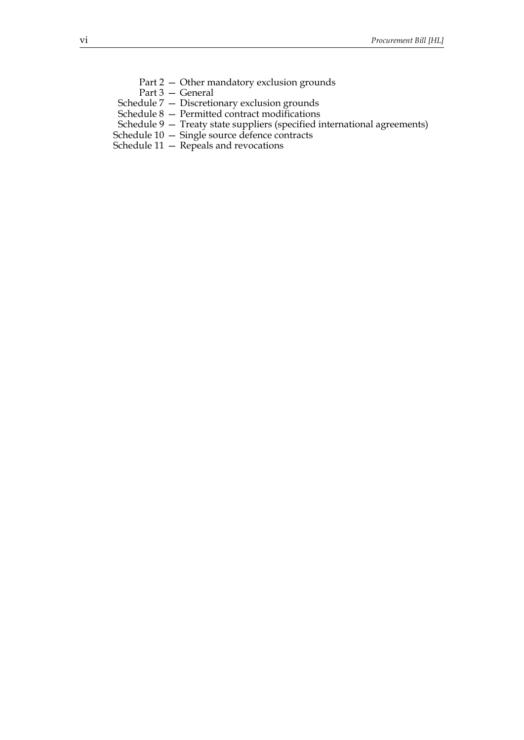- Part 2 Other mandatory exclusion grounds
- Part 3 General
- [Schedule 7 Discretionary exclusion grounds](#page-105-0)
- [Schedule 8 Permitted contract modifications](#page-109-0)
- [Schedule 9 Treaty state suppliers \(specified international agreements\)](#page-112-0)
- [Schedule 10 Single source defence contracts](#page-114-0)
- Schedule  $11 -$  Repeals and revocations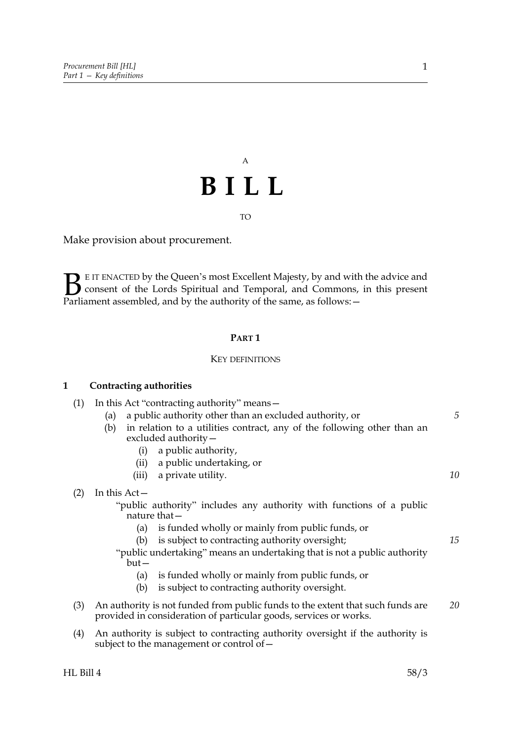# A **BILL**

## TO

Make provision about procurement.

E IT ENACTED by the Queen's most Excellent Majesty, by and with the advice and consent of the Lords Spiritual and Temporal, and Commons, in this present Parliament assembled, and by the authority of the same, as follows: - $\mathbf{B}_{\text{rel}}$ 

## **PART 1**

#### KEY DEFINITIONS

## <span id="page-8-0"></span>**1 Contracting authorities**

| (1) | In this Act "contracting authority" means-<br>a public authority other than an excluded authority, or<br>(a) |                                                                                                                                                     |    |
|-----|--------------------------------------------------------------------------------------------------------------|-----------------------------------------------------------------------------------------------------------------------------------------------------|----|
|     |                                                                                                              |                                                                                                                                                     | 5  |
|     | (b)                                                                                                          | in relation to a utilities contract, any of the following other than an<br>excluded authority-                                                      |    |
|     | (i)                                                                                                          | a public authority,                                                                                                                                 |    |
|     | (ii)                                                                                                         | a public undertaking, or                                                                                                                            |    |
|     |                                                                                                              | (iii) a private utility.                                                                                                                            | 10 |
| (2) | In this $Act-$                                                                                               |                                                                                                                                                     |    |
|     |                                                                                                              | "public authority" includes any authority with functions of a public                                                                                |    |
|     |                                                                                                              | nature that $-$                                                                                                                                     |    |
|     | (a)                                                                                                          | is funded wholly or mainly from public funds, or                                                                                                    |    |
|     | (b)                                                                                                          | is subject to contracting authority oversight;                                                                                                      | 15 |
|     | but-                                                                                                         | "public undertaking" means an undertaking that is not a public authority                                                                            |    |
|     | (a)                                                                                                          | is funded wholly or mainly from public funds, or                                                                                                    |    |
|     | (b)                                                                                                          | is subject to contracting authority oversight.                                                                                                      |    |
| (3) |                                                                                                              | An authority is not funded from public funds to the extent that such funds are<br>provided in consideration of particular goods, services or works. | 20 |
| (4) |                                                                                                              | An authority is subject to contracting authority oversight if the authority is<br>subject to the management or control of $-$                       |    |
|     |                                                                                                              |                                                                                                                                                     |    |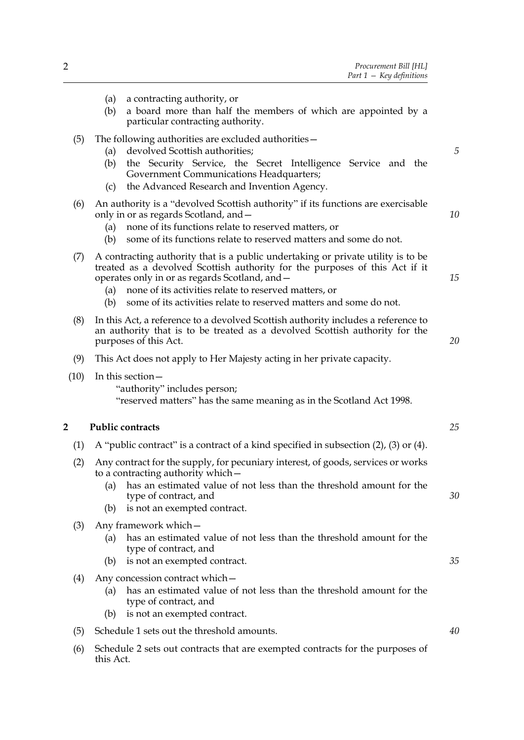<span id="page-9-3"></span><span id="page-9-2"></span><span id="page-9-1"></span><span id="page-9-0"></span>

|            | a contracting authority, or<br>(a)<br>a board more than half the members of which are appointed by a<br>(b)<br>particular contracting authority.                                                                                                                                                                                                                   |    |
|------------|--------------------------------------------------------------------------------------------------------------------------------------------------------------------------------------------------------------------------------------------------------------------------------------------------------------------------------------------------------------------|----|
| (5)        | The following authorities are excluded authorities -<br>devolved Scottish authorities;<br>(a)<br>the Security Service, the Secret Intelligence Service and the<br>(b)<br>Government Communications Headquarters;<br>the Advanced Research and Invention Agency.<br>(c)                                                                                             | 5  |
| (6)        | An authority is a "devolved Scottish authority" if its functions are exercisable<br>only in or as regards Scotland, and –<br>none of its functions relate to reserved matters, or<br>(a)<br>some of its functions relate to reserved matters and some do not.<br>(b)                                                                                               | 10 |
| (7)        | A contracting authority that is a public undertaking or private utility is to be<br>treated as a devolved Scottish authority for the purposes of this Act if it<br>operates only in or as regards Scotland, and –<br>none of its activities relate to reserved matters, or<br>(a)<br>some of its activities relate to reserved matters and some do not.<br>(b)     | 15 |
| (8)        | In this Act, a reference to a devolved Scottish authority includes a reference to<br>an authority that is to be treated as a devolved Scottish authority for the<br>purposes of this Act.                                                                                                                                                                          | 20 |
| (9)        | This Act does not apply to Her Majesty acting in her private capacity.                                                                                                                                                                                                                                                                                             |    |
| (10)<br>2  | In this section -<br>"authority" includes person;<br>"reserved matters" has the same meaning as in the Scotland Act 1998.<br><b>Public contracts</b>                                                                                                                                                                                                               | 25 |
|            |                                                                                                                                                                                                                                                                                                                                                                    |    |
| (1)<br>(2) | A "public contract" is a contract of a kind specified in subsection $(2)$ , $(3)$ or $(4)$ .<br>Any contract for the supply, for pecuniary interest, of goods, services or works<br>to a contracting authority which –<br>(a) has an estimated value of not less than the threshold amount for the<br>type of contract, and<br>is not an exempted contract.<br>(b) | 30 |
| (3)        | Any framework which –<br>has an estimated value of not less than the threshold amount for the<br>(a)<br>type of contract, and<br>is not an exempted contract.<br>(b)                                                                                                                                                                                               | 35 |
| (4)        | Any concession contract which –<br>has an estimated value of not less than the threshold amount for the<br>(a)<br>type of contract, and<br>is not an exempted contract.<br>(b)                                                                                                                                                                                     |    |
| (5)        | Schedule 1 sets out the threshold amounts.                                                                                                                                                                                                                                                                                                                         | 40 |
| (6)        | Schedule 2 sets out contracts that are exempted contracts for the purposes of<br>this Act.                                                                                                                                                                                                                                                                         |    |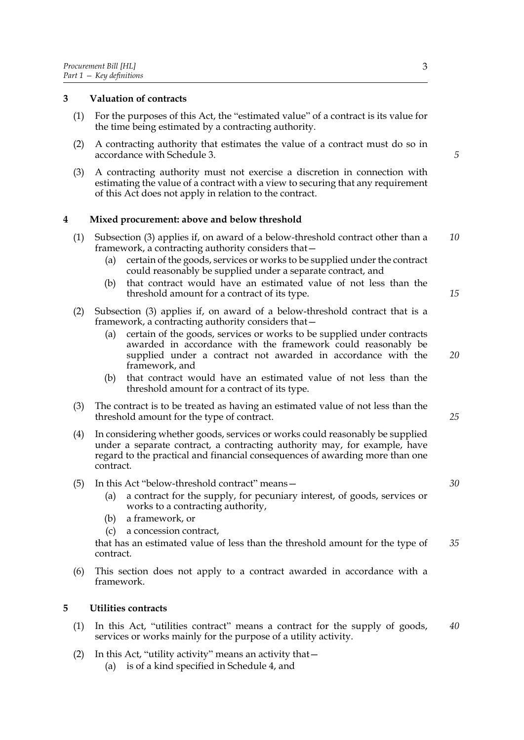## <span id="page-10-0"></span>**3 Valuation of contracts**

- (1) For the purposes of this Act, the "estimated value" of a contract is its value for the time being estimated by a contracting authority.
- (2) A contracting authority that estimates the value of a contract must do so in accordance with Schedule [3](#page-89-0).
- (3) A contracting authority must not exercise a discretion in connection with estimating the value of a contract with a view to securing that any requirement of this Act does not apply in relation to the contract.

## <span id="page-10-1"></span>**4 Mixed procurement: above and below threshold**

- (1) Subsection [\(3\)](#page-10-3) applies if, on award of a below-threshold contract other than a framework, a contracting authority considers that— *10*
	- (a) certain of the goods, services or works to be supplied under the contract could reasonably be supplied under a separate contract, and
	- (b) that contract would have an estimated value of not less than the threshold amount for a contract of its type.
- (2) Subsection [\(3\)](#page-10-3) applies if, on award of a below-threshold contract that is a framework, a contracting authority considers that—
	- (a) certain of the goods, services or works to be supplied under contracts awarded in accordance with the framework could reasonably be supplied under a contract not awarded in accordance with the framework, and *20*
	- (b) that contract would have an estimated value of not less than the threshold amount for a contract of its type.
- <span id="page-10-3"></span>(3) The contract is to be treated as having an estimated value of not less than the threshold amount for the type of contract.
- (4) In considering whether goods, services or works could reasonably be supplied under a separate contract, a contracting authority may, for example, have regard to the practical and financial consequences of awarding more than one contract.

## (5) In this Act "below-threshold contract" means—

- (a) a contract for the supply, for pecuniary interest, of goods, services or works to a contracting authority,
- (b) a framework, or
- (c) a concession contract,

that has an estimated value of less than the threshold amount for the type of contract. *35*

(6) This section does not apply to a contract awarded in accordance with a framework.

#### <span id="page-10-2"></span>**5 Utilities contracts**

- (1) In this Act, "utilities contract" means a contract for the supply of goods, services or works mainly for the purpose of a utility activity. *40*
- (2) In this Act, "utility activity" means an activity that—
	- (a) is of a kind specified in Schedule [4](#page-91-0), and

*5*

*15*

*25*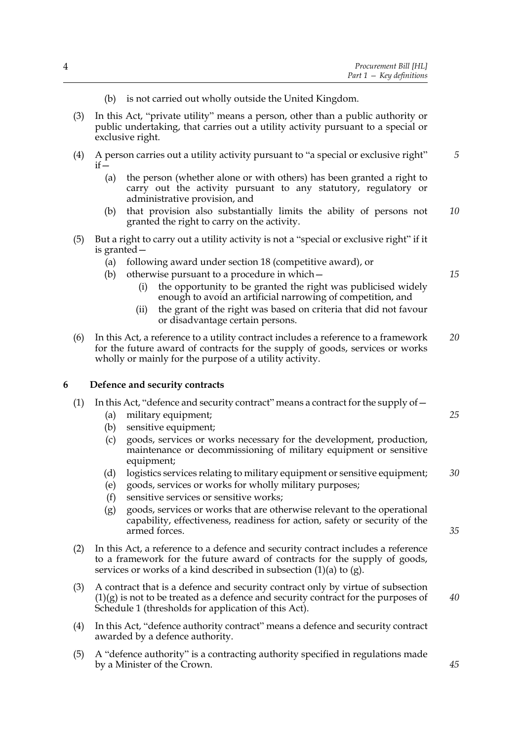- (b) is not carried out wholly outside the United Kingdom.
- (3) In this Act, "private utility" means a person, other than a public authority or public undertaking, that carries out a utility activity pursuant to a special or exclusive right.
- (4) A person carries out a utility activity pursuant to "a special or exclusive right"  $if -$ *5*
	- (a) the person (whether alone or with others) has been granted a right to carry out the activity pursuant to any statutory, regulatory or administrative provision, and
	- (b) that provision also substantially limits the ability of persons not granted the right to carry on the activity. *10*
- (5) But a right to carry out a utility activity is not a "special or exclusive right" if it is granted—
	- (a) following award under section [18](#page-19-1) (competitive award), or
	- (b) otherwise pursuant to a procedure in which—
		- (i) the opportunity to be granted the right was publicised widely enough to avoid an artificial narrowing of competition, and
		- (ii) the grant of the right was based on criteria that did not favour or disadvantage certain persons.
- (6) In this Act, a reference to a utility contract includes a reference to a framework for the future award of contracts for the supply of goods, services or works wholly or mainly for the purpose of a utility activity. *20*

## <span id="page-11-0"></span>**6 Defence and security contracts**

## <span id="page-11-1"></span>(1) In this Act, "defence and security contract" means a contract for the supply of—

- (a) military equipment;
- (b) sensitive equipment;
- (c) goods, services or works necessary for the development, production, maintenance or decommissioning of military equipment or sensitive equipment;
- (d) logistics services relating to military equipment or sensitive equipment; *30*
- (e) goods, services or works for wholly military purposes;
- (f) sensitive services or sensitive works;
- <span id="page-11-2"></span>(g) goods, services or works that are otherwise relevant to the operational capability, effectiveness, readiness for action, safety or security of the armed forces.
- (2) In this Act, a reference to a defence and security contract includes a reference to a framework for the future award of contracts for the supply of goods, services or works of a kind described in subsection [\(1\)\(a\)](#page-11-1) to [\(g\)](#page-11-2).
- (3) A contract that is a defence and security contract only by virtue of subsection  $(1)(g)$  is not to be treated as a defence and security contract for the purposes of Schedule [1](#page-81-0) (thresholds for application of this Act).
- (4) In this Act, "defence authority contract" means a defence and security contract awarded by a defence authority.
- <span id="page-11-3"></span>(5) A "defence authority" is a contracting authority specified in regulations made by a Minister of the Crown.

*15*

*25*

*35*

*40*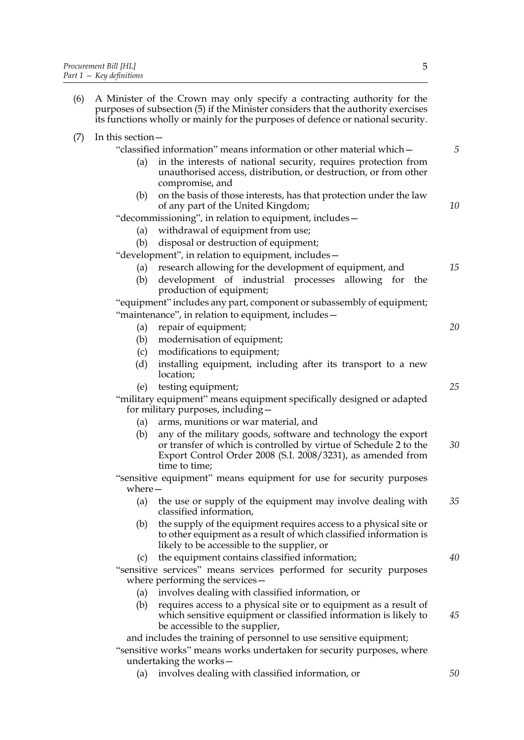$(7)$ 

| (6) |                                                                                                             | A Minister of the Crown may only specify a contracting authority for the<br>purposes of subsection (5) if the Minister considers that the authority exercises<br>its functions wholly or mainly for the purposes of defence or national security. |    |
|-----|-------------------------------------------------------------------------------------------------------------|---------------------------------------------------------------------------------------------------------------------------------------------------------------------------------------------------------------------------------------------------|----|
| (7) | In this section -                                                                                           |                                                                                                                                                                                                                                                   |    |
|     |                                                                                                             | "classified information" means information or other material which –                                                                                                                                                                              | 5  |
|     | (a)                                                                                                         | in the interests of national security, requires protection from<br>unauthorised access, distribution, or destruction, or from other<br>compromise, and                                                                                            |    |
|     | (b)                                                                                                         | on the basis of those interests, has that protection under the law<br>of any part of the United Kingdom;                                                                                                                                          | 10 |
|     |                                                                                                             | "decommissioning", in relation to equipment, includes -                                                                                                                                                                                           |    |
|     | (a)                                                                                                         | withdrawal of equipment from use;                                                                                                                                                                                                                 |    |
|     | (b)                                                                                                         | disposal or destruction of equipment;                                                                                                                                                                                                             |    |
|     |                                                                                                             | "development", in relation to equipment, includes -                                                                                                                                                                                               |    |
|     | (a)                                                                                                         | research allowing for the development of equipment, and                                                                                                                                                                                           | 15 |
|     | (b)                                                                                                         | development of industrial processes allowing for the                                                                                                                                                                                              |    |
|     |                                                                                                             | production of equipment;                                                                                                                                                                                                                          |    |
|     | "equipment" includes any part, component or subassembly of equipment;                                       |                                                                                                                                                                                                                                                   |    |
|     | (a)                                                                                                         | "maintenance", in relation to equipment, includes-<br>repair of equipment;                                                                                                                                                                        | 20 |
|     |                                                                                                             | (b) modernisation of equipment;                                                                                                                                                                                                                   |    |
|     | (c)                                                                                                         | modifications to equipment;                                                                                                                                                                                                                       |    |
|     | (d)                                                                                                         | installing equipment, including after its transport to a new                                                                                                                                                                                      |    |
|     |                                                                                                             | location;                                                                                                                                                                                                                                         |    |
|     | (e)                                                                                                         | testing equipment;                                                                                                                                                                                                                                | 25 |
|     | "military equipment" means equipment specifically designed or adapted<br>for military purposes, including - |                                                                                                                                                                                                                                                   |    |
|     |                                                                                                             | (a) arms, munitions or war material, and                                                                                                                                                                                                          |    |
|     | (b)                                                                                                         | any of the military goods, software and technology the export<br>or transfer of which is controlled by virtue of Schedule 2 to the<br>Export Control Order 2008 (S.I. 2008/3231), as amended from<br>time to time;                                | 30 |
|     | where $-$                                                                                                   | "sensitive equipment" means equipment for use for security purposes                                                                                                                                                                               |    |
|     | (a)                                                                                                         | the use or supply of the equipment may involve dealing with<br>classified information,                                                                                                                                                            | 35 |
|     | (b)                                                                                                         | the supply of the equipment requires access to a physical site or<br>to other equipment as a result of which classified information is<br>likely to be accessible to the supplier, or                                                             |    |
|     | (c)                                                                                                         | the equipment contains classified information;                                                                                                                                                                                                    | 40 |
|     | "sensitive services" means services performed for security purposes<br>where performing the services-       |                                                                                                                                                                                                                                                   |    |
|     | (a)                                                                                                         | involves dealing with classified information, or                                                                                                                                                                                                  |    |
|     | (b)                                                                                                         | requires access to a physical site or to equipment as a result of<br>which sensitive equipment or classified information is likely to<br>be accessible to the supplier,                                                                           | 45 |
|     |                                                                                                             | and includes the training of personnel to use sensitive equipment;                                                                                                                                                                                |    |
|     | "sensitive works" means works undertaken for security purposes, where                                       |                                                                                                                                                                                                                                                   |    |
|     |                                                                                                             | undertaking the works-                                                                                                                                                                                                                            |    |
|     | (a)                                                                                                         | involves dealing with classified information, or                                                                                                                                                                                                  | 50 |

(a) involves dealing with classified information, or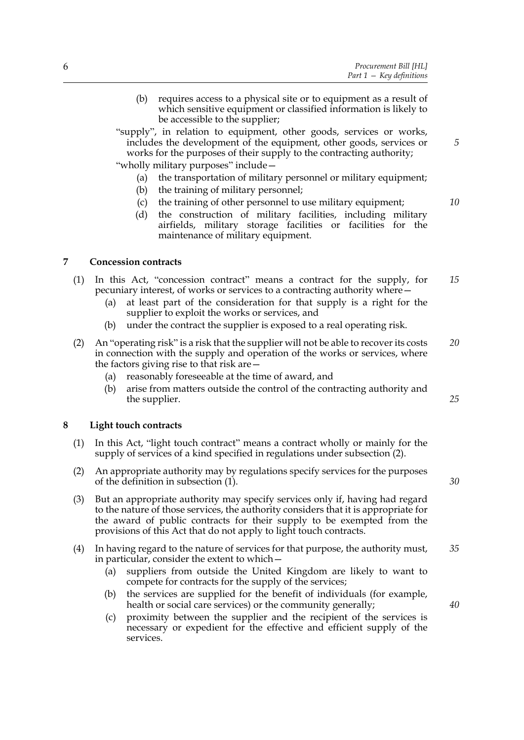- (b) requires access to a physical site or to equipment as a result of which sensitive equipment or classified information is likely to be accessible to the supplier;
- "supply", in relation to equipment, other goods, services or works, includes the development of the equipment, other goods, services or works for the purposes of their supply to the contracting authority;

"wholly military purposes" include—

- (a) the transportation of military personnel or military equipment;
- (b) the training of military personnel;
- (c) the training of other personnel to use military equipment;
- (d) the construction of military facilities, including military airfields, military storage facilities or facilities for the maintenance of military equipment.

## <span id="page-13-0"></span>**7 Concession contracts**

- (1) In this Act, "concession contract" means a contract for the supply, for pecuniary interest, of works or services to a contracting authority where— *15*
	- (a) at least part of the consideration for that supply is a right for the supplier to exploit the works or services, and
	- (b) under the contract the supplier is exposed to a real operating risk.
- (2) An "operating risk" is a risk that the supplier will not be able to recover its costs in connection with the supply and operation of the works or services, where the factors giving rise to that risk are— *20*
	- (a) reasonably foreseeable at the time of award, and
	- (b) arise from matters outside the control of the contracting authority and the supplier.

## <span id="page-13-3"></span><span id="page-13-1"></span>**8 Light touch contracts**

- <span id="page-13-2"></span>(1) In this Act, "light touch contract" means a contract wholly or mainly for the supply of services of a kind specified in regulations under subsection (2).
- (2) An appropriate authority may by regulations specify services for the purposes of the definition in subsection [\(1\).](#page-13-2)
- (3) But an appropriate authority may specify services only if, having had regard to the nature of those services, the authority considers that it is appropriate for the award of public contracts for their supply to be exempted from the provisions of this Act that do not apply to light touch contracts.
- (4) In having regard to the nature of services for that purpose, the authority must, in particular, consider the extent to which— *35*
	- (a) suppliers from outside the United Kingdom are likely to want to compete for contracts for the supply of the services;
	- (b) the services are supplied for the benefit of individuals (for example, health or social care services) or the community generally;
	- (c) proximity between the supplier and the recipient of the services is necessary or expedient for the effective and efficient supply of the services.

*10*

*5*

*25*

*30*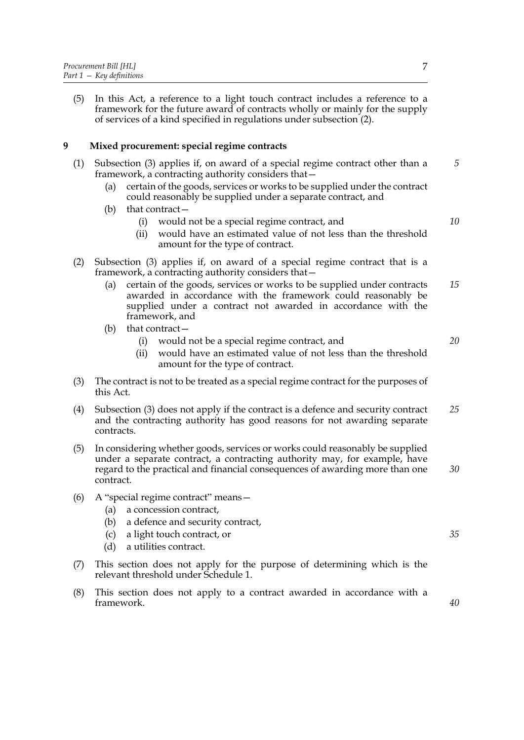(5) In this Act, a reference to a light touch contract includes a reference to a framework for the future award of contracts wholly or mainly for the supply of services of a kind specified in regulations under subsection (2).

## <span id="page-14-0"></span>**9 Mixed procurement: special regime contracts**

- (1) Subsection [\(3\)](#page-14-1) applies if, on award of a special regime contract other than a framework, a contracting authority considers that
	- certain of the goods, services or works to be supplied under the contract could reasonably be supplied under a separate contract, and
	- (b) that contract—
		- (i) would not be a special regime contract, and
		- (ii) would have an estimated value of not less than the threshold amount for the type of contract.
- (2) Subsection [\(3\)](#page-14-1) applies if, on award of a special regime contract that is a framework, a contracting authority considers that—
	- (a) certain of the goods, services or works to be supplied under contracts awarded in accordance with the framework could reasonably be supplied under a contract not awarded in accordance with the framework, and *15*
	- (b) that contract—
		- (i) would not be a special regime contract, and
		- (ii) would have an estimated value of not less than the threshold amount for the type of contract.
- <span id="page-14-1"></span>(3) The contract is not to be treated as a special regime contract for the purposes of this Act.
- (4) Subsection [\(3\)](#page-14-1) does not apply if the contract is a defence and security contract and the contracting authority has good reasons for not awarding separate contracts. *25*
- (5) In considering whether goods, services or works could reasonably be supplied under a separate contract, a contracting authority may, for example, have regard to the practical and financial consequences of awarding more than one contract. *30*
- (6) A "special regime contract" means—
	- (a) a concession contract,
	- (b) a defence and security contract,
	- (c) a light touch contract, or
	- (d) a utilities contract.
- (7) This section does not apply for the purpose of determining which is the relevant threshold under Schedule [1](#page-81-0).
- (8) This section does not apply to a contract awarded in accordance with a framework.

*5*

*10*

*20*

*35*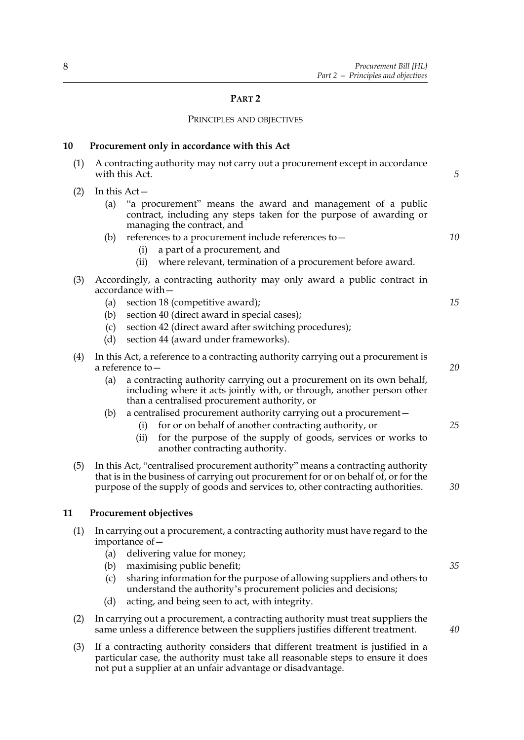## **PART 2**

#### PRINCIPLES AND OBJECTIVES

## <span id="page-15-0"></span>**10 Procurement only in accordance with this Act**

| (1)<br>A contracting authority may not carry out a procurement except in accordance<br>with this Act.                                                                                                                                                                                                                                                                                                                                                                                                                                                              |                                                       |
|--------------------------------------------------------------------------------------------------------------------------------------------------------------------------------------------------------------------------------------------------------------------------------------------------------------------------------------------------------------------------------------------------------------------------------------------------------------------------------------------------------------------------------------------------------------------|-------------------------------------------------------|
| In this $Act-$<br>"a procurement" means the award and management of a public<br>(a)<br>contract, including any steps taken for the purpose of awarding or<br>managing the contract, and<br>references to a procurement include references to -<br>(b)<br>a part of a procurement, and<br>(i)<br>where relevant, termination of a procurement before award.<br>(ii)                                                                                                                                                                                                 | 10                                                    |
| Accordingly, a contracting authority may only award a public contract in<br>accordance with —<br>section 18 (competitive award);<br>(a)<br>section 40 (direct award in special cases);<br>(b)<br>section 42 (direct award after switching procedures);<br>(c)<br>(d)<br>section 44 (award under frameworks).                                                                                                                                                                                                                                                       | 15                                                    |
| In this Act, a reference to a contracting authority carrying out a procurement is<br>a reference to—<br>a contracting authority carrying out a procurement on its own behalf,<br>(a)<br>including where it acts jointly with, or through, another person other<br>than a centralised procurement authority, or<br>a centralised procurement authority carrying out a procurement-<br>(b)<br>for or on behalf of another contracting authority, or<br>(i)<br>for the purpose of the supply of goods, services or works to<br>(ii)<br>another contracting authority. | 20<br>25                                              |
| In this Act, "centralised procurement authority" means a contracting authority<br>that is in the business of carrying out procurement for or on behalf of, or for the<br>purpose of the supply of goods and services to, other contracting authorities.                                                                                                                                                                                                                                                                                                            | 30                                                    |
| <b>Procurement objectives</b>                                                                                                                                                                                                                                                                                                                                                                                                                                                                                                                                      |                                                       |
| In carrying out a procurement, a contracting authority must have regard to the<br>importance of –<br>delivering value for money;<br>(a)<br>maximising public benefit;<br>(b)<br>(c)<br>sharing information for the purpose of allowing suppliers and others to<br>understand the authority's procurement policies and decisions;                                                                                                                                                                                                                                   | 35                                                    |
|                                                                                                                                                                                                                                                                                                                                                                                                                                                                                                                                                                    | (d)<br>acting, and being seen to act, with integrity. |

- <span id="page-15-1"></span>(2) In carrying out a procurement, a contracting authority must treat suppliers the same unless a difference between the suppliers justifies different treatment.
- (3) If a contracting authority considers that different treatment is justified in a particular case, the authority must take all reasonable steps to ensure it does not put a supplier at an unfair advantage or disadvantage.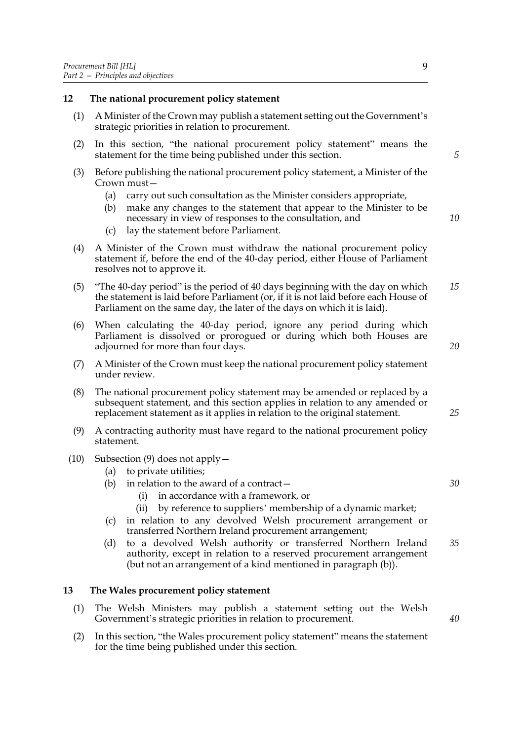#### <span id="page-16-0"></span>**12 The national procurement policy statement**

- (1) A Minister of the Crown may publish a statement setting out the Government's strategic priorities in relation to procurement.
- (2) In this section, "the national procurement policy statement" means the statement for the time being published under this section.
- (3) Before publishing the national procurement policy statement, a Minister of the Crown must—
	- (a) carry out such consultation as the Minister considers appropriate,
	- (b) make any changes to the statement that appear to the Minister to be necessary in view of responses to the consultation, and
	- (c) lay the statement before Parliament.
- (4) A Minister of the Crown must withdraw the national procurement policy statement if, before the end of the 40-day period, either House of Parliament resolves not to approve it.
- (5) "The 40-day period" is the period of 40 days beginning with the day on which the statement is laid before Parliament (or, if it is not laid before each House of Parliament on the same day, the later of the days on which it is laid). *15*
- (6) When calculating the 40-day period, ignore any period during which Parliament is dissolved or prorogued or during which both Houses are adjourned for more than four days.
- (7) A Minister of the Crown must keep the national procurement policy statement under review.
- (8) The national procurement policy statement may be amended or replaced by a subsequent statement, and this section applies in relation to any amended or replacement statement as it applies in relation to the original statement.
- <span id="page-16-2"></span>(9) A contracting authority must have regard to the national procurement policy statement.
- <span id="page-16-3"></span>(10) Subsection [\(9\)](#page-16-2) does not apply—
	- (a) to private utilities;
	- (b) in relation to the award of a contract $-$ 
		- (i) in accordance with a framework, or
		- (ii) by reference to suppliers' membership of a dynamic market;
	- (c) in relation to any devolved Welsh procurement arrangement or transferred Northern Ireland procurement arrangement;
	- (d) to a devolved Welsh authority or transferred Northern Ireland authority, except in relation to a reserved procurement arrangement (but not an arrangement of a kind mentioned in paragraph [\(b\)\)](#page-16-3). *35*

## <span id="page-16-1"></span>**13 The Wales procurement policy statement**

- (1) The Welsh Ministers may publish a statement setting out the Welsh Government's strategic priorities in relation to procurement.
- (2) In this section, "the Wales procurement policy statement" means the statement for the time being published under this section.

*5*

*10*

*25*

*20*

*30*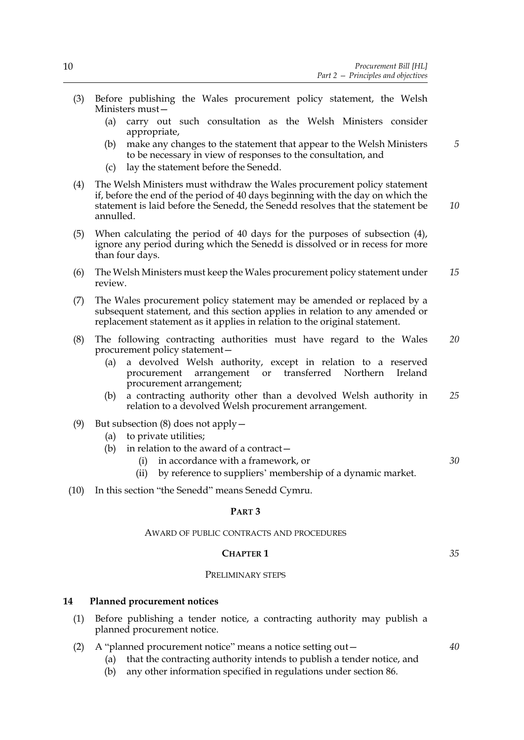- (3) Before publishing the Wales procurement policy statement, the Welsh Ministers must—
	- (a) carry out such consultation as the Welsh Ministers consider appropriate,
	- (b) make any changes to the statement that appear to the Welsh Ministers to be necessary in view of responses to the consultation, and
	- (c) lay the statement before the Senedd.
- <span id="page-17-1"></span>(4) The Welsh Ministers must withdraw the Wales procurement policy statement if, before the end of the period of 40 days beginning with the day on which the statement is laid before the Senedd, the Senedd resolves that the statement be annulled. *10*
- (5) When calculating the period of 40 days for the purposes of subsection [\(4\)](#page-17-1), ignore any period during which the Senedd is dissolved or in recess for more than four days.
- (6) The Welsh Ministers must keep the Wales procurement policy statement under review. *15*
- (7) The Wales procurement policy statement may be amended or replaced by a subsequent statement, and this section applies in relation to any amended or replacement statement as it applies in relation to the original statement.
- <span id="page-17-2"></span>(8) The following contracting authorities must have regard to the Wales procurement policy statement— *20*
	- (a) a devolved Welsh authority, except in relation to a reserved procurement arrangement or transferred Northern Ireland procurement arrangement;
	- (b) a contracting authority other than a devolved Welsh authority in relation to a devolved Welsh procurement arrangement. *25*
- (9) But subsection [\(8\)](#page-17-2) does not apply—
	- (a) to private utilities;
	- (b) in relation to the award of a contract $$ 
		- in accordance with a framework, or
		- (ii) by reference to suppliers' membership of a dynamic market.
- (10) In this section "the Senedd" means Senedd Cymru.

## **PART 3**

#### AWARD OF PUBLIC CONTRACTS AND PROCEDURES

#### **CHAPTER 1**

*35*

*40*

*30*

*5*

#### PRELIMINARY STEPS

## <span id="page-17-0"></span>**14 Planned procurement notices**

- (1) Before publishing a tender notice, a contracting authority may publish a planned procurement notice.
- (2) A "planned procurement notice" means a notice setting out—
	- (a) that the contracting authority intends to publish a tender notice, and
	- (b) any other information specified in regulations under section [86.](#page-62-2)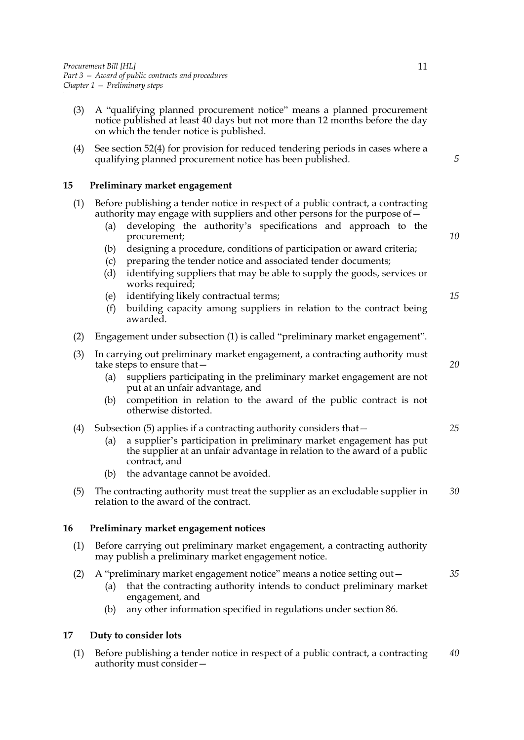- (3) A "qualifying planned procurement notice" means a planned procurement notice published at least 40 days but not more than 12 months before the day on which the tender notice is published.
- (4) See section [52](#page-39-1)[\(4\)](#page-39-2) for provision for reduced tendering periods in cases where a qualifying planned procurement notice has been published.

## <span id="page-18-0"></span>**15 Preliminary market engagement**

| (1) Before publishing a tender notice in respect of a public contract, a contracting |
|--------------------------------------------------------------------------------------|
| authority may engage with suppliers and other persons for the purpose of -           |

- (a) developing the authority's specifications and approach to the procurement;
- (b) designing a procedure, conditions of participation or award criteria;
- (c) preparing the tender notice and associated tender documents;
- (d) identifying suppliers that may be able to supply the goods, services or works required;
- (e) identifying likely contractual terms;
- (f) building capacity among suppliers in relation to the contract being awarded.
- (2) Engagement under subsection (1) is called "preliminary market engagement".
- (3) In carrying out preliminary market engagement, a contracting authority must take steps to ensure that—
	- (a) suppliers participating in the preliminary market engagement are not put at an unfair advantage, and
	- (b) competition in relation to the award of the public contract is not otherwise distorted.
- (4) Subsection [\(5\)](#page-18-3) applies if a contracting authority considers that—
	- (a) a supplier's participation in preliminary market engagement has put the supplier at an unfair advantage in relation to the award of a public contract, and
	- (b) the advantage cannot be avoided.
- <span id="page-18-3"></span>(5) The contracting authority must treat the supplier as an excludable supplier in relation to the award of the contract. *30*

## <span id="page-18-1"></span>**16 Preliminary market engagement notices**

- (1) Before carrying out preliminary market engagement, a contracting authority may publish a preliminary market engagement notice.
- (2) A "preliminary market engagement notice" means a notice setting out— *35*
	- (a) that the contracting authority intends to conduct preliminary market engagement, and
	- (b) any other information specified in regulations under section [86.](#page-62-2)

## <span id="page-18-2"></span>**17 Duty to consider lots**

(1) Before publishing a tender notice in respect of a public contract, a contracting authority must consider— *40*

*5*

*10*

*15*

*20*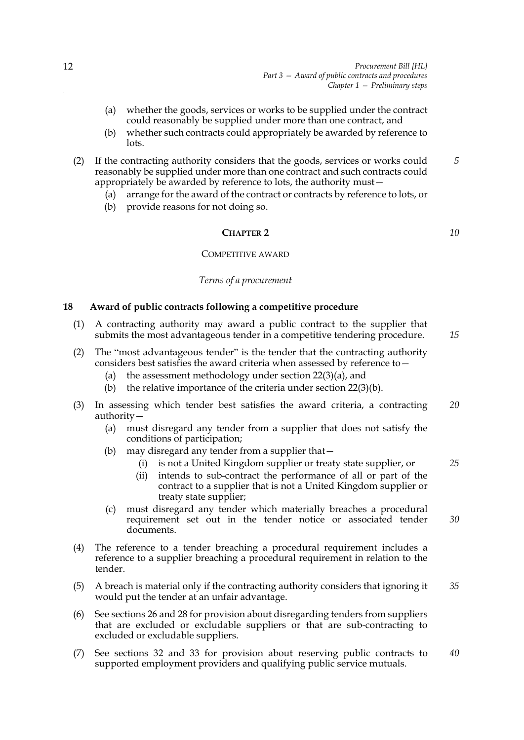- (a) whether the goods, services or works to be supplied under the contract could reasonably be supplied under more than one contract, and
- (b) whether such contracts could appropriately be awarded by reference to lots.
- (2) If the contracting authority considers that the goods, services or works could reasonably be supplied under more than one contract and such contracts could appropriately be awarded by reference to lots, the authority must— *5*
	- (a) arrange for the award of the contract or contracts by reference to lots, or
	- (b) provide reasons for not doing so.

## **CHAPTER 2**

#### COMPETITIVE AWARD

#### *Terms of a procurement*

## <span id="page-19-1"></span><span id="page-19-0"></span>**18 Award of public contracts following a competitive procedure**

- (1) A contracting authority may award a public contract to the supplier that submits the most advantageous tender in a competitive tendering procedure.
- (2) The "most advantageous tender" is the tender that the contracting authority considers best satisfies the award criteria when assessed by reference to—
	- (a) the assessment methodology under section [22](#page-22-1)[\(3\)\(a\)](#page-22-2), and
	- (b) the relative importance of the criteria under section [22](#page-22-1)[\(3\)\(b\).](#page-22-3)
- (3) In assessing which tender best satisfies the award criteria, a contracting authority— *20*
	- (a) must disregard any tender from a supplier that does not satisfy the conditions of participation;
	- (b) may disregard any tender from a supplier that—
		- (i) is not a United Kingdom supplier or treaty state supplier, or
		- (ii) intends to sub-contract the performance of all or part of the contract to a supplier that is not a United Kingdom supplier or treaty state supplier;
	- (c) must disregard any tender which materially breaches a procedural requirement set out in the tender notice or associated tender documents. *30*
- (4) The reference to a tender breaching a procedural requirement includes a reference to a supplier breaching a procedural requirement in relation to the tender.
- (5) A breach is material only if the contracting authority considers that ignoring it would put the tender at an unfair advantage. *35*
- (6) See sections [26](#page-24-3) and [28](#page-25-2) for provision about disregarding tenders from suppliers that are excluded or excludable suppliers or that are sub-contracting to excluded or excludable suppliers.
- (7) See sections [32](#page-28-2) and [33](#page-28-3) for provision about reserving public contracts to supported employment providers and qualifying public service mutuals. *40*

*10*

*15*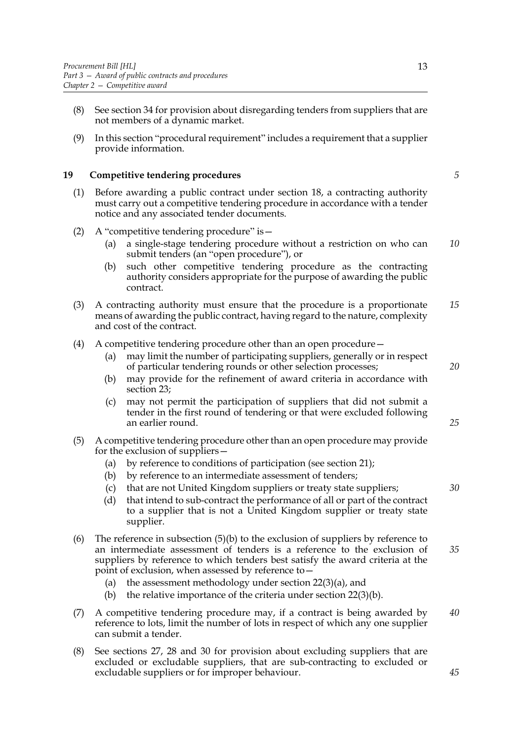- (8) See section [34](#page-29-2) for provision about disregarding tenders from suppliers that are not members of a dynamic market.
- (9) In this section "procedural requirement" includes a requirement that a supplier provide information.

## <span id="page-20-0"></span>**19 Competitive tendering procedures**

- (1) Before awarding a public contract under section [18](#page-19-1), a contracting authority must carry out a competitive tendering procedure in accordance with a tender notice and any associated tender documents.
- (2) A "competitive tendering procedure" is—
	- (a) a single-stage tendering procedure without a restriction on who can submit tenders (an "open procedure"), or *10*
	- (b) such other competitive tendering procedure as the contracting authority considers appropriate for the purpose of awarding the public contract.
- (3) A contracting authority must ensure that the procedure is a proportionate means of awarding the public contract, having regard to the nature, complexity and cost of the contract. *15*
- (4) A competitive tendering procedure other than an open procedure—
	- (a) may limit the number of participating suppliers, generally or in respect of particular tendering rounds or other selection processes;
	- (b) may provide for the refinement of award criteria in accordance with section [23;](#page-23-2)
	- (c) may not permit the participation of suppliers that did not submit a tender in the first round of tendering or that were excluded following an earlier round.
- <span id="page-20-1"></span>(5) A competitive tendering procedure other than an open procedure may provide for the exclusion of suppliers—
	- (a) by reference to conditions of participation (see section [21](#page-21-2));
	- (b) by reference to an intermediate assessment of tenders;
	- (c) that are not United Kingdom suppliers or treaty state suppliers;
	- (d) that intend to sub-contract the performance of all or part of the contract to a supplier that is not a United Kingdom supplier or treaty state supplier.
- (6) The reference in subsection  $(5)(b)$  to the exclusion of suppliers by reference to an intermediate assessment of tenders is a reference to the exclusion of suppliers by reference to which tenders best satisfy the award criteria at the point of exclusion, when assessed by reference to— *35*
	- (a) the assessment methodology under section [22](#page-22-1)[\(3\)\(a\)](#page-22-2), and
	- (b) the relative importance of the criteria under section  $22(3)(b)$  $22(3)(b)$ .
- (7) A competitive tendering procedure may, if a contract is being awarded by reference to lots, limit the number of lots in respect of which any one supplier can submit a tender. *40*
- (8) See sections [27,](#page-24-4) [28](#page-25-2) and [30](#page-26-2) for provision about excluding suppliers that are excluded or excludable suppliers, that are sub-contracting to excluded or excludable suppliers or for improper behaviour.

*20*

*5*

*25*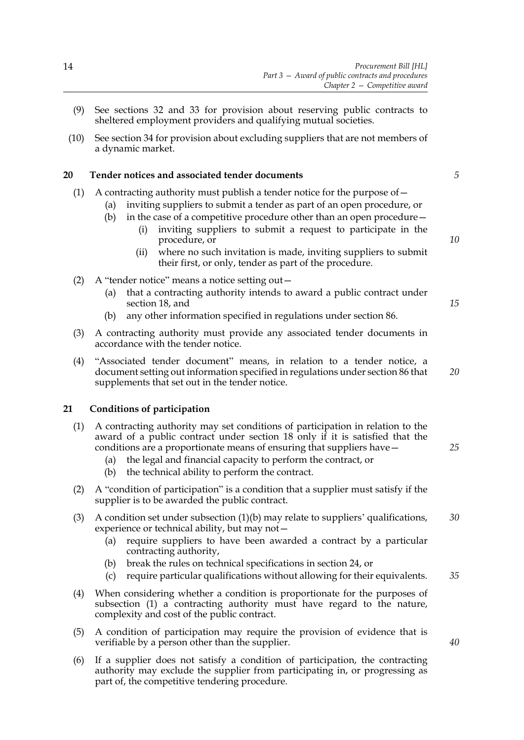- (9) See sections [32](#page-28-2) and [33](#page-28-3) for provision about reserving public contracts to sheltered employment providers and qualifying mutual societies.
- (10) See section [34](#page-29-2) for provision about excluding suppliers that are not members of a dynamic market.

#### <span id="page-21-0"></span>**20 Tender notices and associated tender documents**

## (1) A contracting authority must publish a tender notice for the purpose of—

- (a) inviting suppliers to submit a tender as part of an open procedure, or
- (b) in the case of a competitive procedure other than an open procedure  $-$ 
	- (i) inviting suppliers to submit a request to participate in the procedure, or
	- (ii) where no such invitation is made, inviting suppliers to submit their first, or only, tender as part of the procedure.

(2) A "tender notice" means a notice setting out—

- (a) that a contracting authority intends to award a public contract under section [18,](#page-19-1) and
- (b) any other information specified in regulations under section [86.](#page-62-2)
- (3) A contracting authority must provide any associated tender documents in accordance with the tender notice.
- (4) "Associated tender document" means, in relation to a tender notice, a document setting out information specified in regulations under section [86](#page-62-2) that supplements that set out in the tender notice. *20*

## <span id="page-21-2"></span><span id="page-21-1"></span>**21 Conditions of participation**

- (1) A contracting authority may set conditions of participation in relation to the award of a public contract under section [18](#page-19-1) only if it is satisfied that the conditions are a proportionate means of ensuring that suppliers have—
	- (a) the legal and financial capacity to perform the contract, or
	- (b) the technical ability to perform the contract.
- (2) A "condition of participation" is a condition that a supplier must satisfy if the supplier is to be awarded the public contract.
- (3) A condition set under subsection (1)(b) may relate to suppliers' qualifications, experience or technical ability, but may not— *30*
	- (a) require suppliers to have been awarded a contract by a particular contracting authority,
	- (b) break the rules on technical specifications in section [24](#page-23-3), or
	- (c) require particular qualifications without allowing for their equivalents. *35*
- (4) When considering whether a condition is proportionate for the purposes of subsection (1) a contracting authority must have regard to the nature, complexity and cost of the public contract.
- (5) A condition of participation may require the provision of evidence that is verifiable by a person other than the supplier.
- (6) If a supplier does not satisfy a condition of participation, the contracting authority may exclude the supplier from participating in, or progressing as part of, the competitive tendering procedure.

*5*

*10*

*15*

*25*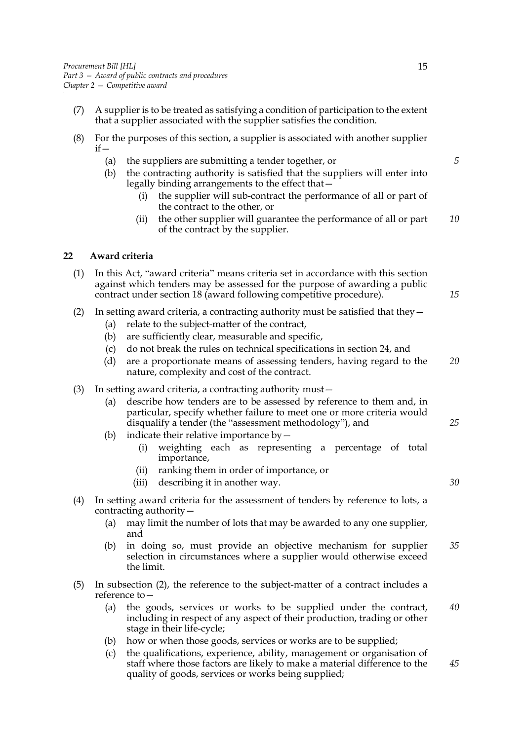- (7) A supplier is to be treated as satisfying a condition of participation to the extent that a supplier associated with the supplier satisfies the condition.
- (8) For the purposes of this section, a supplier is associated with another supplier  $if -$ 
	- (a) the suppliers are submitting a tender together, or
	- (b) the contracting authority is satisfied that the suppliers will enter into legally binding arrangements to the effect that—
		- (i) the supplier will sub-contract the performance of all or part of the contract to the other, or
		- (ii) the other supplier will guarantee the performance of all or part of the contract by the supplier. *10*

## <span id="page-22-1"></span><span id="page-22-0"></span>**22 Award criteria**

| (1) In this Act, "award criteria" means criteria set in accordance with this section |
|--------------------------------------------------------------------------------------|
| against which tenders may be assessed for the purpose of awarding a public           |
| contract under section 18 (award following competitive procedure).                   |

- <span id="page-22-4"></span>(2) In setting award criteria, a contracting authority must be satisfied that they—
	- (a) relate to the subject-matter of the contract,
	- (b) are sufficiently clear, measurable and specific,
	- (c) do not break the rules on technical specifications in section [24,](#page-23-3) and
	- (d) are a proportionate means of assessing tenders, having regard to the nature, complexity and cost of the contract. *20*
- <span id="page-22-5"></span><span id="page-22-3"></span><span id="page-22-2"></span>(3) In setting award criteria, a contracting authority must—
	- (a) describe how tenders are to be assessed by reference to them and, in particular, specify whether failure to meet one or more criteria would disqualify a tender (the "assessment methodology"), and
	- (b) indicate their relative importance by  $-$ 
		- (i) weighting each as representing a percentage of total importance,
		- (ii) ranking them in order of importance, or
		- (iii) describing it in another way.
- (4) In setting award criteria for the assessment of tenders by reference to lots, a contracting authority—
	- (a) may limit the number of lots that may be awarded to any one supplier, and
	- (b) in doing so, must provide an objective mechanism for supplier selection in circumstances where a supplier would otherwise exceed the limit. *35*
- (5) In subsection [\(2\),](#page-22-4) the reference to the subject-matter of a contract includes a reference to—
	- (a) the goods, services or works to be supplied under the contract, including in respect of any aspect of their production, trading or other stage in their life-cycle; *40*
	- (b) how or when those goods, services or works are to be supplied;
	- (c) the qualifications, experience, ability, management or organisation of staff where those factors are likely to make a material difference to the quality of goods, services or works being supplied; *45*

*5*

*15*

*30*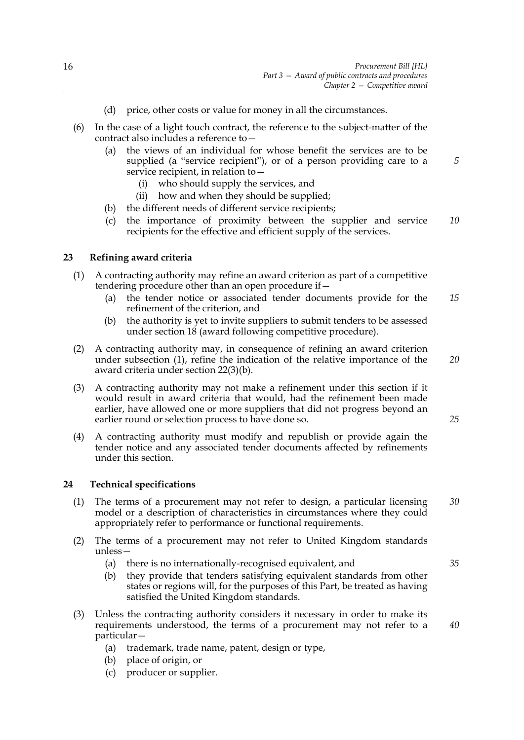- (d) price, other costs or value for money in all the circumstances.
- (6) In the case of a light touch contract, the reference to the subject-matter of the contract also includes a reference to—
	- (a) the views of an individual for whose benefit the services are to be supplied (a "service recipient"), or of a person providing care to a service recipient, in relation to—
		- (i) who should supply the services, and
		- (ii) how and when they should be supplied;
	- (b) the different needs of different service recipients;
	- (c) the importance of proximity between the supplier and service recipients for the effective and efficient supply of the services. *10*

## <span id="page-23-2"></span><span id="page-23-0"></span>**23 Refining award criteria**

- <span id="page-23-4"></span>(1) A contracting authority may refine an award criterion as part of a competitive tendering procedure other than an open procedure if—
	- (a) the tender notice or associated tender documents provide for the refinement of the criterion, and *15*
	- (b) the authority is yet to invite suppliers to submit tenders to be assessed under section [18](#page-19-1) (award following competitive procedure).
- (2) A contracting authority may, in consequence of refining an award criterion under subsection [\(1\)](#page-23-4), refine the indication of the relative importance of the award criteria under section [22](#page-22-1)[\(3\)\(b\)](#page-22-3). *20*
- (3) A contracting authority may not make a refinement under this section if it would result in award criteria that would, had the refinement been made earlier, have allowed one or more suppliers that did not progress beyond an earlier round or selection process to have done so.
- (4) A contracting authority must modify and republish or provide again the tender notice and any associated tender documents affected by refinements under this section.

## <span id="page-23-3"></span><span id="page-23-1"></span>**24 Technical specifications**

- (1) The terms of a procurement may not refer to design, a particular licensing model or a description of characteristics in circumstances where they could appropriately refer to performance or functional requirements. *30*
- (2) The terms of a procurement may not refer to United Kingdom standards unless—
	- (a) there is no internationally-recognised equivalent, and
	- (b) they provide that tenders satisfying equivalent standards from other states or regions will, for the purposes of this Part, be treated as having satisfied the United Kingdom standards.
- (3) Unless the contracting authority considers it necessary in order to make its requirements understood, the terms of a procurement may not refer to a particular—
	- (a) trademark, trade name, patent, design or type,
	- (b) place of origin, or
	- (c) producer or supplier.

*25*

*5*

*35*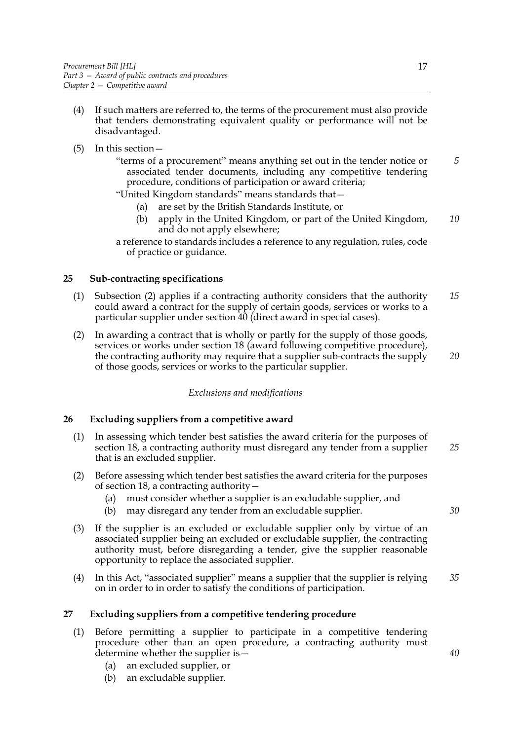- (4) If such matters are referred to, the terms of the procurement must also provide that tenders demonstrating equivalent quality or performance will not be disadvantaged.
- (5) In this section—
	- "terms of a procurement" means anything set out in the tender notice or associated tender documents, including any competitive tendering procedure, conditions of participation or award criteria; *5*

"United Kingdom standards" means standards that—

- (a) are set by the British Standards Institute, or
- (b) apply in the United Kingdom, or part of the United Kingdom, and do not apply elsewhere; *10*

## <span id="page-24-0"></span>**25 Sub-contracting specifications**

- (1) Subsection [\(2\)](#page-24-5) applies if a contracting authority considers that the authority could award a contract for the supply of certain goods, services or works to a particular supplier under section [40](#page-32-1) (direct award in special cases). *15*
- <span id="page-24-5"></span>(2) In awarding a contract that is wholly or partly for the supply of those goods, services or works under section [18](#page-19-1) (award following competitive procedure), the contracting authority may require that a supplier sub-contracts the supply of those goods, services or works to the particular supplier. *20*

## *Exclusions and modifications*

## <span id="page-24-3"></span><span id="page-24-1"></span>**26 Excluding suppliers from a competitive award**

- (1) In assessing which tender best satisfies the award criteria for the purposes of section [18](#page-19-1), a contracting authority must disregard any tender from a supplier that is an excluded supplier. *25*
- (2) Before assessing which tender best satisfies the award criteria for the purposes of section [18](#page-19-1), a contracting authority—
	- (a) must consider whether a supplier is an excludable supplier, and
	- (b) may disregard any tender from an excludable supplier.
- (3) If the supplier is an excluded or excludable supplier only by virtue of an associated supplier being an excluded or excludable supplier, the contracting authority must, before disregarding a tender, give the supplier reasonable opportunity to replace the associated supplier.
- (4) In this Act, "associated supplier" means a supplier that the supplier is relying on in order to in order to satisfy the conditions of participation. *35*

## <span id="page-24-4"></span><span id="page-24-2"></span>**27 Excluding suppliers from a competitive tendering procedure**

- (1) Before permitting a supplier to participate in a competitive tendering procedure other than an open procedure, a contracting authority must determine whether the supplier is—
	- (a) an excluded supplier, or
	- (b) an excludable supplier.

a reference to standards includes a reference to any regulation, rules, code of practice or guidance.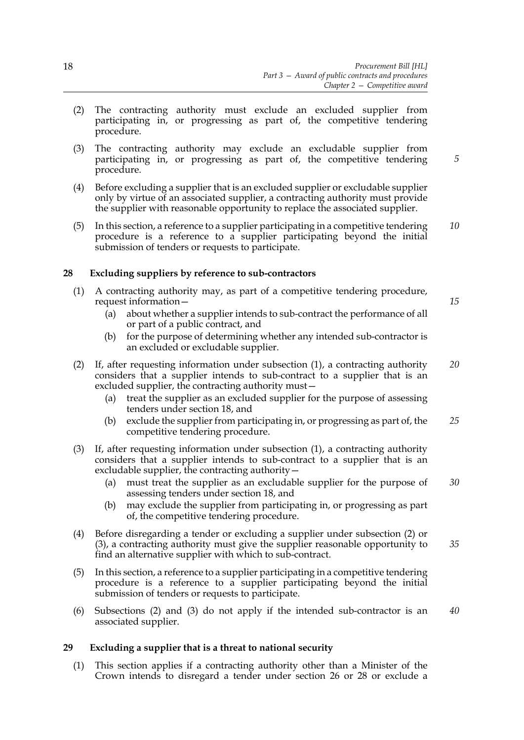- (2) The contracting authority must exclude an excluded supplier from participating in, or progressing as part of, the competitive tendering procedure.
- (3) The contracting authority may exclude an excludable supplier from participating in, or progressing as part of, the competitive tendering procedure.
- (4) Before excluding a supplier that is an excluded supplier or excludable supplier only by virtue of an associated supplier, a contracting authority must provide the supplier with reasonable opportunity to replace the associated supplier.
- (5) In this section, a reference to a supplier participating in a competitive tendering procedure is a reference to a supplier participating beyond the initial submission of tenders or requests to participate. *10*

## <span id="page-25-2"></span><span id="page-25-0"></span>**28 Excluding suppliers by reference to sub-contractors**

- <span id="page-25-3"></span>(1) A contracting authority may, as part of a competitive tendering procedure, request information—
	- (a) about whether a supplier intends to sub-contract the performance of all or part of a public contract, and
	- (b) for the purpose of determining whether any intended sub-contractor is an excluded or excludable supplier.
- <span id="page-25-4"></span>(2) If, after requesting information under subsection [\(1\)](#page-25-3), a contracting authority considers that a supplier intends to sub-contract to a supplier that is an excluded supplier, the contracting authority must— *20*
	- (a) treat the supplier as an excluded supplier for the purpose of assessing tenders under section [18,](#page-19-1) and
	- (b) exclude the supplier from participating in, or progressing as part of, the competitive tendering procedure. *25*
- <span id="page-25-5"></span>(3) If, after requesting information under subsection [\(1\)](#page-25-3), a contracting authority considers that a supplier intends to sub-contract to a supplier that is an excludable supplier, the contracting authority—
	- (a) must treat the supplier as an excludable supplier for the purpose of assessing tenders under section [18,](#page-19-1) and *30*
	- (b) may exclude the supplier from participating in, or progressing as part of, the competitive tendering procedure.
- (4) Before disregarding a tender or excluding a supplier under subsection [\(2\)](#page-25-4) or [\(3\),](#page-25-5) a contracting authority must give the supplier reasonable opportunity to find an alternative supplier with which to sub-contract. *35*
- (5) In this section, a reference to a supplier participating in a competitive tendering procedure is a reference to a supplier participating beyond the initial submission of tenders or requests to participate.
- (6) Subsections [\(2\)](#page-25-4) and [\(3\)](#page-25-5) do not apply if the intended sub-contractor is an associated supplier. *40*

## <span id="page-25-1"></span>**29 Excluding a supplier that is a threat to national security**

(1) This section applies if a contracting authority other than a Minister of the Crown intends to disregard a tender under section [26](#page-24-3) or [28](#page-25-2) or exclude a *15*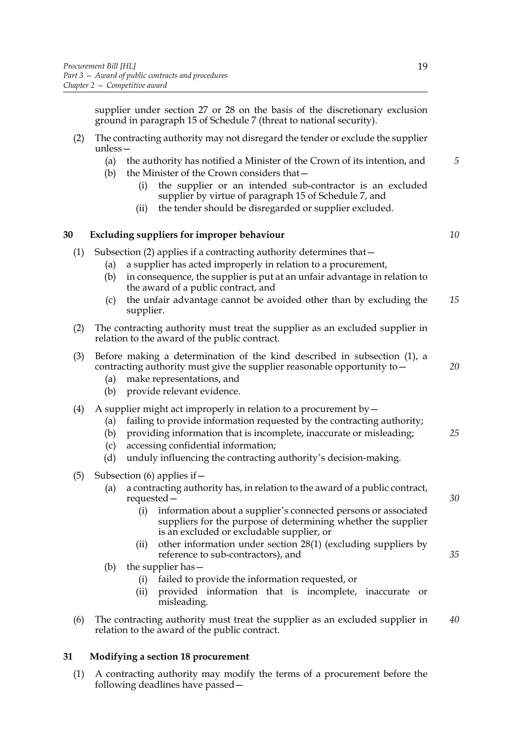supplier under section [27](#page-24-4) or [28](#page-25-2) on the basis of the discretionary exclusion ground in paragraph [15](#page-108-0) of Schedule [7](#page-105-0) (threat to national security).

- (2) The contracting authority may not disregard the tender or exclude the supplier unless—
	- (a) the authority has notified a Minister of the Crown of its intention, and
	- (b) the Minister of the Crown considers that—
		- (i) the supplier or an intended sub-contractor is an excluded supplier by virtue of paragraph [15](#page-108-0) of Schedule [7,](#page-105-0) and
		- (ii) the tender should be disregarded or supplier excluded.

## <span id="page-26-2"></span><span id="page-26-0"></span>**30 Excluding suppliers for improper behaviour**

- <span id="page-26-4"></span>(1) Subsection [\(2\)](#page-26-3) applies if a contracting authority determines that—
	- (a) a supplier has acted improperly in relation to a procurement,
	- (b) in consequence, the supplier is put at an unfair advantage in relation to the award of a public contract, and
	- (c) the unfair advantage cannot be avoided other than by excluding the supplier. *15*
- <span id="page-26-3"></span>(2) The contracting authority must treat the supplier as an excluded supplier in relation to the award of the public contract.

| (3) Before making a determination of the kind described in subsection (1), a |    |
|------------------------------------------------------------------------------|----|
| contracting authority must give the supplier reasonable opportunity to $-$   | 20 |

- (a) make representations, and
- (b) provide relevant evidence.

## (4) A supplier might act improperly in relation to a procurement by  $-$

- (a) failing to provide information requested by the contracting authority;
- (b) providing information that is incomplete, inaccurate or misleading; *25*
- (c) accessing confidential information;
- (d) unduly influencing the contracting authority's decision-making.
- (5) Subsection (6) applies if  $-$ 
	- (a) a contracting authority has, in relation to the award of a public contract, requested—
		- (i) information about a supplier's connected persons or associated suppliers for the purpose of determining whether the supplier is an excluded or excludable supplier, or
		- (ii) other information under section [28](#page-25-2)[\(1\)](#page-25-3) (excluding suppliers by reference to sub-contractors), and
	- (b) the supplier has—
		- (i) failed to provide the information requested, or
		- (ii) provided information that is incomplete, inaccurate or misleading.
- (6) The contracting authority must treat the supplier as an excluded supplier in relation to the award of the public contract. *40*

## <span id="page-26-1"></span>**31 Modifying a section [18](#page-19-1) procurement**

<span id="page-26-5"></span>(1) A contracting authority may modify the terms of a procurement before the following deadlines have passed*5*

*10*

*30*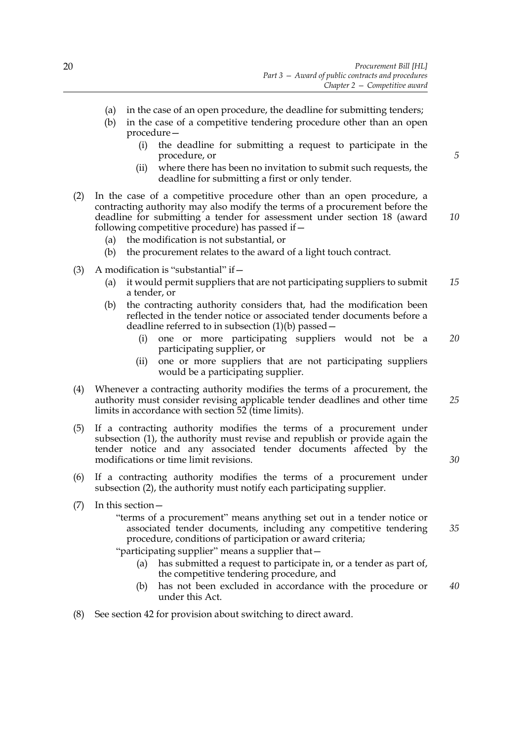- (a) in the case of an open procedure, the deadline for submitting tenders;
- <span id="page-27-0"></span>(b) in the case of a competitive tendering procedure other than an open procedure—
	- (i) the deadline for submitting a request to participate in the procedure, or
	- (ii) where there has been no invitation to submit such requests, the deadline for submitting a first or only tender.
- <span id="page-27-1"></span>(2) In the case of a competitive procedure other than an open procedure, a contracting authority may also modify the terms of a procurement before the deadline for submitting a tender for assessment under section [18](#page-19-1) (award following competitive procedure) has passed if—
	- (a) the modification is not substantial, or
	- (b) the procurement relates to the award of a light touch contract.
- (3) A modification is "substantial" if  $-$ 
	- (a) it would permit suppliers that are not participating suppliers to submit a tender, or *15*
	- (b) the contracting authority considers that, had the modification been reflected in the tender notice or associated tender documents before a deadline referred to in subsection [\(1\)\(b\)](#page-27-0) passed—
		- (i) one or more participating suppliers would not be a participating supplier, or *20*
		- (ii) one or more suppliers that are not participating suppliers would be a participating supplier.
- (4) Whenever a contracting authority modifies the terms of a procurement, the authority must consider revising applicable tender deadlines and other time limits in accordance with section  $52$  (time limits).
- (5) If a contracting authority modifies the terms of a procurement under subsection [\(1\),](#page-26-5) the authority must revise and republish or provide again the tender notice and any associated tender documents affected by the modifications or time limit revisions.
- (6) If a contracting authority modifies the terms of a procurement under subsection [\(2\),](#page-27-1) the authority must notify each participating supplier.
- (7) In this section—
	- "terms of a procurement" means anything set out in a tender notice or associated tender documents, including any competitive tendering procedure, conditions of participation or award criteria; *35*

"participating supplier" means a supplier that—

- (a) has submitted a request to participate in, or a tender as part of, the competitive tendering procedure, and
- (b) has not been excluded in accordance with the procedure or under this Act. *40*
- (8) See section [42](#page-33-2) for provision about switching to direct award.

*5*

*10*

*25*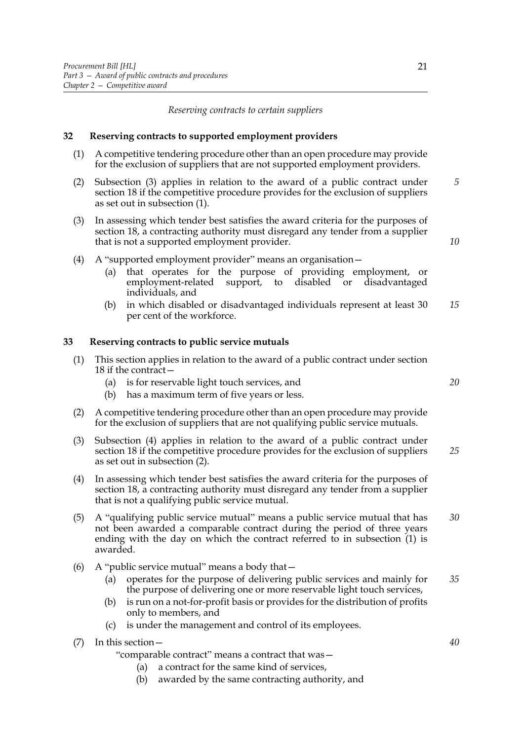*Reserving contracts to certain suppliers*

#### <span id="page-28-2"></span><span id="page-28-0"></span>**32 Reserving contracts to supported employment providers**

- <span id="page-28-5"></span>(1) A competitive tendering procedure other than an open procedure may provide for the exclusion of suppliers that are not supported employment providers.
- (2) Subsection [\(3\)](#page-28-4) applies in relation to the award of a public contract under section [18](#page-19-1) if the competitive procedure provides for the exclusion of suppliers as set out in subsection [\(1\)](#page-28-5). *5*
- <span id="page-28-4"></span>(3) In assessing which tender best satisfies the award criteria for the purposes of section [18](#page-19-1), a contracting authority must disregard any tender from a supplier that is not a supported employment provider.
- (4) A "supported employment provider" means an organisation—
	- (a) that operates for the purpose of providing employment, or employment-related support, to disabled or disadvantaged individuals, and
	- (b) in which disabled or disadvantaged individuals represent at least 30 per cent of the workforce. *15*

#### <span id="page-28-3"></span><span id="page-28-1"></span>**33 Reserving contracts to public service mutuals**

- (1) This section applies in relation to the award of a public contract under section [18](#page-19-1) if the contract—
	- (a) is for reservable light touch services, and
	- (b) has a maximum term of five years or less.
- <span id="page-28-7"></span>(2) A competitive tendering procedure other than an open procedure may provide for the exclusion of suppliers that are not qualifying public service mutuals.
- (3) Subsection [\(4\)](#page-28-6) applies in relation to the award of a public contract under section [18](#page-19-1) if the competitive procedure provides for the exclusion of suppliers as set out in subsection [\(2\)](#page-28-7). *25*
- <span id="page-28-6"></span>(4) In assessing which tender best satisfies the award criteria for the purposes of section [18](#page-19-1), a contracting authority must disregard any tender from a supplier that is not a qualifying public service mutual.
- (5) A "qualifying public service mutual" means a public service mutual that has not been awarded a comparable contract during the period of three years ending with the day on which the contract referred to in subsection [\(1\)](#page-28-5) is awarded. *30*
- (6) A "public service mutual" means a body that  $-$ 
	- (a) operates for the purpose of delivering public services and mainly for the purpose of delivering one or more reservable light touch services, *35*
	- (b) is run on a not-for-profit basis or provides for the distribution of profits only to members, and
	- (c) is under the management and control of its employees.
- (7) In this section—

"comparable contract" means a contract that was—

- (a) a contract for the same kind of services,
- (b) awarded by the same contracting authority, and

*10*

*20*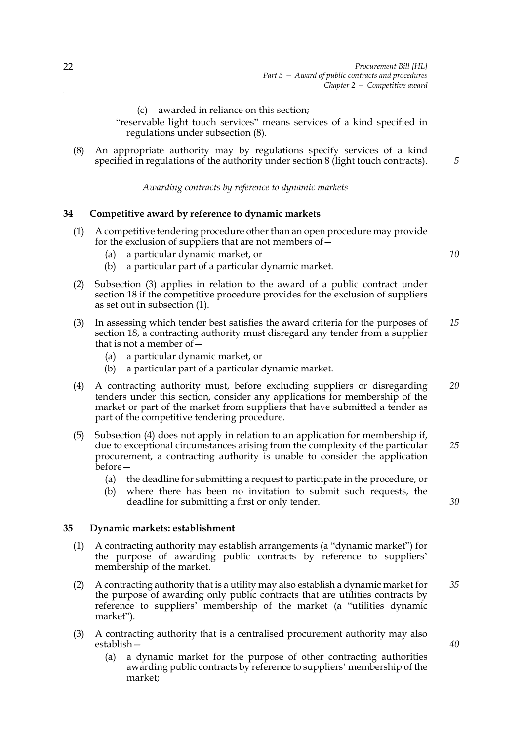(c) awarded in reliance on this section;

"reservable light touch services" means services of a kind specified in regulations under subsection [\(8\).](#page-29-3)

<span id="page-29-3"></span>(8) An appropriate authority may by regulations specify services of a kind specified in regulations of the authority under section [8](#page-13-3) (light touch contracts).

*Awarding contracts by reference to dynamic markets*

#### <span id="page-29-2"></span><span id="page-29-0"></span>**34 Competitive award by reference to dynamic markets**

- <span id="page-29-5"></span>(1) A competitive tendering procedure other than an open procedure may provide for the exclusion of suppliers that are not members of—
	- (a) a particular dynamic market, or
	- (b) a particular part of a particular dynamic market.
- (2) Subsection [\(3\)](#page-29-4) applies in relation to the award of a public contract under section [18](#page-19-1) if the competitive procedure provides for the exclusion of suppliers as set out in subsection [\(1\)](#page-29-5).
- <span id="page-29-4"></span>(3) In assessing which tender best satisfies the award criteria for the purposes of section [18](#page-19-1), a contracting authority must disregard any tender from a supplier that is not a member of— *15*
	- (a) a particular dynamic market, or
	- (b) a particular part of a particular dynamic market.
- <span id="page-29-6"></span>(4) A contracting authority must, before excluding suppliers or disregarding tenders under this section, consider any applications for membership of the market or part of the market from suppliers that have submitted a tender as part of the competitive tendering procedure. *20*
- (5) Subsection [\(4\)](#page-29-6) does not apply in relation to an application for membership if, due to exceptional circumstances arising from the complexity of the particular procurement, a contracting authority is unable to consider the application before— *25*
	- (a) the deadline for submitting a request to participate in the procedure, or
	- (b) where there has been no invitation to submit such requests, the deadline for submitting a first or only tender.

#### <span id="page-29-1"></span>**35 Dynamic markets: establishment**

- <span id="page-29-7"></span>(1) A contracting authority may establish arrangements (a "dynamic market") for the purpose of awarding public contracts by reference to suppliers' membership of the market.
- <span id="page-29-9"></span>(2) A contracting authority that is a utility may also establish a dynamic market for the purpose of awarding only public contracts that are utilities contracts by reference to suppliers' membership of the market (a "utilities dynamic market"). *35*
- <span id="page-29-8"></span>(3) A contracting authority that is a centralised procurement authority may also establish—
	- (a) a dynamic market for the purpose of other contracting authorities awarding public contracts by reference to suppliers' membership of the market;

*10*

*5*

*30*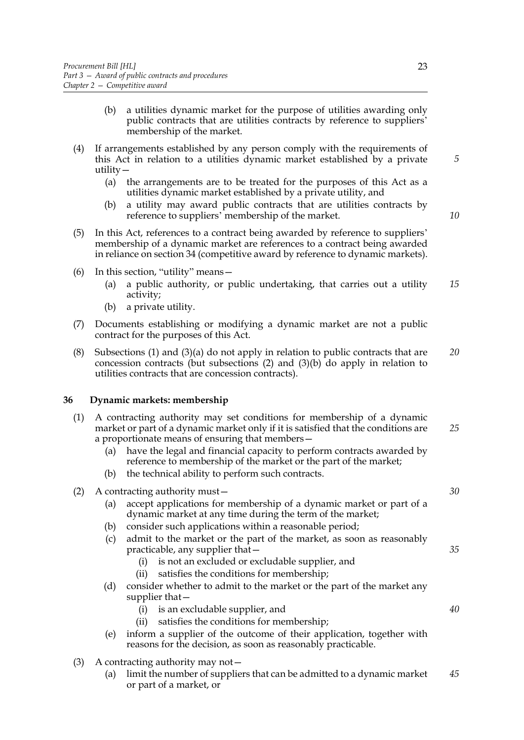- <span id="page-30-1"></span>(b) a utilities dynamic market for the purpose of utilities awarding only public contracts that are utilities contracts by reference to suppliers' membership of the market.
- (4) If arrangements established by any person comply with the requirements of this Act in relation to a utilities dynamic market established by a private utility—
	- (a) the arrangements are to be treated for the purposes of this Act as a utilities dynamic market established by a private utility, and
	- (b) a utility may award public contracts that are utilities contracts by reference to suppliers' membership of the market.
- (5) In this Act, references to a contract being awarded by reference to suppliers' membership of a dynamic market are references to a contract being awarded in reliance on section [34](#page-29-2) (competitive award by reference to dynamic markets).
- (6) In this section, "utility" means—
	- (a) a public authority, or public undertaking, that carries out a utility activity; *15*
	- (b) a private utility.
- (7) Documents establishing or modifying a dynamic market are not a public contract for the purposes of this Act.
- (8) Subsections [\(1\)](#page-29-7) and [\(3\)\(a\)](#page-29-8) do not apply in relation to public contracts that are concession contracts (but subsections [\(2\)](#page-29-9) and [\(3\)\(b\)](#page-30-1) do apply in relation to utilities contracts that are concession contracts). *20*

#### <span id="page-30-0"></span>**36 Dynamic markets: membership**

- (1) A contracting authority may set conditions for membership of a dynamic market or part of a dynamic market only if it is satisfied that the conditions are a proportionate means of ensuring that members— *25*
	- (a) have the legal and financial capacity to perform contracts awarded by reference to membership of the market or the part of the market;
	- (b) the technical ability to perform such contracts.
- (2) A contracting authority must—
	- (a) accept applications for membership of a dynamic market or part of a dynamic market at any time during the term of the market;
	- (b) consider such applications within a reasonable period;
	- (c) admit to the market or the part of the market, as soon as reasonably practicable, any supplier that—
		- (i) is not an excluded or excludable supplier, and
		- (ii) satisfies the conditions for membership;
	- (d) consider whether to admit to the market or the part of the market any supplier that—
		- (i) is an excludable supplier, and
		- (ii) satisfies the conditions for membership;
	- (e) inform a supplier of the outcome of their application, together with reasons for the decision, as soon as reasonably practicable.
- (3) A contracting authority may not—
	- (a) limit the number of suppliers that can be admitted to a dynamic market or part of a market, or *45*

*5*

*10*

*30*

*35*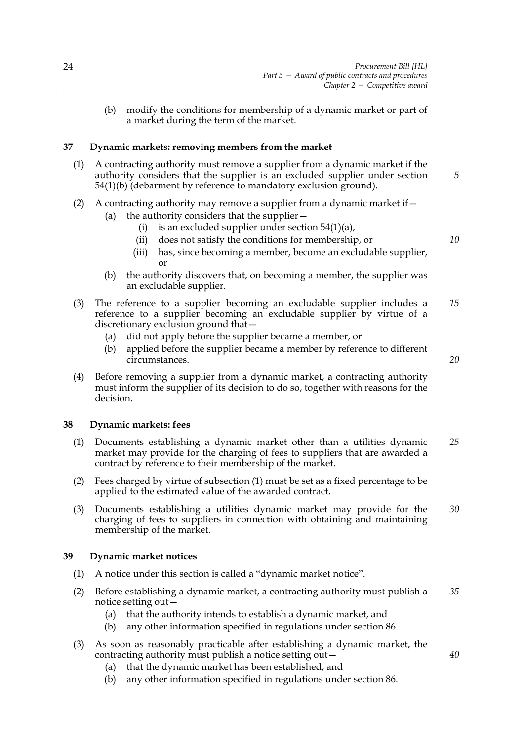(b) modify the conditions for membership of a dynamic market or part of a market during the term of the market.

## <span id="page-31-0"></span>**37 Dynamic markets: removing members from the market**

- (1) A contracting authority must remove a supplier from a dynamic market if the authority considers that the supplier is an excluded supplier under section [54\(](#page-40-2)1)(b) (debarment by reference to mandatory exclusion ground).
- (2) A contracting authority may remove a supplier from a dynamic market if—
	- (a) the authority considers that the supplier—
		- (i) is an excluded supplier under section  $54(1)(a)$ ,
		- (ii) does not satisfy the conditions for membership, or
		- (iii) has, since becoming a member, become an excludable supplier, or
	- (b) the authority discovers that, on becoming a member, the supplier was an excludable supplier.
- (3) The reference to a supplier becoming an excludable supplier includes a reference to a supplier becoming an excludable supplier by virtue of a discretionary exclusion ground that— *15*
	- (a) did not apply before the supplier became a member, or
	- (b) applied before the supplier became a member by reference to different circumstances.
- (4) Before removing a supplier from a dynamic market, a contracting authority must inform the supplier of its decision to do so, together with reasons for the decision.

## <span id="page-31-1"></span>**38 Dynamic markets: fees**

- (1) Documents establishing a dynamic market other than a utilities dynamic market may provide for the charging of fees to suppliers that are awarded a contract by reference to their membership of the market. *25*
- (2) Fees charged by virtue of subsection (1) must be set as a fixed percentage to be applied to the estimated value of the awarded contract.
- (3) Documents establishing a utilities dynamic market may provide for the charging of fees to suppliers in connection with obtaining and maintaining membership of the market. *30*

## <span id="page-31-2"></span>**39 Dynamic market notices**

- (1) A notice under this section is called a "dynamic market notice".
- (2) Before establishing a dynamic market, a contracting authority must publish a notice setting out— *35*
	- (a) that the authority intends to establish a dynamic market, and
	- (b) any other information specified in regulations under section [86.](#page-62-2)
- (3) As soon as reasonably practicable after establishing a dynamic market, the contracting authority must publish a notice setting out—
	- (a) that the dynamic market has been established, and
	- (b) any other information specified in regulations under section [86.](#page-62-2)

*20*

*40*

*5*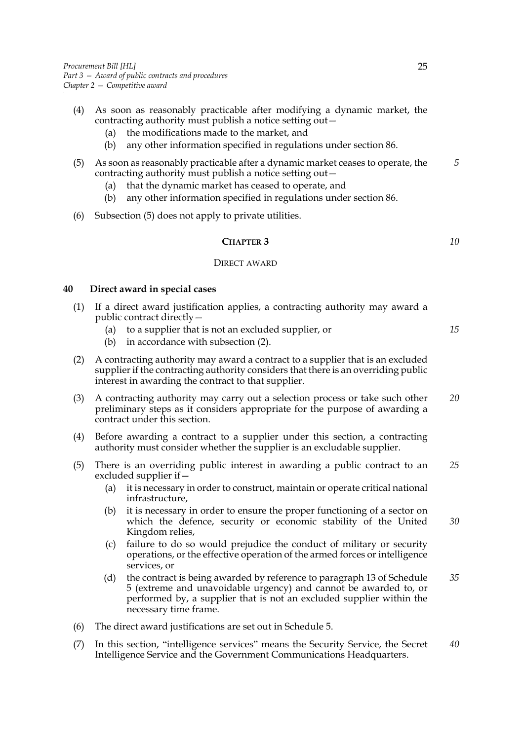- (4) As soon as reasonably practicable after modifying a dynamic market, the contracting authority must publish a notice setting out—
	- (a) the modifications made to the market, and
	- (b) any other information specified in regulations under section [86.](#page-62-2)
- <span id="page-32-2"></span>(5) As soon as reasonably practicable after a dynamic market ceases to operate, the contracting authority must publish a notice setting out—
	- (a) that the dynamic market has ceased to operate, and
	- (b) any other information specified in regulations under section [86.](#page-62-2)
- (6) Subsection [\(5\)](#page-32-2) does not apply to private utilities.

**CHAPTER 3** 
$$
10
$$

#### DIRECT AWARD

## <span id="page-32-1"></span><span id="page-32-0"></span>**40 Direct award in special cases**

- (1) If a direct award justification applies, a contracting authority may award a public contract directly—
	- (a) to a supplier that is not an excluded supplier, or
	- (b) in accordance with subsection [\(2\)](#page-32-3).
- <span id="page-32-3"></span>(2) A contracting authority may award a contract to a supplier that is an excluded supplier if the contracting authority considers that there is an overriding public interest in awarding the contract to that supplier.
- (3) A contracting authority may carry out a selection process or take such other preliminary steps as it considers appropriate for the purpose of awarding a contract under this section. *20*
- (4) Before awarding a contract to a supplier under this section, a contracting authority must consider whether the supplier is an excludable supplier.
- (5) There is an overriding public interest in awarding a public contract to an excluded supplier if— *25*
	- (a) it is necessary in order to construct, maintain or operate critical national infrastructure,
	- (b) it is necessary in order to ensure the proper functioning of a sector on which the defence, security or economic stability of the United Kingdom relies, *30*
	- (c) failure to do so would prejudice the conduct of military or security operations, or the effective operation of the armed forces or intelligence services, or
	- (d) the contract is being awarded by reference to paragraph [13](#page-96-0) of Schedule [5](#page-94-0) (extreme and unavoidable urgency) and cannot be awarded to, or performed by, a supplier that is not an excluded supplier within the necessary time frame. *35*
- (6) The direct award justifications are set out in Schedule [5](#page-94-0).
- (7) In this section, "intelligence services" means the Security Service, the Secret Intelligence Service and the Government Communications Headquarters. *40*

*15*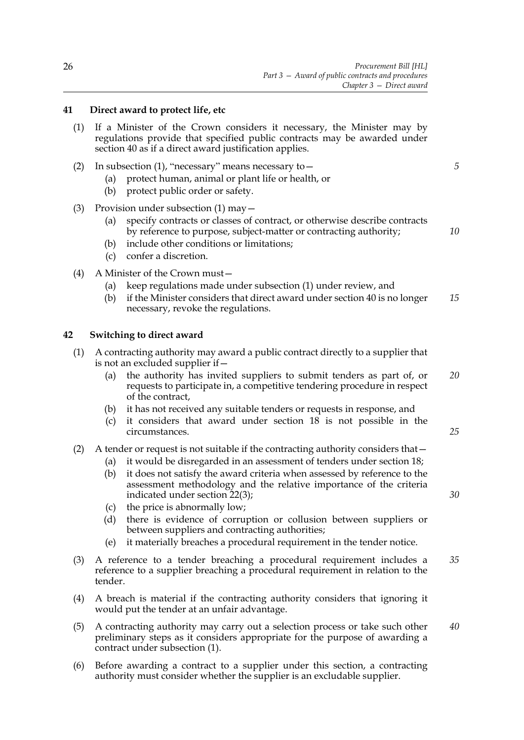## <span id="page-33-0"></span>**41 Direct award to protect life, etc**

- <span id="page-33-3"></span>(1) If a Minister of the Crown considers it necessary, the Minister may by regulations provide that specified public contracts may be awarded under section [40](#page-32-1) as if a direct award justification applies.
- (2) In subsection (1), "necessary" means necessary to—
	- (a) protect human, animal or plant life or health, or
	- (b) protect public order or safety.
- (3) Provision under subsection (1) may—
	- (a) specify contracts or classes of contract, or otherwise describe contracts by reference to purpose, subject-matter or contracting authority;
	- (b) include other conditions or limitations;
	- (c) confer a discretion.
- (4) A Minister of the Crown must—
	- (a) keep regulations made under subsection [\(1\)](#page-33-3) under review, and
	- (b) if the Minister considers that direct award under section [40](#page-32-1) is no longer necessary, revoke the regulations. *15*

## <span id="page-33-2"></span><span id="page-33-1"></span>**42 Switching to direct award**

- <span id="page-33-4"></span>(1) A contracting authority may award a public contract directly to a supplier that is not an excluded supplier if—
	- (a) the authority has invited suppliers to submit tenders as part of, or requests to participate in, a competitive tendering procedure in respect of the contract, *20*
	- (b) it has not received any suitable tenders or requests in response, and
	- (c) it considers that award under section [18](#page-19-1) is not possible in the circumstances.

## (2) A tender or request is not suitable if the contracting authority considers that—

- (a) it would be disregarded in an assessment of tenders under section [18;](#page-19-1)
- (b) it does not satisfy the award criteria when assessed by reference to the assessment methodology and the relative importance of the criteria indicated under section [22](#page-22-1)[\(3\);](#page-22-5)
- (c) the price is abnormally low;
- (d) there is evidence of corruption or collusion between suppliers or between suppliers and contracting authorities;
- (e) it materially breaches a procedural requirement in the tender notice.
- (3) A reference to a tender breaching a procedural requirement includes a reference to a supplier breaching a procedural requirement in relation to the tender. *35*
- (4) A breach is material if the contracting authority considers that ignoring it would put the tender at an unfair advantage.
- (5) A contracting authority may carry out a selection process or take such other preliminary steps as it considers appropriate for the purpose of awarding a contract under subsection [\(1\).](#page-33-4) *40*
- (6) Before awarding a contract to a supplier under this section, a contracting authority must consider whether the supplier is an excludable supplier.

*10*

*25*

*30*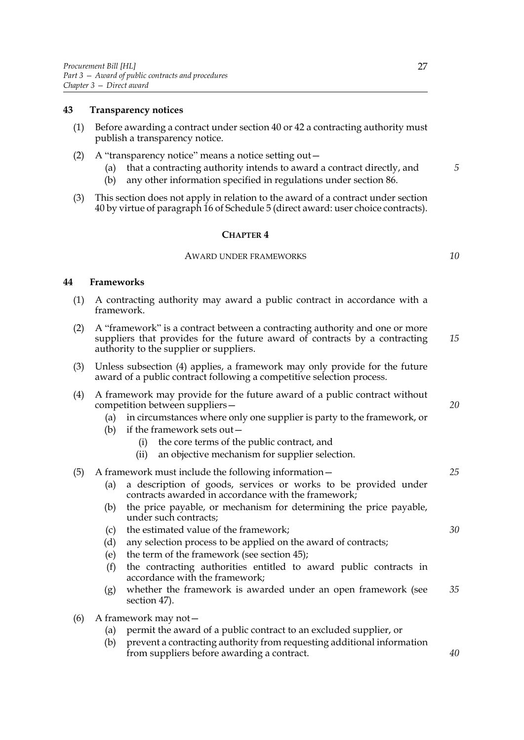## <span id="page-34-0"></span>**43 Transparency notices**

- (1) Before awarding a contract under section [40](#page-32-1) or [42](#page-33-2) a contracting authority must publish a transparency notice.
- (2) A "transparency notice" means a notice setting out—
	- (a) that a contracting authority intends to award a contract directly, and
	- (b) any other information specified in regulations under section [86.](#page-62-2)
- (3) This section does not apply in relation to the award of a contract under section [40](#page-32-1) by virtue of paragraph 16 of Schedule [5](#page-94-0) (direct award: user choice contracts).

#### **CHAPTER 4**

## AWARD UNDER FRAMEWORKS

#### <span id="page-34-2"></span><span id="page-34-1"></span>**44 Frameworks**

- (1) A contracting authority may award a public contract in accordance with a framework.
- (2) A "framework" is a contract between a contracting authority and one or more suppliers that provides for the future award of contracts by a contracting authority to the supplier or suppliers. *15*
- (3) Unless subsection [\(4\)](#page-34-3) applies, a framework may only provide for the future award of a public contract following a competitive selection process.
- <span id="page-34-3"></span>(4) A framework may provide for the future award of a public contract without competition between suppliers—
	- (a) in circumstances where only one supplier is party to the framework, or
	- (b) if the framework sets out—
		- (i) the core terms of the public contract, and
		- (ii) an objective mechanism for supplier selection.

#### (5) A framework must include the following information—

- (a) a description of goods, services or works to be provided under contracts awarded in accordance with the framework;
- (b) the price payable, or mechanism for determining the price payable, under such contracts;
- (c) the estimated value of the framework;
- (d) any selection process to be applied on the award of contracts;
- (e) the term of the framework (see section [45](#page-35-2));
- (f) the contracting authorities entitled to award public contracts in accordance with the framework;
- (g) whether the framework is awarded under an open framework (see section [47\)](#page-36-1). *35*
- (6) A framework may not—
	- (a) permit the award of a public contract to an excluded supplier, or
	- (b) prevent a contracting authority from requesting additional information from suppliers before awarding a contract.

*20*

*5*

*10*

*25*

*30*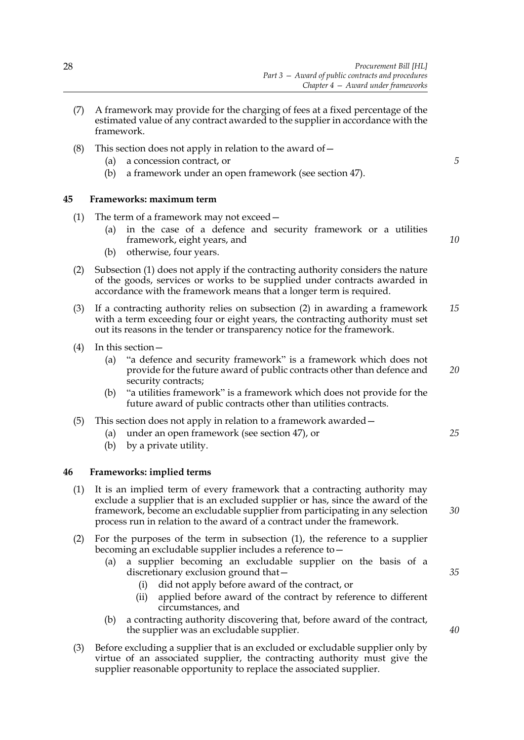- (7) A framework may provide for the charging of fees at a fixed percentage of the estimated value of any contract awarded to the supplier in accordance with the framework.
- (8) This section does not apply in relation to the award of  $-$ 
	- (a) a concession contract, or
	- (b) a framework under an open framework (see section [47\)](#page-36-1).

## <span id="page-35-2"></span><span id="page-35-0"></span>**45 Frameworks: maximum term**

- <span id="page-35-3"></span>(1) The term of a framework may not exceed—
	- (a) in the case of a defence and security framework or a utilities framework, eight years, and
	- (b) otherwise, four years.
- <span id="page-35-4"></span>(2) Subsection [\(1\)](#page-35-3) does not apply if the contracting authority considers the nature of the goods, services or works to be supplied under contracts awarded in accordance with the framework means that a longer term is required.
- (3) If a contracting authority relies on subsection [\(2\)](#page-35-4) in awarding a framework with a term exceeding four or eight years, the contracting authority must set out its reasons in the tender or transparency notice for the framework. *15*
- (4) In this section—
	- (a) "a defence and security framework" is a framework which does not provide for the future award of public contracts other than defence and security contracts:
	- (b) "a utilities framework" is a framework which does not provide for the future award of public contracts other than utilities contracts.
- (5) This section does not apply in relation to a framework awarded—
	- (a) under an open framework (see section [47\)](#page-36-1), or
	- (b) by a private utility.

## <span id="page-35-1"></span>**46 Frameworks: implied terms**

- <span id="page-35-5"></span>(1) It is an implied term of every framework that a contracting authority may exclude a supplier that is an excluded supplier or has, since the award of the framework, become an excludable supplier from participating in any selection process run in relation to the award of a contract under the framework.
- (2) For the purposes of the term in subsection [\(1\),](#page-35-5) the reference to a supplier becoming an excludable supplier includes a reference to—
	- (a) a supplier becoming an excludable supplier on the basis of a discretionary exclusion ground that—
		- (i) did not apply before award of the contract, or
		- (ii) applied before award of the contract by reference to different circumstances, and
	- (b) a contracting authority discovering that, before award of the contract, the supplier was an excludable supplier.
- (3) Before excluding a supplier that is an excluded or excludable supplier only by virtue of an associated supplier, the contracting authority must give the supplier reasonable opportunity to replace the associated supplier.

*5*

*10*

*20*

*25*

*30*

*35*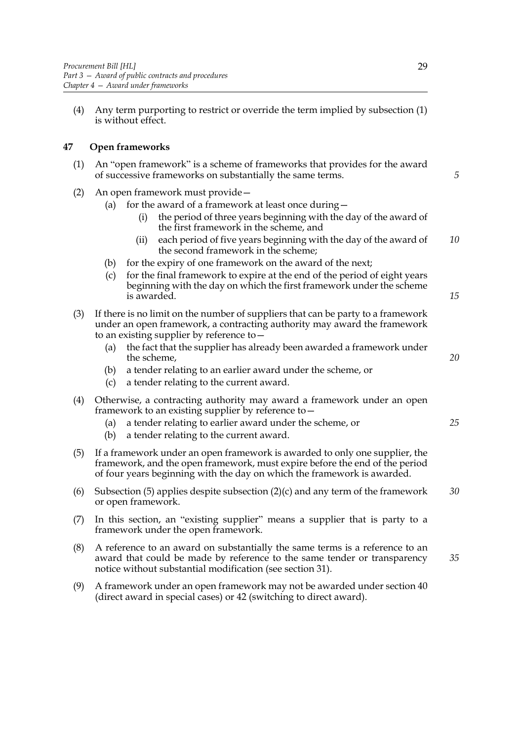(4) Any term purporting to restrict or override the term implied by subsection [\(1\)](#page-35-0) is without effect.

### **47 Open frameworks**

- (1) An "open framework" is a scheme of frameworks that provides for the award of successive frameworks on substantially the same terms.
- (2) An open framework must provide—
	- (a) for the award of a framework at least once during  $-$ 
		- (i) the period of three years beginning with the day of the award of the first framework in the scheme, and
		- (ii) each period of five years beginning with the day of the award of the second framework in the scheme; *10*
	- (b) for the expiry of one framework on the award of the next;
	- (c) for the final framework to expire at the end of the period of eight years beginning with the day on which the first framework under the scheme is awarded.
- <span id="page-36-1"></span>(3) If there is no limit on the number of suppliers that can be party to a framework under an open framework, a contracting authority may award the framework to an existing supplier by reference to—
	- (a) the fact that the supplier has already been awarded a framework under the scheme,
	- (b) a tender relating to an earlier award under the scheme, or
	- (c) a tender relating to the current award.
- (4) Otherwise, a contracting authority may award a framework under an open framework to an existing supplier by reference to—
	- (a) a tender relating to earlier award under the scheme, or
	- (b) a tender relating to the current award.
- <span id="page-36-0"></span>(5) If a framework under an open framework is awarded to only one supplier, the framework, and the open framework, must expire before the end of the period of four years beginning with the day on which the framework is awarded.
- (6) Subsection [\(5\)](#page-36-0) applies despite subsection  $(2)(c)$  and any term of the framework or open framework. *30*
- (7) In this section, an "existing supplier" means a supplier that is party to a framework under the open framework.
- (8) A reference to an award on substantially the same terms is a reference to an award that could be made by reference to the same tender or transparency notice without substantial modification (see section [31](#page-26-0)). *35*
- (9) A framework under an open framework may not be awarded under section [40](#page-32-0) (direct award in special cases) or [42](#page-33-0) (switching to direct award).

*5*

*15*

*20*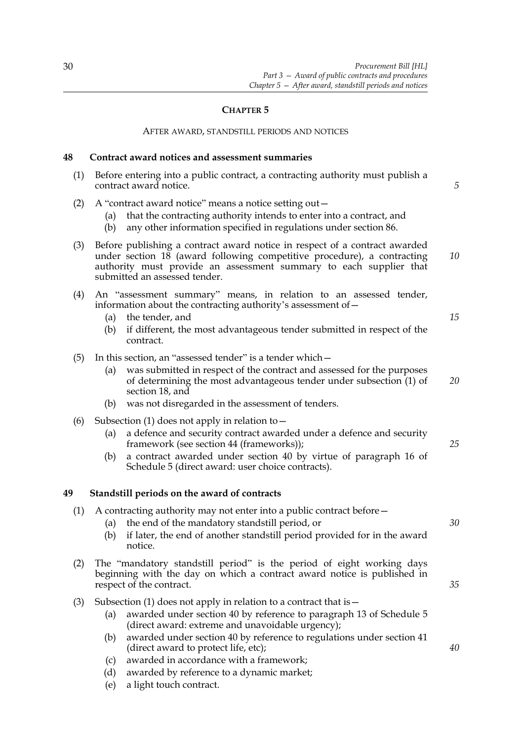### **CHAPTER 5**

#### AFTER AWARD, STANDSTILL PERIODS AND NOTICES

#### **48 Contract award notices and assessment summaries**

<span id="page-37-0"></span>(1) Before entering into a public contract, a contracting authority must publish a contract award notice.

*5*

*15*

- (2) A "contract award notice" means a notice setting out—
	- (a) that the contracting authority intends to enter into a contract, and
	- (b) any other information specified in regulations under section [86.](#page-62-0)
- (3) Before publishing a contract award notice in respect of a contract awarded under section  $18$  (award following competitive procedure), a contracting authority must provide an assessment summary to each supplier that submitted an assessed tender. *10*
- (4) An "assessment summary" means, in relation to an assessed tender, information about the contracting authority's assessment of—
	- (a) the tender, and
	- (b) if different, the most advantageous tender submitted in respect of the contract.
- (5) In this section, an "assessed tender" is a tender which—
	- (a) was submitted in respect of the contract and assessed for the purposes of determining the most advantageous tender under subsection [\(1\)](#page-37-0) of section [18,](#page-19-0) and *20*
	- (b) was not disregarded in the assessment of tenders.
- (6) Subsection [\(1\)](#page-37-0) does not apply in relation to  $-$ 
	- (a) a defence and security contract awarded under a defence and security framework (see section [44](#page-34-0) (frameworks));
	- (b) a contract awarded under section [40](#page-32-0) by virtue of paragraph 16 of Schedule [5](#page-94-0) (direct award: user choice contracts).

#### <span id="page-37-3"></span>**49 Standstill periods on the award of contracts**

- <span id="page-37-1"></span>(1) A contracting authority may not enter into a public contract before—
	- (a) the end of the mandatory standstill period, or
	- (b) if later, the end of another standstill period provided for in the award notice.
- (2) The "mandatory standstill period" is the period of eight working days beginning with the day on which a contract award notice is published in respect of the contract.
- <span id="page-37-2"></span>(3) Subsection [\(1\)](#page-37-1) does not apply in relation to a contract that is  $-$ 
	- (a) awarded under section [40](#page-32-0) by reference to paragraph 13 of Schedule [5](#page-94-0) (direct award: extreme and unavoidable urgency);
	- (b) awarded under section [40](#page-32-0) by reference to regulations under section [41](#page-33-1) (direct award to protect life, etc);
	- (c) awarded in accordance with a framework;
	- (d) awarded by reference to a dynamic market;
	- (e) a light touch contract.

*25*

*30*

*35*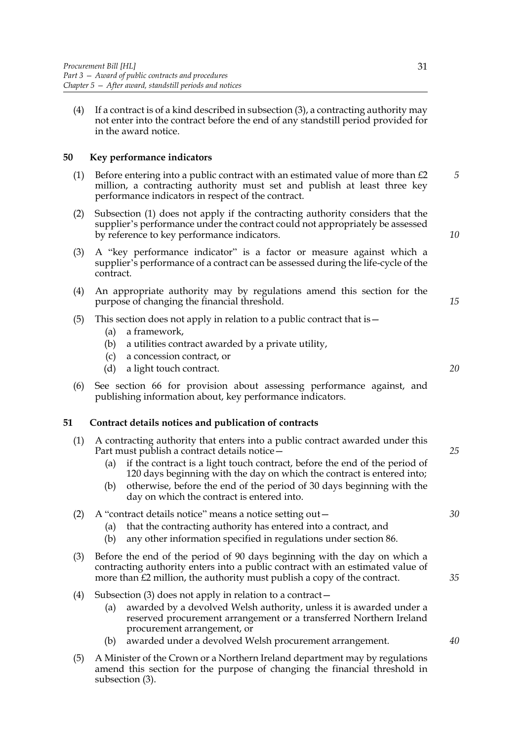(4) If a contract is of a kind described in subsection [\(3\),](#page-37-2) a contracting authority may not enter into the contract before the end of any standstill period provided for in the award notice.

## <span id="page-38-1"></span>**50 Key performance indicators**

- <span id="page-38-2"></span>(1) Before entering into a public contract with an estimated value of more than  $\mathcal{L}2$ million, a contracting authority must set and publish at least three key performance indicators in respect of the contract. *5*
- (2) Subsection (1) does not apply if the contracting authority considers that the supplier's performance under the contract could not appropriately be assessed by reference to key performance indicators.
- (3) A "key performance indicator" is a factor or measure against which a supplier's performance of a contract can be assessed during the life-cycle of the contract.
- (4) An appropriate authority may by regulations amend this section for the purpose of changing the financial threshold.
- (5) This section does not apply in relation to a public contract that is—
	- (a) a framework,
	- (b) a utilities contract awarded by a private utility,
	- (c) a concession contract, or
	- (d) a light touch contract.
- (6) See section [66](#page-49-0) for provision about assessing performance against, and publishing information about, key performance indicators.

### <span id="page-38-3"></span>**51 Contract details notices and publication of contracts**

- (1) A contracting authority that enters into a public contract awarded under this Part must publish a contract details notice—
	- (a) if the contract is a light touch contract, before the end of the period of 120 days beginning with the day on which the contract is entered into;
	- (b) otherwise, before the end of the period of 30 days beginning with the day on which the contract is entered into.

### (2) A "contract details notice" means a notice setting out—

- (a) that the contracting authority has entered into a contract, and
- (b) any other information specified in regulations under section [86.](#page-62-0)
- <span id="page-38-0"></span>(3) Before the end of the period of 90 days beginning with the day on which a contracting authority enters into a public contract with an estimated value of more than £2 million, the authority must publish a copy of the contract.
- (4) Subsection [\(3\)](#page-38-0) does not apply in relation to a contract—
	- (a) awarded by a devolved Welsh authority, unless it is awarded under a reserved procurement arrangement or a transferred Northern Ireland procurement arrangement, or
	- (b) awarded under a devolved Welsh procurement arrangement.
- (5) A Minister of the Crown or a Northern Ireland department may by regulations amend this section for the purpose of changing the financial threshold in subsection [\(3\).](#page-38-0)

*30*

*25*

*35*

*40*

*20*

*10*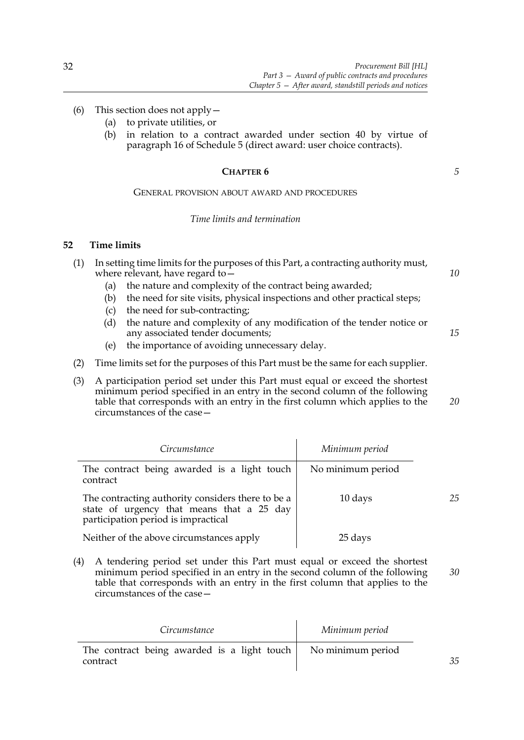- (6) This section does not apply—
	- (a) to private utilities, or
	- (b) in relation to a contract awarded under section [40](#page-32-0) by virtue of paragraph 16 of Schedule [5](#page-94-0) (direct award: user choice contracts).

#### **CHAPTER 6**

## GENERAL PROVISION ABOUT AWARD AND PROCEDURES

### *Time limits and termination*

## **52 Time limits**

| (1) |     | In setting time limits for the purposes of this Part, a contracting authority must, |    |
|-----|-----|-------------------------------------------------------------------------------------|----|
|     |     | where relevant, have regard to $-$                                                  | 10 |
|     | (a) | the nature and complexity of the contract being awarded;                            |    |
|     | (b) | the need for site visits, physical inspections and other practical steps;           |    |
|     | (c) | the need for sub-contracting;                                                       |    |
|     | (d) | the nature and complexity of any modification of the tender notice or               |    |
|     |     | any associated tender documents;                                                    | 15 |

- (e) the importance of avoiding unnecessary delay.
- (2) Time limits set for the purposes of this Part must be the same for each supplier.
- (3) A participation period set under this Part must equal or exceed the shortest minimum period specified in an entry in the second column of the following table that corresponds with an entry in the first column which applies to the circumstances of the case— *20*

| Circumstance                                                                                                                          | Minimum period    |    |
|---------------------------------------------------------------------------------------------------------------------------------------|-------------------|----|
| The contract being awarded is a light touch<br>contract                                                                               | No minimum period |    |
| The contracting authority considers there to be a<br>state of urgency that means that a 25 day<br>participation period is impractical | 10 days           | 25 |
| Neither of the above circumstances apply                                                                                              | 25 days           |    |

(4) A tendering period set under this Part must equal or exceed the shortest minimum period specified in an entry in the second column of the following table that corresponds with an entry in the first column that applies to the circumstances of the case— *30*

| Circumstance                                              | Minimum period    |    |
|-----------------------------------------------------------|-------------------|----|
| The contract being awarded is a light touch  <br>contract | No minimum period | 35 |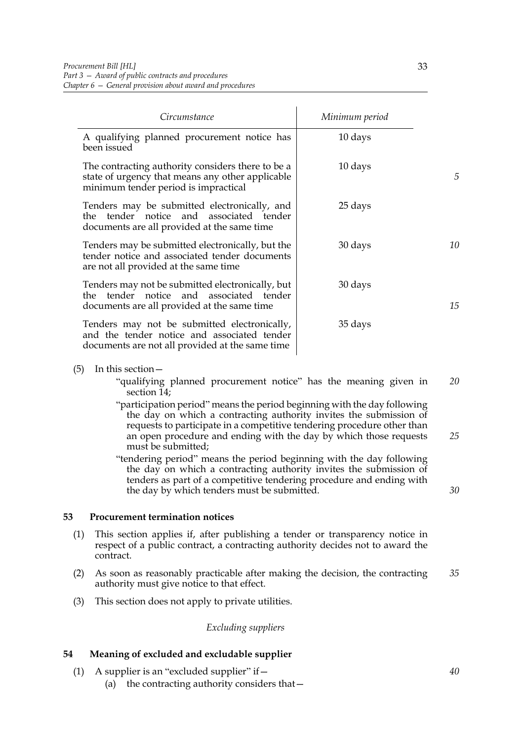| Circumstance                                                                                                                                   | Minimum period |    |
|------------------------------------------------------------------------------------------------------------------------------------------------|----------------|----|
| A qualifying planned procurement notice has<br>been issued                                                                                     | 10 days        |    |
| The contracting authority considers there to be a<br>state of urgency that means any other applicable<br>minimum tender period is impractical  | 10 days        | 5  |
| Tenders may be submitted electronically, and<br>the tender notice and associated tender<br>documents are all provided at the same time         | 25 days        |    |
| Tenders may be submitted electronically, but the<br>tender notice and associated tender documents<br>are not all provided at the same time     | 30 days        | 10 |
| Tenders may not be submitted electronically, but<br>the tender notice and associated tender<br>documents are all provided at the same time     | 30 days        | 15 |
| Tenders may not be submitted electronically,<br>and the tender notice and associated tender<br>documents are not all provided at the same time | 35 days        |    |

- (5) In this section—
	- "qualifying planned procurement notice" has the meaning given in section [14;](#page-17-0) *20*
	- "participation period" means the period beginning with the day following the day on which a contracting authority invites the submission of requests to participate in a competitive tendering procedure other than an open procedure and ending with the day by which those requests must be submitted; *25*
	- "tendering period" means the period beginning with the day following the day on which a contracting authority invites the submission of tenders as part of a competitive tendering procedure and ending with the day by which tenders must be submitted.

#### <span id="page-40-2"></span>**53 Procurement termination notices**

- (1) This section applies if, after publishing a tender or transparency notice in respect of a public contract, a contracting authority decides not to award the contract.
- (2) As soon as reasonably practicable after making the decision, the contracting authority must give notice to that effect. *35*
- (3) This section does not apply to private utilities.

#### *Excluding suppliers*

### <span id="page-40-0"></span>**54 Meaning of excluded and excludable supplier**

- <span id="page-40-1"></span>(1) A supplier is an "excluded supplier" if  $-$ 
	- (a) the contracting authority considers that—

*40*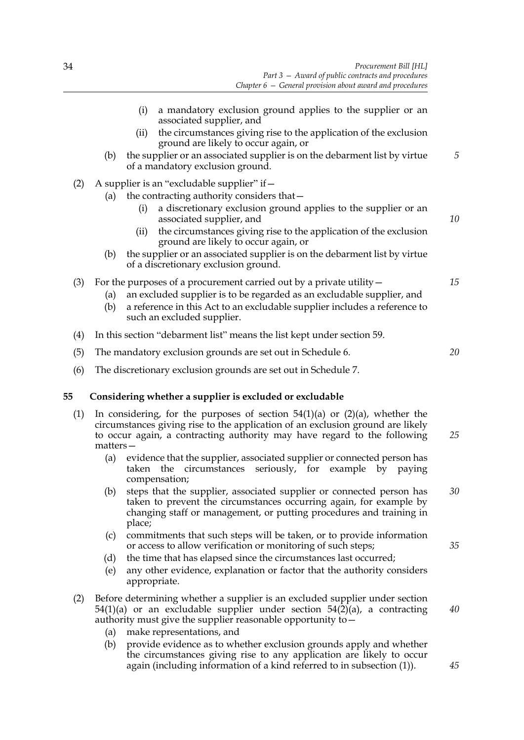- <span id="page-41-1"></span><span id="page-41-0"></span>(i) a mandatory exclusion ground applies to the supplier or an associated supplier, and (ii) the circumstances giving rise to the application of the exclusion ground are likely to occur again, or (b) the supplier or an associated supplier is on the debarment list by virtue of a mandatory exclusion ground. (2) A supplier is an "excludable supplier" if  $-$ (a) the contracting authority considers that a discretionary exclusion ground applies to the supplier or an associated supplier, and (ii) the circumstances giving rise to the application of the exclusion ground are likely to occur again, or (b) the supplier or an associated supplier is on the debarment list by virtue of a discretionary exclusion ground. (3) For the purposes of a procurement carried out by a private utility— (a) an excluded supplier is to be regarded as an excludable supplier, and (b) a reference in this Act to an excludable supplier includes a reference to such an excluded supplier. (4) In this section "debarment list" means the list kept under section [59.](#page-44-0) (5) The mandatory exclusion grounds are set out in Schedule [6.](#page-98-0) (6) The discretionary exclusion grounds are set out in Schedule [7](#page-105-0). **55 Considering whether a supplier is excluded or excludable** (1) In considering, for the purposes of section  $54(1)(a)$  $54(1)(a)$  or  $(2)(a)$ , whether the circumstances giving rise to the application of an exclusion ground are likely to occur again, a contracting authority may have regard to the following matters— (a) evidence that the supplier, associated supplier or connected person has taken the circumstances seriously, for example by paying compensation; (b) steps that the supplier, associated supplier or connected person has taken to prevent the circumstances occurring again, for example by *5 10 20 25 30*
	- changing staff or management, or putting procedures and training in place;
	- (c) commitments that such steps will be taken, or to provide information or access to allow verification or monitoring of such steps;
	- (d) the time that has elapsed since the circumstances last occurred;
	- (e) any other evidence, explanation or factor that the authority considers appropriate.
	- (2) Before determining whether a supplier is an excluded supplier under section  $54(1)(a)$  $54(1)(a)$  or an excludable supplier under section  $54(2)(a)$ , a contracting authority must give the supplier reasonable opportunity to—
		- (a) make representations, and
		- (b) provide evidence as to whether exclusion grounds apply and whether the circumstances giving rise to any application are likely to occur again (including information of a kind referred to in subsection [\(1\)](#page-41-1)).

*45*

*40*

*35*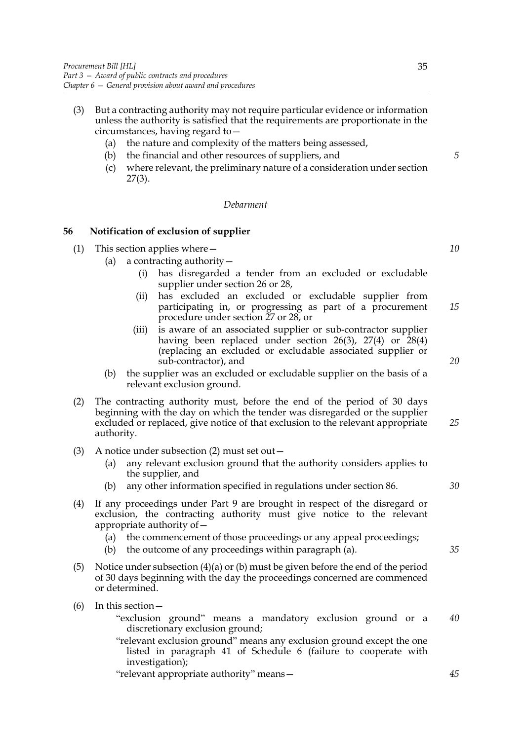- (3) But a contracting authority may not require particular evidence or information unless the authority is satisfied that the requirements are proportionate in the circumstances, having regard to—
	- (a) the nature and complexity of the matters being assessed,
	- (b) the financial and other resources of suppliers, and
	- (c) where relevant, the preliminary nature of a consideration under section [27](#page-24-0)[\(3\).](#page-25-1)

#### *Debarment*

### <span id="page-42-2"></span>**56 Notification of exclusion of supplier**

- (1) This section applies where—
	- (a) a contracting authority  $-$ 
		- (i) has disregarded a tender from an excluded or excludable supplier under section [26](#page-24-1) or [28,](#page-25-0)
		- (ii) has excluded an excluded or excludable supplier from participating in, or progressing as part of a procurement procedure under section [27](#page-24-0) or [28](#page-25-0), or *15*
		- (iii) is aware of an associated supplier or sub-contractor supplier having been replaced under section  $26(3)$  $26(3)$ ,  $27(4)$  $27(4)$  or  $28(4)$  $28(4)$ (replacing an excluded or excludable associated supplier or sub-contractor), and
	- (b) the supplier was an excluded or excludable supplier on the basis of a relevant exclusion ground.
- <span id="page-42-0"></span>(2) The contracting authority must, before the end of the period of 30 days beginning with the day on which the tender was disregarded or the supplier excluded or replaced, give notice of that exclusion to the relevant appropriate authority. *25*
- (3) A notice under subsection [\(2\)](#page-42-0) must set out—
	- (a) any relevant exclusion ground that the authority considers applies to the supplier, and
	- (b) any other information specified in regulations under section [86.](#page-62-0)
- <span id="page-42-1"></span>(4) If any proceedings under Part 9 are brought in respect of the disregard or exclusion, the contracting authority must give notice to the relevant appropriate authority of—
	- (a) the commencement of those proceedings or any appeal proceedings;
	- (b) the outcome of any proceedings within paragraph (a).
- (5) Notice under subsection [\(4\)](#page-42-1)(a) or (b) must be given before the end of the period of 30 days beginning with the day the proceedings concerned are commenced or determined.
- (6) In this section—
	- "exclusion ground" means a mandatory exclusion ground or a discretionary exclusion ground; *40*
	- "relevant exclusion ground" means any exclusion ground except the one listed in paragraph 41 of Schedule [6](#page-98-0) (failure to cooperate with investigation);

"relevant appropriate authority" means—

*20*

*5*

*10*

*30*

*35*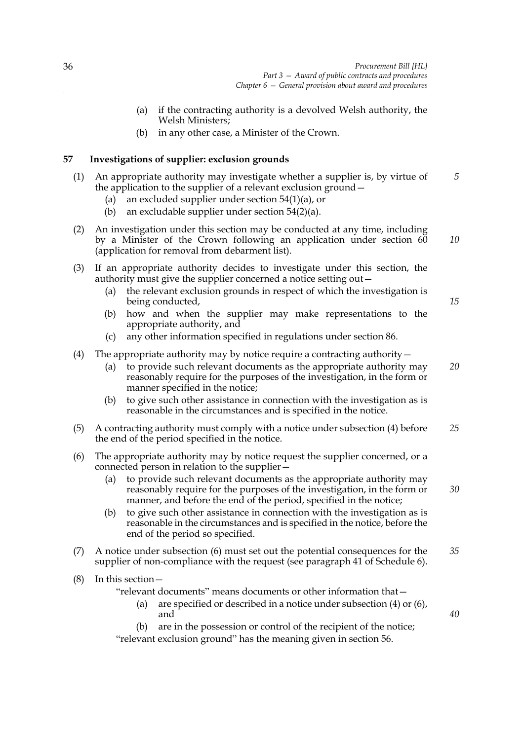- (a) if the contracting authority is a devolved Welsh authority, the Welsh Ministers;
- (b) in any other case, a Minister of the Crown.

### <span id="page-43-2"></span>**57 Investigations of supplier: exclusion grounds**

- (1) An appropriate authority may investigate whether a supplier is, by virtue of the application to the supplier of a relevant exclusion ground— *5*
	- (a) an excluded supplier under section  $54(1)(a)$  $54(1)(a)$ , or
	- (b) an excludable supplier under section [54\(](#page-40-0)2)(a).
- (2) An investigation under this section may be conducted at any time, including by a Minister of the Crown following an application under section [60](#page-45-0) (application for removal from debarment list).
- (3) If an appropriate authority decides to investigate under this section, the authority must give the supplier concerned a notice setting out—
	- (a) the relevant exclusion grounds in respect of which the investigation is being conducted,
	- (b) how and when the supplier may make representations to the appropriate authority, and
	- (c) any other information specified in regulations under section [86.](#page-62-0)
- <span id="page-43-0"></span>(4) The appropriate authority may by notice require a contracting authority  $-$ 
	- (a) to provide such relevant documents as the appropriate authority may reasonably require for the purposes of the investigation, in the form or manner specified in the notice;
	- (b) to give such other assistance in connection with the investigation as is reasonable in the circumstances and is specified in the notice.
- (5) A contracting authority must comply with a notice under subsection [\(4\)](#page-43-0) before the end of the period specified in the notice. *25*
- <span id="page-43-1"></span>(6) The appropriate authority may by notice request the supplier concerned, or a connected person in relation to the supplier—
	- (a) to provide such relevant documents as the appropriate authority may reasonably require for the purposes of the investigation, in the form or manner, and before the end of the period, specified in the notice;
	- (b) to give such other assistance in connection with the investigation as is reasonable in the circumstances and is specified in the notice, before the end of the period so specified.
- (7) A notice under subsection [\(6\)](#page-43-1) must set out the potential consequences for the supplier of non-compliance with the request (see paragraph 41 of Schedule [6\)](#page-98-0). *35*
- (8) In this section—

"relevant documents" means documents or other information that—

- (a) are specified or described in a notice under subsection [\(4\)](#page-43-0) or [\(6\)](#page-43-1), and
- (b) are in the possession or control of the recipient of the notice; "relevant exclusion ground" has the meaning given in section [56](#page-42-2).

*15*

*10*

*20*

*40*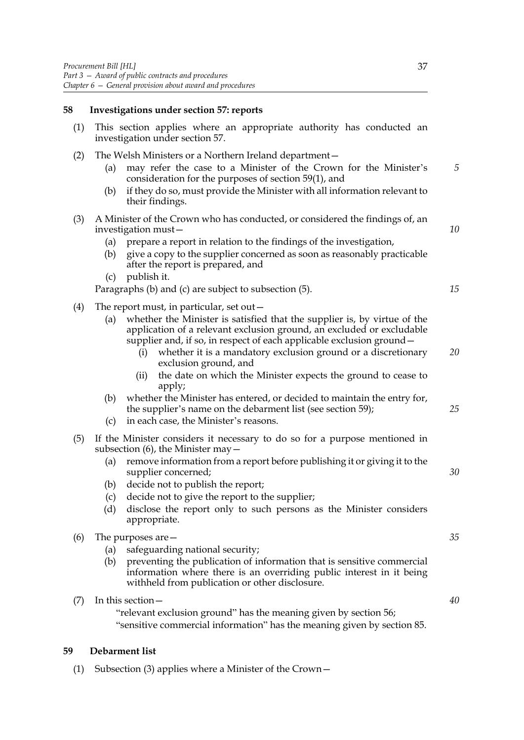# **58 Investigations under section [57:](#page-43-2) reports**

| (1) | This section applies where an appropriate authority has conducted an<br>investigation under section 57.                                                                                                                                                                                                                                                                                                                            |          |
|-----|------------------------------------------------------------------------------------------------------------------------------------------------------------------------------------------------------------------------------------------------------------------------------------------------------------------------------------------------------------------------------------------------------------------------------------|----------|
| (2) | The Welsh Ministers or a Northern Ireland department-<br>may refer the case to a Minister of the Crown for the Minister's<br>(a)<br>consideration for the purposes of section 59(1), and<br>if they do so, must provide the Minister with all information relevant to<br>(b)<br>their findings.                                                                                                                                    | 5        |
| (3) | A Minister of the Crown who has conducted, or considered the findings of, an<br>investigation must-<br>prepare a report in relation to the findings of the investigation,<br>(a)<br>give a copy to the supplier concerned as soon as reasonably practicable<br>(b)<br>after the report is prepared, and<br>publish it.<br>(c)<br>Paragraphs (b) and (c) are subject to subsection (5).                                             | 10<br>15 |
| (4) | The report must, in particular, set out -<br>whether the Minister is satisfied that the supplier is, by virtue of the<br>(a)<br>application of a relevant exclusion ground, an excluded or excludable                                                                                                                                                                                                                              |          |
|     | supplier and, if so, in respect of each applicable exclusion ground -<br>whether it is a mandatory exclusion ground or a discretionary<br>(i)<br>exclusion ground, and<br>the date on which the Minister expects the ground to cease to<br>(ii)<br>apply;                                                                                                                                                                          | 20       |
|     | whether the Minister has entered, or decided to maintain the entry for,<br>(b)<br>the supplier's name on the debarment list (see section 59);<br>in each case, the Minister's reasons.<br>(c)                                                                                                                                                                                                                                      | 25       |
| (5) | If the Minister considers it necessary to do so for a purpose mentioned in<br>subsection $(6)$ , the Minister may $-$<br>remove information from a report before publishing it or giving it to the<br>(a)<br>supplier concerned;<br>decide not to publish the report;<br>(b)<br>decide not to give the report to the supplier;<br>(c)<br>disclose the report only to such persons as the Minister considers<br>(d)<br>appropriate. | 30       |
| (6) | The purposes are $-$<br>safeguarding national security;<br>(a)<br>(b)<br>preventing the publication of information that is sensitive commercial<br>information where there is an overriding public interest in it being<br>withheld from publication or other disclosure.                                                                                                                                                          | 35       |
| (7) | In this section -<br>"relevant exclusion ground" has the meaning given by section 56;<br>"sensitive commercial information" has the meaning given by section 85.                                                                                                                                                                                                                                                                   | 40       |

# <span id="page-44-2"></span><span id="page-44-1"></span><span id="page-44-0"></span>**59 Debarment list**

(1) Subsection [\(3\)](#page-45-1) applies where a Minister of the Crown—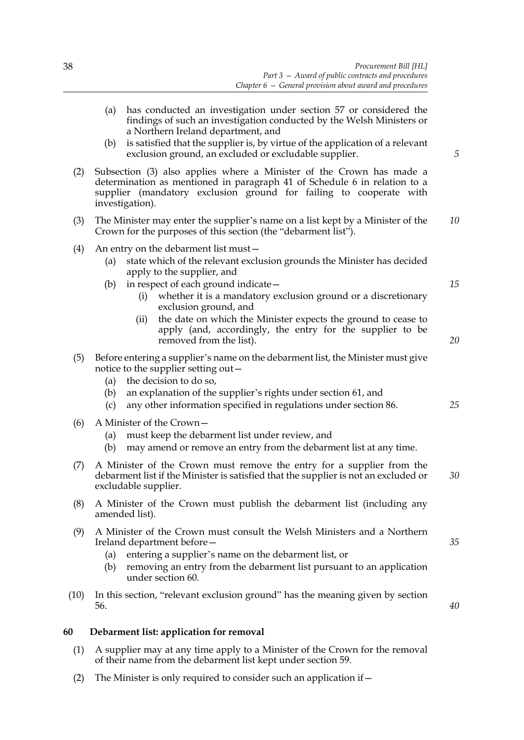*5*

*15*

*20*

*25*

*35*

*40*

- (a) has conducted an investigation under section [57](#page-43-2) or considered the findings of such an investigation conducted by the Welsh Ministers or a Northern Ireland department, and
- (b) is satisfied that the supplier is, by virtue of the application of a relevant exclusion ground, an excluded or excludable supplier.
- (2) Subsection [\(3\)](#page-45-1) also applies where a Minister of the Crown has made a determination as mentioned in paragraph 41 of Schedule [6](#page-98-0) in relation to a supplier (mandatory exclusion ground for failing to cooperate with investigation).
- <span id="page-45-1"></span>(3) The Minister may enter the supplier's name on a list kept by a Minister of the Crown for the purposes of this section (the "debarment list"). *10*
- (4) An entry on the debarment list must—
	- (a) state which of the relevant exclusion grounds the Minister has decided apply to the supplier, and
	- (b) in respect of each ground indicate—
		- (i) whether it is a mandatory exclusion ground or a discretionary exclusion ground, and
		- (ii) the date on which the Minister expects the ground to cease to apply (and, accordingly, the entry for the supplier to be removed from the list).
- (5) Before entering a supplier's name on the debarment list, the Minister must give notice to the supplier setting out—
	- (a) the decision to do so,
	- (b) an explanation of the supplier's rights under section [61](#page-46-0), and
	- (c) any other information specified in regulations under section [86.](#page-62-0)
- (6) A Minister of the Crown—
	- (a) must keep the debarment list under review, and
	- (b) may amend or remove an entry from the debarment list at any time.
- (7) A Minister of the Crown must remove the entry for a supplier from the debarment list if the Minister is satisfied that the supplier is not an excluded or excludable supplier. *30*
- (8) A Minister of the Crown must publish the debarment list (including any amended list).
- (9) A Minister of the Crown must consult the Welsh Ministers and a Northern Ireland department before—
	- (a) entering a supplier's name on the debarment list, or
	- (b) removing an entry from the debarment list pursuant to an application under section [60.](#page-45-0)
- (10) In this section, "relevant exclusion ground" has the meaning given by section [56.](#page-42-2)

### <span id="page-45-0"></span>**60 Debarment list: application for removal**

- <span id="page-45-2"></span>(1) A supplier may at any time apply to a Minister of the Crown for the removal of their name from the debarment list kept under section [59](#page-44-0).
- (2) The Minister is only required to consider such an application if  $-$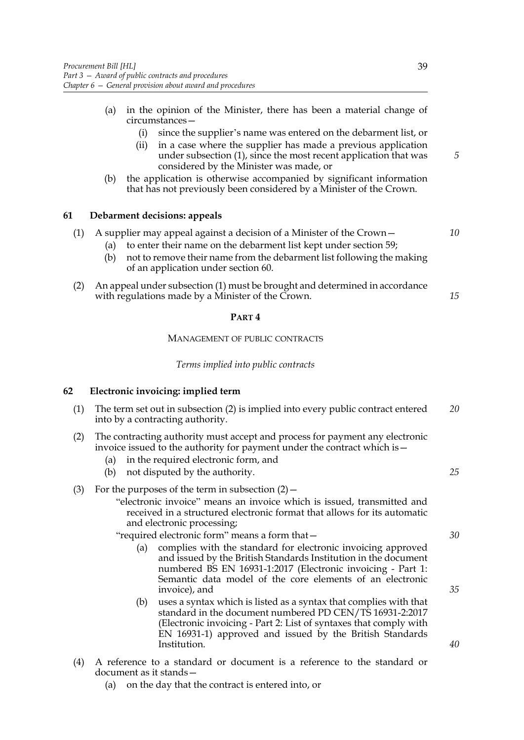- (a) in the opinion of the Minister, there has been a material change of circumstances—
	- (i) since the supplier's name was entered on the debarment list, or
	- (ii) in a case where the supplier has made a previous application under subsection [\(1\),](#page-45-2) since the most recent application that was considered by the Minister was made, or
- (b) the application is otherwise accompanied by significant information that has not previously been considered by a Minister of the Crown.

## <span id="page-46-0"></span>**61 Debarment decisions: appeals**

|  | (1) A supplier may appeal against a decision of a Minister of the Crown - |
|--|---------------------------------------------------------------------------|
|  |                                                                           |

- (a) to enter their name on the debarment list kept under section [59](#page-44-0);
- (b) not to remove their name from the debarment list following the making of an application under section [60](#page-45-0).
- (2) An appeal under subsection (1) must be brought and determined in accordance with regulations made by a Minister of the Crown.

#### **PART 4**

#### MANAGEMENT OF PUBLIC CONTRACTS

#### *Terms implied into public contracts*

### <span id="page-46-2"></span>**62 Electronic invoicing: implied term**

| (1) The term set out in subsection (2) is implied into every public contract entered | 20 |
|--------------------------------------------------------------------------------------|----|
| into by a contracting authority.                                                     |    |
|                                                                                      |    |

- <span id="page-46-1"></span>(2) The contracting authority must accept and process for payment any electronic invoice issued to the authority for payment under the contract which is—
	- (a) in the required electronic form, and
	- (b) not disputed by the authority.

### (3) For the purposes of the term in subsection  $(2)$  -

"electronic invoice" means an invoice which is issued, transmitted and received in a structured electronic format that allows for its automatic and electronic processing;

"required electronic form" means a form that—

- (a) complies with the standard for electronic invoicing approved and issued by the British Standards Institution in the document numbered BS EN 16931-1:2017 (Electronic invoicing - Part 1: Semantic data model of the core elements of an electronic invoice), and
- (b) uses a syntax which is listed as a syntax that complies with that standard in the document numbered PD CEN/TS 16931-2:2017 (Electronic invoicing - Part 2: List of syntaxes that comply with EN 16931-1) approved and issued by the British Standards Institution.
- (4) A reference to a standard or document is a reference to the standard or document as it stands—
	- (a) on the day that the contract is entered into, or

*30*

*25*

*35*

*40*

*15*

*10*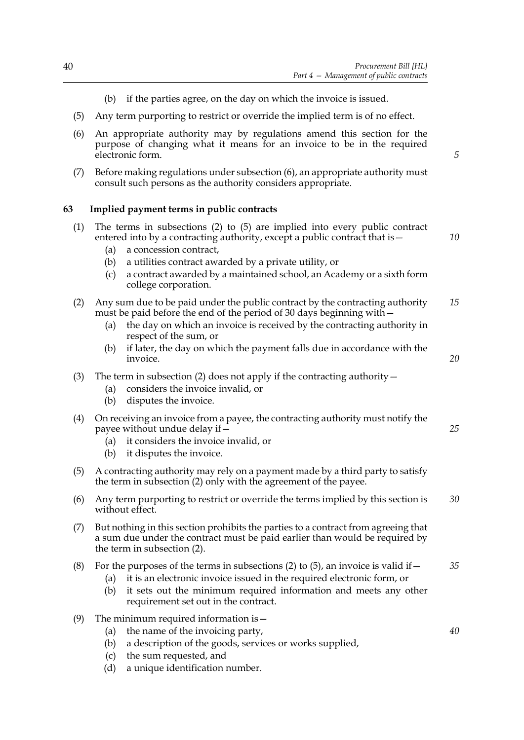*5*

- (b) if the parties agree, on the day on which the invoice is issued.
- (5) Any term purporting to restrict or override the implied term is of no effect.
- <span id="page-47-0"></span>(6) An appropriate authority may by regulations amend this section for the purpose of changing what it means for an invoice to be in the required electronic form.
- (7) Before making regulations under subsection [\(6\)](#page-47-0), an appropriate authority must consult such persons as the authority considers appropriate.

### <span id="page-47-3"></span>**63 Implied payment terms in public contracts**

<span id="page-47-1"></span>

| (1) | The terms in subsections $(2)$ to $(5)$ are implied into every public contract<br>entered into by a contracting authority, except a public contract that is -<br>a concession contract,<br>(a)<br>a utilities contract awarded by a private utility, or<br>(b)<br>a contract awarded by a maintained school, an Academy or a sixth form<br>(c)<br>college corporation. | 10       |
|-----|------------------------------------------------------------------------------------------------------------------------------------------------------------------------------------------------------------------------------------------------------------------------------------------------------------------------------------------------------------------------|----------|
| (2) | Any sum due to be paid under the public contract by the contracting authority<br>must be paid before the end of the period of 30 days beginning with -<br>the day on which an invoice is received by the contracting authority in<br>(a)<br>respect of the sum, or<br>if later, the day on which the payment falls due in accordance with the<br>(b)<br>invoice.       | 15<br>20 |
| (3) | The term in subsection (2) does not apply if the contracting authority $-$<br>considers the invoice invalid, or<br>(a)<br>disputes the invoice.<br>(b)                                                                                                                                                                                                                 |          |
| (4) | On receiving an invoice from a payee, the contracting authority must notify the<br>payee without undue delay if -<br>it considers the invoice invalid, or<br>(a)<br>it disputes the invoice.<br>(b)                                                                                                                                                                    | 25       |
| (5) | A contracting authority may rely on a payment made by a third party to satisfy<br>the term in subsection (2) only with the agreement of the payee.                                                                                                                                                                                                                     |          |
| (6) | Any term purporting to restrict or override the terms implied by this section is<br>without effect.                                                                                                                                                                                                                                                                    | 30       |
| (7) | But nothing in this section prohibits the parties to a contract from agreeing that<br>a sum due under the contract must be paid earlier than would be required by<br>the term in subsection (2).                                                                                                                                                                       |          |
| (8) | For the purposes of the terms in subsections (2) to (5), an invoice is valid if $-$<br>it is an electronic invoice issued in the required electronic form, or<br>(a)<br>it sets out the minimum required information and meets any other<br>(b)<br>requirement set out in the contract.                                                                                | 35       |
| (9) | The minimum required information is -<br>the name of the invoicing party,<br>(a)<br>a description of the goods, services or works supplied,<br>(b)<br>the sum requested, and<br>(c)                                                                                                                                                                                    | 40       |

<span id="page-47-2"></span>(d) a unique identification number.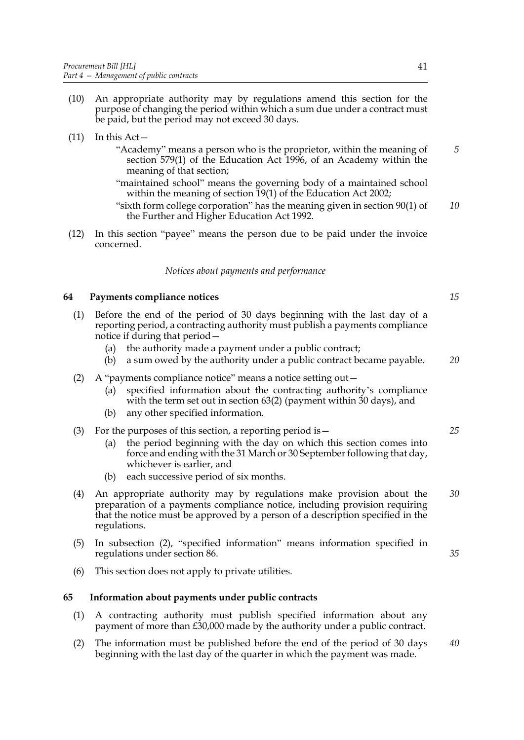- (10) An appropriate authority may by regulations amend this section for the purpose of changing the period within which a sum due under a contract must be paid, but the period may not exceed 30 days.
- $(11)$  In this Act
	- "Academy" means a person who is the proprietor, within the meaning of section 579(1) of the Education Act 1996, of an Academy within the meaning of that section;
	- "maintained school" means the governing body of a maintained school within the meaning of section 19(1) of the Education Act 2002;
	- "sixth form college corporation" has the meaning given in section 90(1) of the Further and Higher Education Act 1992. *10*
- (12) In this section "payee" means the person due to be paid under the invoice concerned.

### *Notices about payments and performance*

### **64 Payments compliance notices**

- (1) Before the end of the period of 30 days beginning with the last day of a reporting period, a contracting authority must publish a payments compliance notice if during that period—
	- (a) the authority made a payment under a public contract;
	- (b) a sum owed by the authority under a public contract became payable. *20*
- <span id="page-48-0"></span>(2) A "payments compliance notice" means a notice setting out—
	- (a) specified information about the contracting authority's compliance with the term set out in section [63\(](#page-47-3)2) (payment within 30 days), and
	- (b) any other specified information.
- (3) For the purposes of this section, a reporting period is—
	- (a) the period beginning with the day on which this section comes into force and ending with the 31 March or 30 September following that day, whichever is earlier, and
	- (b) each successive period of six months.
- (4) An appropriate authority may by regulations make provision about the preparation of a payments compliance notice, including provision requiring that the notice must be approved by a person of a description specified in the regulations. *30*
- (5) In subsection [\(2\)](#page-48-0), "specified information" means information specified in regulations under section [86](#page-62-0).
- (6) This section does not apply to private utilities.

#### **65 Information about payments under public contracts**

- (1) A contracting authority must publish specified information about any payment of more than £30,000 made by the authority under a public contract.
- (2) The information must be published before the end of the period of 30 days beginning with the last day of the quarter in which the payment was made. *40*

*5*

*15*

*25*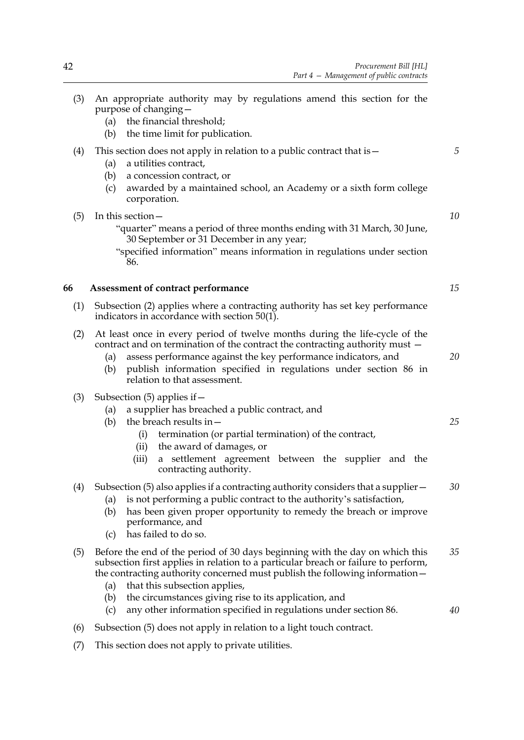- <span id="page-49-1"></span><span id="page-49-0"></span>(3) An appropriate authority may by regulations amend this section for the purpose of changing— (a) the financial threshold; (b) the time limit for publication. (4) This section does not apply in relation to a public contract that is  $-$ (a) a utilities contract, (b) a concession contract, or (c) awarded by a maintained school, an Academy or a sixth form college corporation. (5) In this section— "quarter" means a period of three months ending with 31 March, 30 June, 30 September or 31 December in any year; "specified information" means information in regulations under section [86.](#page-62-0) **66 Assessment of contract performance** (1) Subsection [\(2\)](#page-49-1) applies where a contracting authority has set key performance indicators in accordance with section [50](#page-38-1)[\(1\)](#page-38-2). (2) At least once in every period of twelve months during the life-cycle of the contract and on termination of the contract the contracting authority must — (a) assess performance against the key performance indicators, and (b) publish information specified in regulations under section [86](#page-62-0) in relation to that assessment. (3) Subsection [\(5\)](#page-49-2) applies if— (a) a supplier has breached a public contract, and (b) the breach results in— (i) termination (or partial termination) of the contract, (ii) the award of damages, or (iii) a settlement agreement between the supplier and the contracting authority. (4) Subsection [\(5\)](#page-49-2) also applies if a contracting authority considers that a supplier— (a) is not performing a public contract to the authority's satisfaction, (b) has been given proper opportunity to remedy the breach or improve performance, and (c) has failed to do so. (5) Before the end of the period of 30 days beginning with the day on which this subsection first applies in relation to a particular breach or failure to perform, the contracting authority concerned must publish the following information— (a) that this subsection applies, (b) the circumstances giving rise to its application, and (c) any other information specified in regulations under section [86.](#page-62-0) *5 10 20 30 35 40*
	- (6) Subsection [\(5\)](#page-49-2) does not apply in relation to a light touch contract.
	- (7) This section does not apply to private utilities.

*15*

<span id="page-49-2"></span>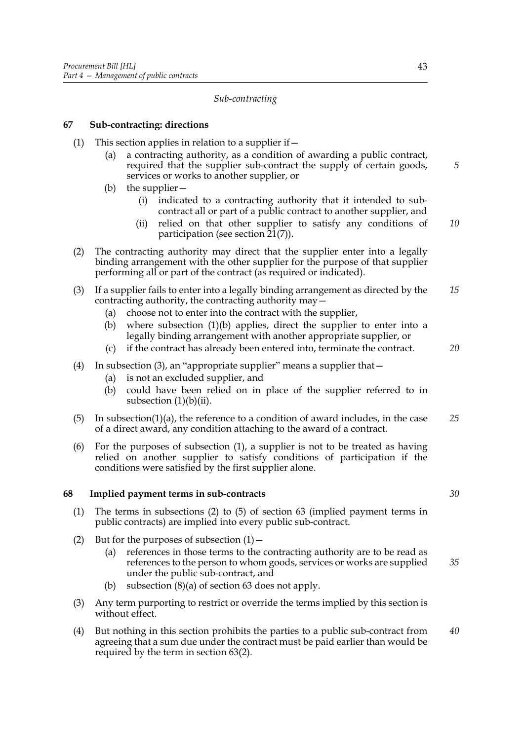### *Sub-contracting*

### **67 Sub-contracting: directions**

- <span id="page-50-3"></span><span id="page-50-0"></span>(1) This section applies in relation to a supplier if  $-$ 
	- (a) a contracting authority, as a condition of awarding a public contract, required that the supplier sub-contract the supply of certain goods, services or works to another supplier, or
	- (b) the supplier—
		- (i) indicated to a contracting authority that it intended to subcontract all or part of a public contract to another supplier, and
		- (ii) relied on that other supplier to satisfy any conditions of participation (see section [21](#page-21-0)[\(7\)](#page-22-0)). *10*
- <span id="page-50-2"></span>(2) The contracting authority may direct that the supplier enter into a legally binding arrangement with the other supplier for the purpose of that supplier performing all or part of the contract (as required or indicated).
- <span id="page-50-1"></span>(3) If a supplier fails to enter into a legally binding arrangement as directed by the contracting authority, the contracting authority may— *15*
	- (a) choose not to enter into the contract with the supplier,
	- (b) where subsection [\(1\)\(b\)](#page-50-0) applies, direct the supplier to enter into a legally binding arrangement with another appropriate supplier, or
	- (c) if the contract has already been entered into, terminate the contract.
- (4) In subsection [\(3\),](#page-50-1) an "appropriate supplier" means a supplier that—
	- (a) is not an excluded supplier, and
	- (b) could have been relied on in place of the supplier referred to in subsection  $(1)(b)(ii)$ .
- $(5)$  In subsectio[n\(1\)\(a\)](#page-21-1), the reference to a condition of award includes, in the case of a direct award, any condition attaching to the award of a contract. *25*
- (6) For the purposes of subsection [\(1\)](#page-50-3), a supplier is not to be treated as having relied on another supplier to satisfy conditions of participation if the conditions were satisfied by the first supplier alone.

## **68 Implied payment terms in sub-contracts**

- <span id="page-50-4"></span>(1) The terms in subsections [\(2\)](#page-27-0) to [\(5\)](#page-47-2) of section [63](#page-47-3) (implied payment terms in public contracts) are implied into every public sub-contract.
- (2) But for the purposes of subsection  $(1)$ 
	- (a) references in those terms to the contracting authority are to be read as references to the person to whom goods, services or works are supplied under the public sub-contract, and *35*
	- (b) subsection (8)(a) of section [63](#page-47-3) does not apply.
- (3) Any term purporting to restrict or override the terms implied by this section is without effect.
- (4) But nothing in this section prohibits the parties to a public sub-contract from agreeing that a sum due under the contract must be paid earlier than would be required by the term in section [63](#page-47-3)(2). *40*

*5*

*30*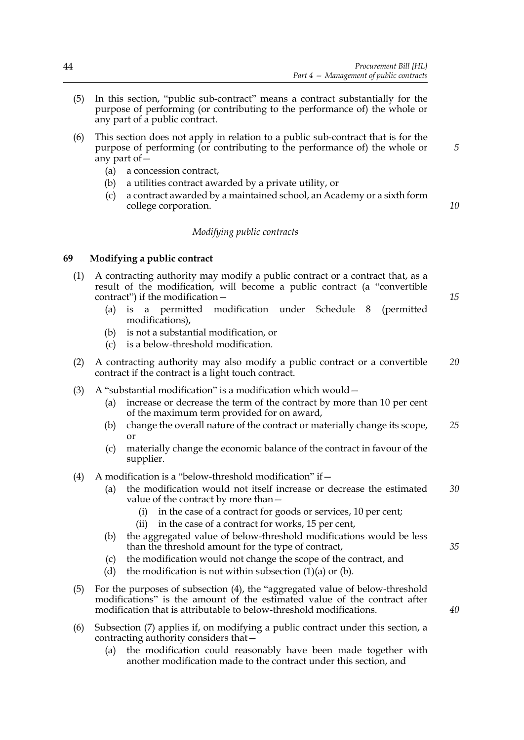- (5) In this section, "public sub-contract" means a contract substantially for the purpose of performing (or contributing to the performance of) the whole or any part of a public contract.
- (6) This section does not apply in relation to a public sub-contract that is for the purpose of performing (or contributing to the performance of) the whole or any part of  $\overline{-}$ 
	- (a) a concession contract,
	- (b) a utilities contract awarded by a private utility, or
	- (c) a contract awarded by a maintained school, an Academy or a sixth form college corporation.

### *Modifying public contracts*

### <span id="page-51-1"></span>**69 Modifying a public contract**

- <span id="page-51-2"></span>(1) A contracting authority may modify a public contract or a contract that, as a result of the modification, will become a public contract (a "convertible contract") if the modification—
	- (a) is a permitted modification under Schedule [8](#page-109-0) (permitted modifications),
	- (b) is not a substantial modification, or
	- (c) is a below-threshold modification.
- (2) A contracting authority may also modify a public contract or a convertible contract if the contract is a light touch contract. *20*
- (3) A "substantial modification" is a modification which would—
	- (a) increase or decrease the term of the contract by more than 10 per cent of the maximum term provided for on award,
	- (b) change the overall nature of the contract or materially change its scope, or *25*
	- (c) materially change the economic balance of the contract in favour of the supplier.
- <span id="page-51-0"></span>(4) A modification is a "below-threshold modification" if  $-$ 
	- (a) the modification would not itself increase or decrease the estimated value of the contract by more than— *30*
		- (i) in the case of a contract for goods or services, 10 per cent;
		- (ii) in the case of a contract for works, 15 per cent,
	- (b) the aggregated value of below-threshold modifications would be less than the threshold amount for the type of contract,
	- (c) the modification would not change the scope of the contract, and
	- (d) the modification is not within subsection  $(1)(a)$  or  $(b)$ .
- (5) For the purposes of subsection [\(4\)](#page-51-0), the "aggregated value of below-threshold modifications" is the amount of the estimated value of the contract after modification that is attributable to below-threshold modifications.
- (6) Subsection [\(7\)](#page-52-0) applies if, on modifying a public contract under this section, a contracting authority considers that—
	- (a) the modification could reasonably have been made together with another modification made to the contract under this section, and

*15*

*10*

*5*

*40*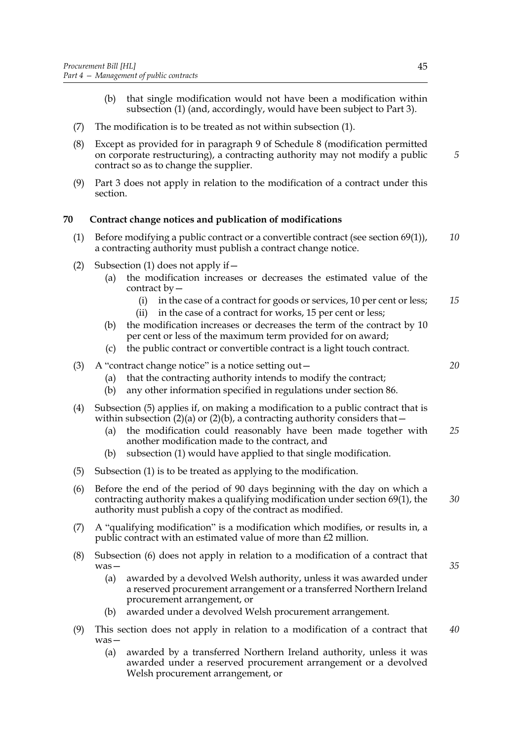- (b) that single modification would not have been a modification within subsection (1) (and, accordingly, would have been subject to Part 3).
- <span id="page-52-0"></span>(7) The modification is to be treated as not within subsection (1).
- (8) Except as provided for in paragraph [9](#page-111-0) of Schedule [8](#page-109-0) (modification permitted on corporate restructuring), a contracting authority may not modify a public contract so as to change the supplier.
- (9) Part 3 does not apply in relation to the modification of a contract under this section.

## **70 Contract change notices and publication of modifications**

- <span id="page-52-1"></span>(1) Before modifying a public contract or a convertible contract (see section [69\(](#page-51-1)1)), a contracting authority must publish a contract change notice. *10*
- <span id="page-52-6"></span><span id="page-52-3"></span>(2) Subsection [\(1\)](#page-52-1) does not apply if—
	- (a) the modification increases or decreases the estimated value of the contract by—
		- (i) in the case of a contract for goods or services, 10 per cent or less; *15*
		- (ii) in the case of a contract for works, 15 per cent or less;
	- (b) the modification increases or decreases the term of the contract by 10 per cent or less of the maximum term provided for on award;
	- (c) the public contract or convertible contract is a light touch contract.
- <span id="page-52-4"></span>(3) A "contract change notice" is a notice setting out  $-$ 
	- (a) that the contracting authority intends to modify the contract;
	- (b) any other information specified in regulations under section [86.](#page-62-0)
- (4) Subsection [\(5\)](#page-52-2) applies if, on making a modification to a public contract that is within subsection [\(2\)\(a\)](#page-52-3) or [\(2\)\(b\)](#page-52-4), a contracting authority considers that  $-$ 
	- (a) the modification could reasonably have been made together with another modification made to the contract, and *25*
	- (b) subsection [\(1\)](#page-52-1) would have applied to that single modification.
- <span id="page-52-2"></span>(5) Subsection [\(1\)](#page-52-1) is to be treated as applying to the modification.
- <span id="page-52-5"></span>(6) Before the end of the period of 90 days beginning with the day on which a contracting authority makes a qualifying modification under section [69](#page-51-1)[\(1\)](#page-51-2), the authority must publish a copy of the contract as modified. *30*
- <span id="page-52-7"></span>(7) A "qualifying modification" is a modification which modifies, or results in, a public contract with an estimated value of more than £2 million.
- (8) Subsection [\(6\)](#page-52-5) does not apply in relation to a modification of a contract that was—
	- (a) awarded by a devolved Welsh authority, unless it was awarded under a reserved procurement arrangement or a transferred Northern Ireland procurement arrangement, or
	- (b) awarded under a devolved Welsh procurement arrangement.
- (9) This section does not apply in relation to a modification of a contract that was— *40*
	- (a) awarded by a transferred Northern Ireland authority, unless it was awarded under a reserved procurement arrangement or a devolved Welsh procurement arrangement, or

*5*

*20*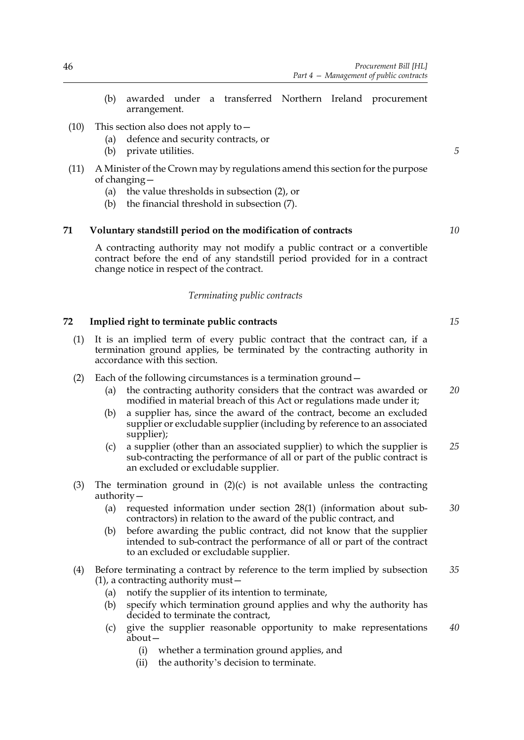- (b) awarded under a transferred Northern Ireland procurement arrangement.
- (10) This section also does not apply to  $-$ 
	- (a) defence and security contracts, or
	- (b) private utilities.
- (11) A Minister of the Crown may by regulations amend this section for the purpose of changing—
	- (a) the value thresholds in subsection [\(2\),](#page-52-6) or
	- (b) the financial threshold in subsection [\(7\)](#page-52-7).

### <span id="page-53-3"></span>**71 Voluntary standstill period on the modification of contracts**

A contracting authority may not modify a public contract or a convertible contract before the end of any standstill period provided for in a contract change notice in respect of the contract.

### *Terminating public contracts*

### **72 Implied right to terminate public contracts**

- <span id="page-53-1"></span>(1) It is an implied term of every public contract that the contract can, if a termination ground applies, be terminated by the contracting authority in accordance with this section.
- <span id="page-53-2"></span>(2) Each of the following circumstances is a termination ground—
	- (a) the contracting authority considers that the contract was awarded or modified in material breach of this Act or regulations made under it; *20*
	- (b) a supplier has, since the award of the contract, become an excluded supplier or excludable supplier (including by reference to an associated supplier);
	- (c) a supplier (other than an associated supplier) to which the supplier is sub-contracting the performance of all or part of the public contract is an excluded or excludable supplier. *25*
- <span id="page-53-0"></span>(3) The termination ground in  $(2)(c)$  is not available unless the contracting authority—
	- (a) requested information under section [28](#page-25-0)(1) (information about subcontractors) in relation to the award of the public contract, and *30*
	- (b) before awarding the public contract, did not know that the supplier intended to sub-contract the performance of all or part of the contract to an excluded or excludable supplier.
- (4) Before terminating a contract by reference to the term implied by subsection [\(1\),](#page-53-1) a contracting authority must— *35*
	- (a) notify the supplier of its intention to terminate,
	- (b) specify which termination ground applies and why the authority has decided to terminate the contract,
	- (c) give the supplier reasonable opportunity to make representations about— *40*
		- (i) whether a termination ground applies, and
		- (ii) the authority's decision to terminate.

*5*

*10*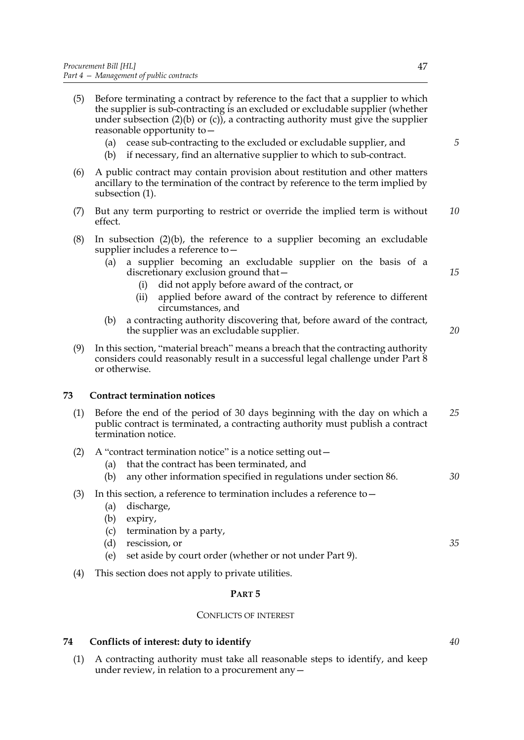- (5) Before terminating a contract by reference to the fact that a supplier to which the supplier is sub-contracting is an excluded or excludable supplier (whether under subsection  $(2)(b)$  or  $(c)$ , a contracting authority must give the supplier reasonable opportunity to—
	- (a) cease sub-contracting to the excluded or excludable supplier, and
	- (b) if necessary, find an alternative supplier to which to sub-contract.
- (6) A public contract may contain provision about restitution and other matters ancillary to the termination of the contract by reference to the term implied by subsection [\(1\).](#page-53-1)
- (7) But any term purporting to restrict or override the implied term is without effect. *10*
- (8) In subsection [\(2\)\(b\),](#page-53-2) the reference to a supplier becoming an excludable supplier includes a reference to—
	- (a) a supplier becoming an excludable supplier on the basis of a discretionary exclusion ground that—
		- (i) did not apply before award of the contract, or
		- (ii) applied before award of the contract by reference to different circumstances, and
	- (b) a contracting authority discovering that, before award of the contract, the supplier was an excludable supplier.
- (9) In this section, "material breach" means a breach that the contracting authority considers could reasonably result in a successful legal challenge under Part 8 or otherwise.

### <span id="page-54-1"></span>**73 Contract termination notices**

- (1) Before the end of the period of 30 days beginning with the day on which a public contract is terminated, a contracting authority must publish a contract termination notice. *25*
- (2) A "contract termination notice" is a notice setting out  $-$ 
	- (a) that the contract has been terminated, and
	- (b) any other information specified in regulations under section [86.](#page-62-0) *30*
- <span id="page-54-2"></span>(3) In this section, a reference to termination includes a reference to  $-$ 
	- (a) discharge,
	- (b) expiry,
	- (c) termination by a party,
	- (d) rescission, or
	- (e) set aside by court order (whether or not under Part 9).
- (4) This section does not apply to private utilities.

#### **PART 5**

#### CONFLICTS OF INTEREST

### <span id="page-54-0"></span>**74 Conflicts of interest: duty to identify**

(1) A contracting authority must take all reasonable steps to identify, and keep under review, in relation to a procurement any  $-$ 

*5*

*15*

*20*

*40*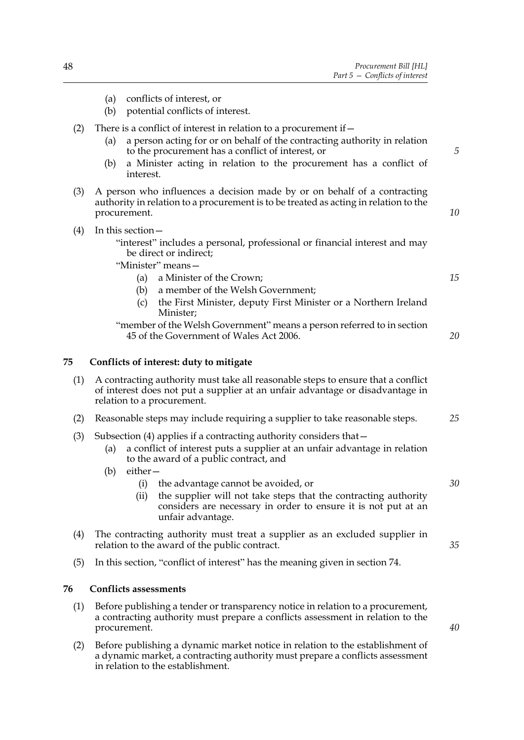<span id="page-55-1"></span>

|     | conflicts of interest, or<br>(a)<br>potential conflicts of interest.<br>(b)                                                                                                                                                                                                                          |    |
|-----|------------------------------------------------------------------------------------------------------------------------------------------------------------------------------------------------------------------------------------------------------------------------------------------------------|----|
| (2) | There is a conflict of interest in relation to a procurement if –<br>a person acting for or on behalf of the contracting authority in relation<br>(a)<br>to the procurement has a conflict of interest, or<br>a Minister acting in relation to the procurement has a conflict of<br>(b)<br>interest. | 5  |
| (3) | A person who influences a decision made by or on behalf of a contracting<br>authority in relation to a procurement is to be treated as acting in relation to the<br>procurement.                                                                                                                     | 10 |
| (4) | In this section -<br>"interest" includes a personal, professional or financial interest and may<br>be direct or indirect;<br>"Minister" means-<br>a Minister of the Crown;<br>(a)<br>a member of the Welsh Government;<br>(b)                                                                        | 15 |
|     | the First Minister, deputy First Minister or a Northern Ireland<br>(c)<br>Minister;<br>"member of the Welsh Government" means a person referred to in section<br>45 of the Government of Wales Act 2006.                                                                                             | 20 |
| 75  | Conflicts of interest: duty to mitigate                                                                                                                                                                                                                                                              |    |
| (1) | A contracting authority must take all reasonable steps to ensure that a conflict<br>of interest does not put a supplier at an unfair advantage or disadvantage in<br>relation to a procurement.                                                                                                      |    |
| (2) | Reasonable steps may include requiring a supplier to take reasonable steps.                                                                                                                                                                                                                          | 25 |
| (3) | Subsection $(4)$ applies if a contracting authority considers that $-$<br>a conflict of interest puts a supplier at an unfair advantage in relation<br>(a)<br>to the award of a public contract, and<br>$either-$<br>(b)                                                                             |    |
|     | the advantage cannot be avoided, or<br>(i)<br>the supplier will not take steps that the contracting authority<br>(ii)<br>considers are necessary in order to ensure it is not put at an<br>unfair advantage.                                                                                         | 30 |
| (4) | The contracting authority must treat a supplier as an excluded supplier in<br>relation to the award of the public contract.                                                                                                                                                                          | 35 |
| (5) | In this section, "conflict of interest" has the meaning given in section 74.                                                                                                                                                                                                                         |    |
| 76  | <b>Conflicts assessments</b>                                                                                                                                                                                                                                                                         |    |
| (1) | Before publishing a tender or transparency notice in relation to a procurement,<br>a contracting authority must prepare a conflicts assessment in relation to the<br>procurement.                                                                                                                    | 40 |

<span id="page-55-0"></span>(2) Before publishing a dynamic market notice in relation to the establishment of a dynamic market, a contracting authority must prepare a conflicts assessment in relation to the establishment.

*20*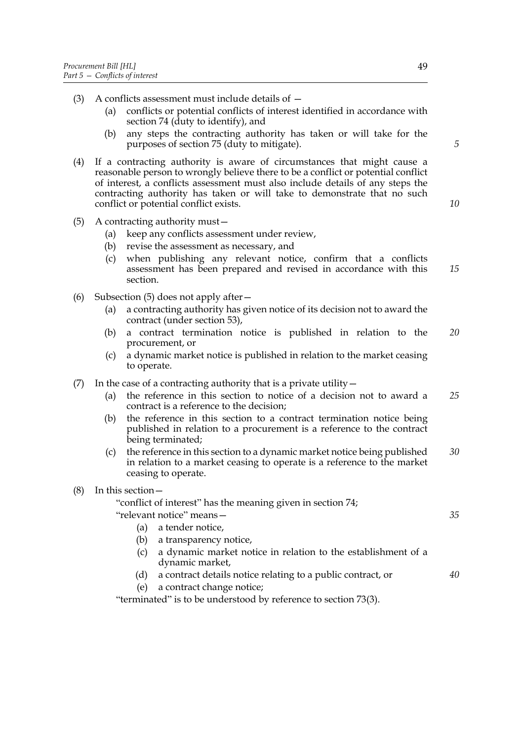- (3) A conflicts assessment must include details of
	- (a) conflicts or potential conflicts of interest identified in accordance with section [74](#page-54-0) ( $\frac{du}{dt}$  to identify), and
	- (b) any steps the contracting authority has taken or will take for the purposes of section [75](#page-55-1) (duty to mitigate).
- (4) If a contracting authority is aware of circumstances that might cause a reasonable person to wrongly believe there to be a conflict or potential conflict of interest, a conflicts assessment must also include details of any steps the contracting authority has taken or will take to demonstrate that no such conflict or potential conflict exists.
- <span id="page-56-0"></span>(5) A contracting authority must—
	- (a) keep any conflicts assessment under review,
	- (b) revise the assessment as necessary, and
	- (c) when publishing any relevant notice, confirm that a conflicts assessment has been prepared and revised in accordance with this section. *15*
- (6) Subsection [\(5\)](#page-56-0) does not apply after—
	- (a) a contracting authority has given notice of its decision not to award the contract (under section [53](#page-40-2)),
	- (b) a contract termination notice is published in relation to the procurement, or *20*
	- (c) a dynamic market notice is published in relation to the market ceasing to operate.
- (7) In the case of a contracting authority that is a private utility  $-$ 
	- (a) the reference in this section to notice of a decision not to award a contract is a reference to the decision; *25*
	- (b) the reference in this section to a contract termination notice being published in relation to a procurement is a reference to the contract being terminated;
	- (c) the reference in this section to a dynamic market notice being published in relation to a market ceasing to operate is a reference to the market ceasing to operate. *30*
- (8) In this section—

"conflict of interest" has the meaning given in section [74](#page-54-0);

"relevant notice" means—

- (a) a tender notice,
- (b) a transparency notice,
- (c) a dynamic market notice in relation to the establishment of a dynamic market,
- (d) a contract details notice relating to a public contract, or
- (e) a contract change notice;

"terminated" is to be understood by reference to section [73](#page-54-1)[\(3\)](#page-54-2).

*5*

*10*

*40*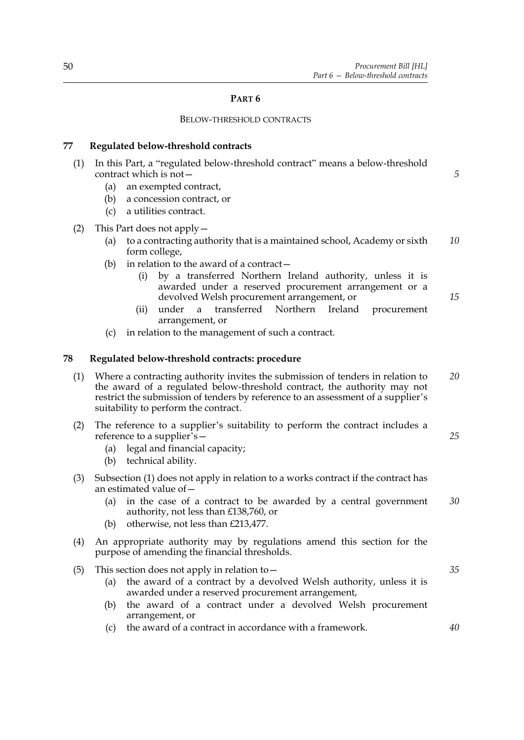#### **PART 6**

#### BELOW-THRESHOLD CONTRACTS

#### **77 Regulated below-threshold contracts**

- (1) In this Part, a "regulated below-threshold contract" means a below-threshold contract which is not—
	- (a) an exempted contract,
	- (b) a concession contract, or
	- (c) a utilities contract.
- (2) This Part does not apply—
	- (a) to a contracting authority that is a maintained school, Academy or sixth form college, *10*
	- (b) in relation to the award of a contract  $-$ 
		- (i) by a transferred Northern Ireland authority, unless it is awarded under a reserved procurement arrangement or a devolved Welsh procurement arrangement, or
		- (ii) under a transferred Northern Ireland procurement arrangement, or
	- (c) in relation to the management of such a contract.

#### **78 Regulated below-threshold contracts: procedure**

- <span id="page-57-0"></span>(1) Where a contracting authority invites the submission of tenders in relation to the award of a regulated below-threshold contract, the authority may not restrict the submission of tenders by reference to an assessment of a supplier's suitability to perform the contract. *20*
- (2) The reference to a supplier's suitability to perform the contract includes a reference to a supplier's—
	- (a) legal and financial capacity;
	- (b) technical ability.
- (3) Subsection [\(1\)](#page-57-0) does not apply in relation to a works contract if the contract has an estimated value of—
	- (a) in the case of a contract to be awarded by a central government authority, not less than £138,760, or *30*
	- (b) otherwise, not less than £213,477.
- (4) An appropriate authority may by regulations amend this section for the purpose of amending the financial thresholds.
- (5) This section does not apply in relation to  $-$ 
	- (a) the award of a contract by a devolved Welsh authority, unless it is awarded under a reserved procurement arrangement,
	- (b) the award of a contract under a devolved Welsh procurement arrangement, or
	- (c) the award of a contract in accordance with a framework. *40*

*35*

*5*

*15*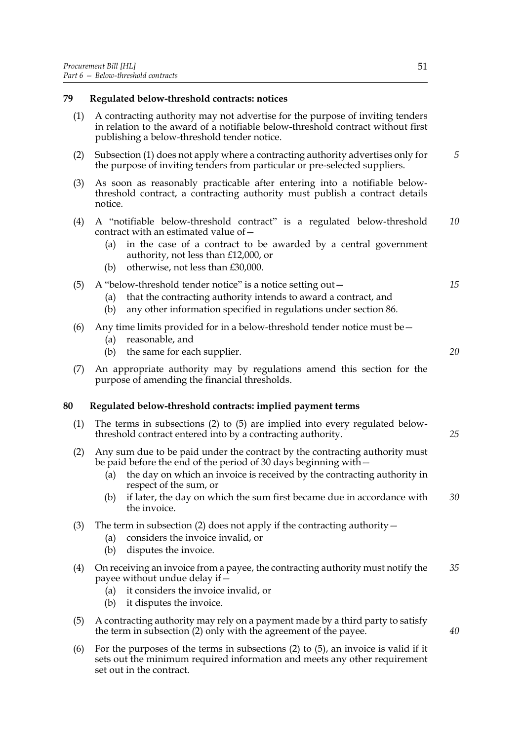#### **79 Regulated below-threshold contracts: notices**

- <span id="page-58-0"></span>(1) A contracting authority may not advertise for the purpose of inviting tenders in relation to the award of a notifiable below-threshold contract without first publishing a below-threshold tender notice.
- (2) Subsection [\(1\)](#page-58-0) does not apply where a contracting authority advertises only for the purpose of inviting tenders from particular or pre-selected suppliers.
- (3) As soon as reasonably practicable after entering into a notifiable belowthreshold contract, a contracting authority must publish a contract details notice.
- (4) A "notifiable below-threshold contract" is a regulated below-threshold contract with an estimated value of— *10*
	- (a) in the case of a contract to be awarded by a central government authority, not less than £12,000, or
	- (b) otherwise, not less than £30,000.

#### (5) A "below-threshold tender notice" is a notice setting out $-$

- (a) that the contracting authority intends to award a contract, and
- (b) any other information specified in regulations under section [86.](#page-62-0)
- (6) Any time limits provided for in a below-threshold tender notice must be—
	- (a) reasonable, and
	- (b) the same for each supplier.
- (7) An appropriate authority may by regulations amend this section for the purpose of amending the financial thresholds.

#### **80 Regulated below-threshold contracts: implied payment terms**

- <span id="page-58-3"></span>(1) The terms in subsections [\(2\)](#page-58-1) to [\(5\)](#page-58-2) are implied into every regulated belowthreshold contract entered into by a contracting authority. *25*
- <span id="page-58-1"></span>(2) Any sum due to be paid under the contract by the contracting authority must be paid before the end of the period of 30 days beginning with—
	- (a) the day on which an invoice is received by the contracting authority in respect of the sum, or
	- (b) if later, the day on which the sum first became due in accordance with the invoice. *30*
- (3) The term in subsection [\(2\)](#page-58-1) does not apply if the contracting authority—
	- (a) considers the invoice invalid, or
	- (b) disputes the invoice.
- (4) On receiving an invoice from a payee, the contracting authority must notify the payee without undue delay if— *35*
	- (a) it considers the invoice invalid, or
	- (b) it disputes the invoice.
- <span id="page-58-2"></span>(5) A contracting authority may rely on a payment made by a third party to satisfy the term in subsection [\(2\)](#page-58-1) only with the agreement of the payee.
- (6) For the purposes of the terms in subsections [\(2\)](#page-58-1) to [\(5\)](#page-58-2), an invoice is valid if it sets out the minimum required information and meets any other requirement set out in the contract.

*5*

*15*

*20*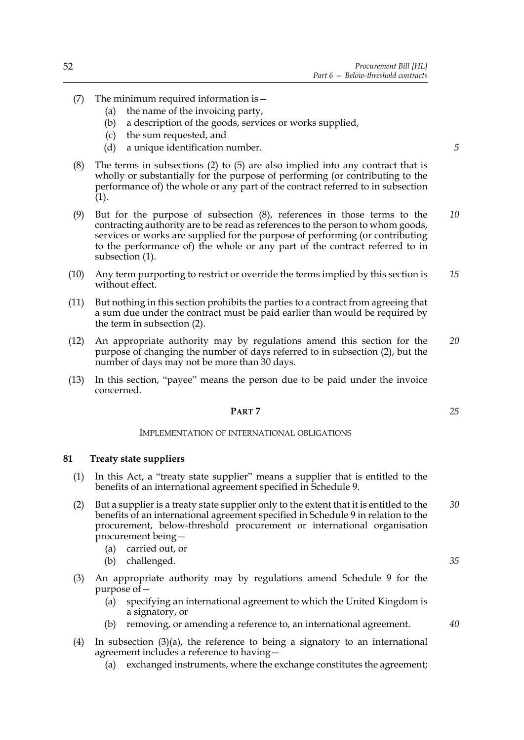- (7) The minimum required information is—
	- (a) the name of the invoicing party,
	- (b) a description of the goods, services or works supplied,
	- (c) the sum requested, and
	- (d) a unique identification number.
- <span id="page-59-0"></span>(8) The terms in subsections [\(2\)](#page-58-1) to [\(5\)](#page-58-2) are also implied into any contract that is wholly or substantially for the purpose of performing (or contributing to the performance of) the whole or any part of the contract referred to in subsection  $(1).$
- (9) But for the purpose of subsection [\(8\)](#page-59-0), references in those terms to the contracting authority are to be read as references to the person to whom goods, services or works are supplied for the purpose of performing (or contributing to the performance of) the whole or any part of the contract referred to in subsection [\(1\).](#page-58-3) *10*
- (10) Any term purporting to restrict or override the terms implied by this section is without effect. *15*
- (11) But nothing in this section prohibits the parties to a contract from agreeing that a sum due under the contract must be paid earlier than would be required by the term in subsection [\(2\).](#page-58-1)
- (12) An appropriate authority may by regulations amend this section for the purpose of changing the number of days referred to in subsection [\(2\),](#page-58-1) but the number of days may not be more than 30 days. *20*
- (13) In this section, "payee" means the person due to be paid under the invoice concerned.

### **PART 7**

#### IMPLEMENTATION OF INTERNATIONAL OBLIGATIONS

#### <span id="page-59-2"></span>**81 Treaty state suppliers**

- (1) In this Act, a "treaty state supplier" means a supplier that is entitled to the benefits of an international agreement specified in Schedule [9](#page-112-0).
- (2) But a supplier is a treaty state supplier only to the extent that it is entitled to the benefits of an international agreement specified in Schedule [9](#page-112-0) in relation to the procurement, below-threshold procurement or international organisation procurement being— *30*
	- (a) carried out, or
	- (b) challenged.
- <span id="page-59-1"></span>(3) An appropriate authority may by regulations amend Schedule [9](#page-112-0) for the purpose of—
	- (a) specifying an international agreement to which the United Kingdom is a signatory, or
	- (b) removing, or amending a reference to, an international agreement.
- (4) In subsection [\(3\)\(a\)](#page-59-1), the reference to being a signatory to an international agreement includes a reference to having—
	- (a) exchanged instruments, where the exchange constitutes the agreement;

*35*

*40*

*25*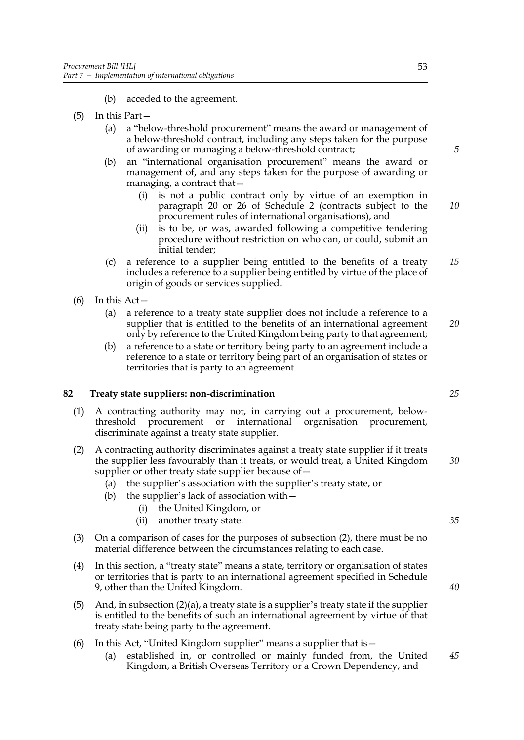- (b) acceded to the agreement.
- (5) In this Part—
	- (a) a "below-threshold procurement" means the award or management of a below-threshold contract, including any steps taken for the purpose of awarding or managing a below-threshold contract;
	- (b) an "international organisation procurement" means the award or management of, and any steps taken for the purpose of awarding or managing, a contract that—
		- (i) is not a public contract only by virtue of an exemption in paragraph 20 or 26 of Schedule [2](#page-83-0) (contracts subject to the procurement rules of international organisations), and
		- (ii) is to be, or was, awarded following a competitive tendering procedure without restriction on who can, or could, submit an initial tender;
	- (c) a reference to a supplier being entitled to the benefits of a treaty includes a reference to a supplier being entitled by virtue of the place of origin of goods or services supplied.
- $(6)$  In this Act
	- (a) a reference to a treaty state supplier does not include a reference to a supplier that is entitled to the benefits of an international agreement only by reference to the United Kingdom being party to that agreement; *20*
	- (b) a reference to a state or territory being party to an agreement include a reference to a state or territory being part of an organisation of states or territories that is party to an agreement.

### <span id="page-60-1"></span>**82 Treaty state suppliers: non-discrimination**

- (1) A contracting authority may not, in carrying out a procurement, belowthreshold procurement or international organisation procurement, discriminate against a treaty state supplier.
- <span id="page-60-0"></span>(2) A contracting authority discriminates against a treaty state supplier if it treats the supplier less favourably than it treats, or would treat, a United Kingdom supplier or other treaty state supplier because of—
	- (a) the supplier's association with the supplier's treaty state, or
	- (b) the supplier's lack of association with—
		- (i) the United Kingdom, or
		- (ii) another treaty state.
- (3) On a comparison of cases for the purposes of subsection (2), there must be no material difference between the circumstances relating to each case.
- (4) In this section, a "treaty state" means a state, territory or organisation of states or territories that is party to an international agreement specified in Schedule [9](#page-112-0), other than the United Kingdom.
- (5) And, in subsection  $(2)(a)$ , a treaty state is a supplier's treaty state if the supplier is entitled to the benefits of such an international agreement by virtue of that treaty state being party to the agreement.
- (6) In this Act, "United Kingdom supplier" means a supplier that is—
	- (a) established in, or controlled or mainly funded from, the United Kingdom, a British Overseas Territory or a Crown Dependency, and *45*

*15*

*5*

*10*

*25*

*30*

*35*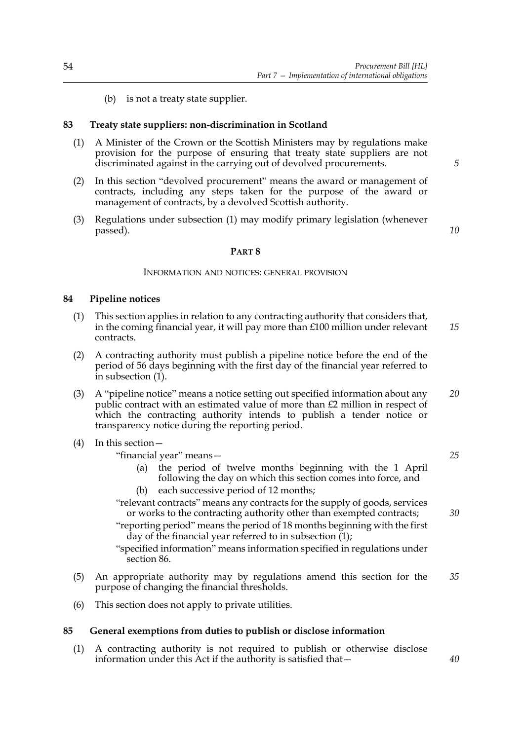(b) is not a treaty state supplier.

### <span id="page-61-3"></span>**83 Treaty state suppliers: non-discrimination in Scotland**

- <span id="page-61-1"></span>(1) A Minister of the Crown or the Scottish Ministers may by regulations make provision for the purpose of ensuring that treaty state suppliers are not discriminated against in the carrying out of devolved procurements.
- (2) In this section "devolved procurement" means the award or management of contracts, including any steps taken for the purpose of the award or management of contracts, by a devolved Scottish authority.
- (3) Regulations under subsection [\(1\)](#page-61-1) may modify primary legislation (whenever passed).

*10*

*5*

#### **PART 8**

#### INFORMATION AND NOTICES: GENERAL PROVISION

#### **84 Pipeline notices**

- <span id="page-61-2"></span>(1) This section applies in relation to any contracting authority that considers that, in the coming financial year, it will pay more than £100 million under relevant contracts. *15*
- (2) A contracting authority must publish a pipeline notice before the end of the period of 56 days beginning with the first day of the financial year referred to in subsection [\(1\)](#page-61-2).
- (3) A "pipeline notice" means a notice setting out specified information about any public contract with an estimated value of more than £2 million in respect of which the contracting authority intends to publish a tender notice or transparency notice during the reporting period. *20*

#### (4) In this section—

"financial year" means—

- (a) the period of twelve months beginning with the 1 April following the day on which this section comes into force, and
- (b) each successive period of 12 months;

"relevant contracts" means any contracts for the supply of goods, services or works to the contracting authority other than exempted contracts;

"reporting period" means the period of 18 months beginning with the first day of the financial year referred to in subsection [\(1\);](#page-61-2)

"specified information" means information specified in regulations under section [86.](#page-62-0)

- (5) An appropriate authority may by regulations amend this section for the purpose of changing the financial thresholds. *35*
- (6) This section does not apply to private utilities.

#### <span id="page-61-0"></span>**85 General exemptions from duties to publish or disclose information**

(1) A contracting authority is not required to publish or otherwise disclose information under this Act if the authority is satisfied that*25*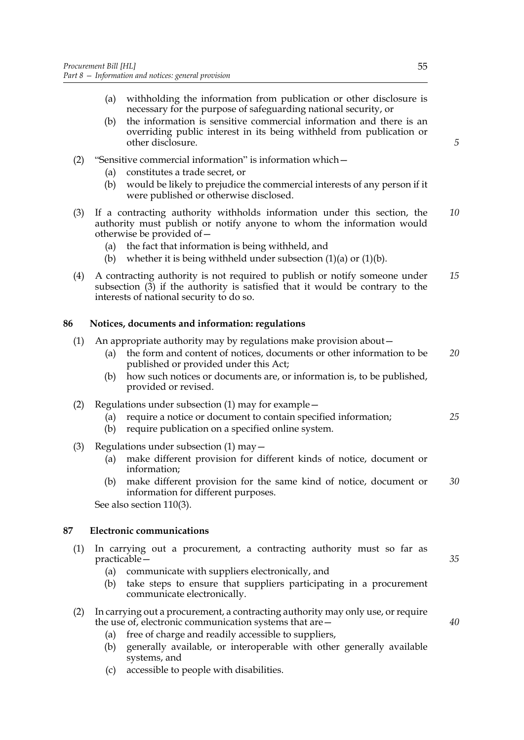- <span id="page-62-1"></span>(a) withholding the information from publication or other disclosure is necessary for the purpose of safeguarding national security, or
- (b) the information is sensitive commercial information and there is an overriding public interest in its being withheld from publication or other disclosure.
- <span id="page-62-2"></span>(2) "Sensitive commercial information" is information which—
	- (a) constitutes a trade secret, or
	- (b) would be likely to prejudice the commercial interests of any person if it were published or otherwise disclosed.
- <span id="page-62-3"></span>(3) If a contracting authority withholds information under this section, the authority must publish or notify anyone to whom the information would otherwise be provided of— *10*
	- (a) the fact that information is being withheld, and
	- (b) whether it is being withheld under subsection  $(1)(a)$  or  $(1)(b)$ .
- (4) A contracting authority is not required to publish or notify someone under subsection [\(3\)](#page-62-3) if the authority is satisfied that it would be contrary to the interests of national security to do so. *15*

### <span id="page-62-0"></span>**86 Notices, documents and information: regulations**

- (1) An appropriate authority may by regulations make provision about—
	- (a) the form and content of notices, documents or other information to be published or provided under this Act; *20*
	- (b) how such notices or documents are, or information is, to be published, provided or revised.
- (2) Regulations under subsection (1) may for example—
	- (a) require a notice or document to contain specified information; *25*
	- (b) require publication on a specified online system.
- (3) Regulations under subsection (1) may—
	- (a) make different provision for different kinds of notice, document or information;
	- (b) make different provision for the same kind of notice, document or information for different purposes. *30*

See also section [110](#page-75-0)(3).

### **87 Electronic communications**

- <span id="page-62-4"></span>(1) In carrying out a procurement, a contracting authority must so far as practicable—
	- (a) communicate with suppliers electronically, and
	- (b) take steps to ensure that suppliers participating in a procurement communicate electronically.
- (2) In carrying out a procurement, a contracting authority may only use, or require the use of, electronic communication systems that are—
	- (a) free of charge and readily accessible to suppliers,
	- (b) generally available, or interoperable with other generally available systems, and
	- (c) accessible to people with disabilities.

*5*

*35*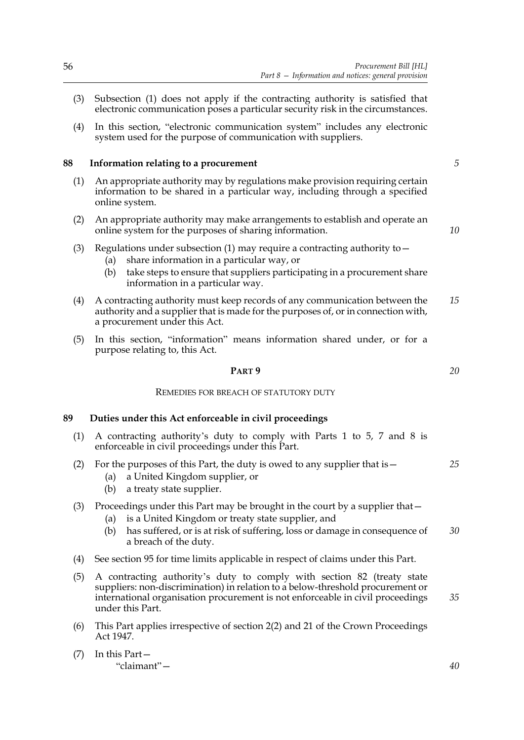- (3) Subsection [\(1\)](#page-62-4) does not apply if the contracting authority is satisfied that electronic communication poses a particular security risk in the circumstances.
- (4) In this section, "electronic communication system" includes any electronic system used for the purpose of communication with suppliers.

### **88 Information relating to a procurement**

- <span id="page-63-0"></span>(1) An appropriate authority may by regulations make provision requiring certain information to be shared in a particular way, including through a specified online system.
- (2) An appropriate authority may make arrangements to establish and operate an online system for the purposes of sharing information.
- (3) Regulations under subsection [\(1\)](#page-63-0) may require a contracting authority to  $-$ 
	- (a) share information in a particular way, or
	- (b) take steps to ensure that suppliers participating in a procurement share information in a particular way.
- (4) A contracting authority must keep records of any communication between the authority and a supplier that is made for the purposes of, or in connection with, a procurement under this Act. *15*
- (5) In this section, "information" means information shared under, or for a purpose relating to, this Act.

### **PART 9**

#### REMEDIES FOR BREACH OF STATUTORY DUTY

### <span id="page-63-1"></span>**89 Duties under this Act enforceable in civil proceedings**

- <span id="page-63-2"></span>(1) A contracting authority's duty to comply with Parts 1 to 5, 7 and 8 is enforceable in civil proceedings under this Part.
- (2) For the purposes of this Part, the duty is owed to any supplier that is—
	- (a) a United Kingdom supplier, or
	- (b) a treaty state supplier.

## (3) Proceedings under this Part may be brought in the court by a supplier that—

- (a) is a United Kingdom or treaty state supplier, and
- (b) has suffered, or is at risk of suffering, loss or damage in consequence of a breach of the duty. *30*
- (4) See section [95](#page-67-0) for time limits applicable in respect of claims under this Part.
- (5) A contracting authority's duty to comply with section [82](#page-60-1) (treaty state suppliers: non-discrimination) in relation to a below-threshold procurement or international organisation procurement is not enforceable in civil proceedings under this Part. *35*
- (6) This Part applies irrespective of section 2(2) and 21 of the Crown Proceedings Act 1947.
- (7) In this Part— "claimant"—

*40*

*5*

*10*

*20*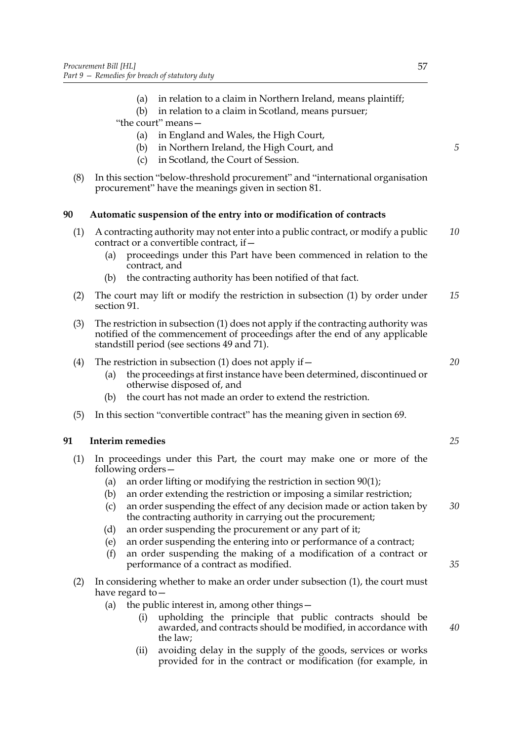- (a) in relation to a claim in Northern Ireland, means plaintiff;
- (b) in relation to a claim in Scotland, means pursuer;
- "the court" means—
	- (a) in England and Wales, the High Court,
	- (b) in Northern Ireland, the High Court, and
	- (c) in Scotland, the Court of Session.
- (8) In this section "below-threshold procurement" and "international organisation procurement" have the meanings given in section [81.](#page-59-2)

### <span id="page-64-1"></span>**90 Automatic suspension of the entry into or modification of contracts**

- <span id="page-64-2"></span>(1) A contracting authority may not enter into a public contract, or modify a public contract or a convertible contract, if— *10*
	- (a) proceedings under this Part have been commenced in relation to the contract, and
	- (b) the contracting authority has been notified of that fact.
- (2) The court may lift or modify the restriction in subsection (1) by order under section [91.](#page-64-0) *15*
- (3) The restriction in subsection (1) does not apply if the contracting authority was notified of the commencement of proceedings after the end of any applicable standstill period (see sections [49](#page-37-3) and [71](#page-53-3)).

### (4) The restriction in subsection (1) does not apply if  $-$

- (a) the proceedings at first instance have been determined, discontinued or otherwise disposed of, and
- (b) the court has not made an order to extend the restriction.
- (5) In this section "convertible contract" has the meaning given in section [69](#page-51-1).

### <span id="page-64-0"></span>**91 Interim remedies**

- (1) In proceedings under this Part, the court may make one or more of the following orders—
	- (a) an order lifting or modifying the restriction in section [90](#page-64-1)[\(1\)](#page-64-2);
	- (b) an order extending the restriction or imposing a similar restriction;
	- (c) an order suspending the effect of any decision made or action taken by the contracting authority in carrying out the procurement; *30*
	- (d) an order suspending the procurement or any part of it;
	- (e) an order suspending the entering into or performance of a contract;
	- (f) an order suspending the making of a modification of a contract or performance of a contract as modified.
- (2) In considering whether to make an order under subsection (1), the court must have regard to—
	- (a) the public interest in, among other things—
		- (i) upholding the principle that public contracts should be awarded, and contracts should be modified, in accordance with the law;
		- (ii) avoiding delay in the supply of the goods, services or works provided for in the contract or modification (for example, in

*5*

*25*

*20*

*35*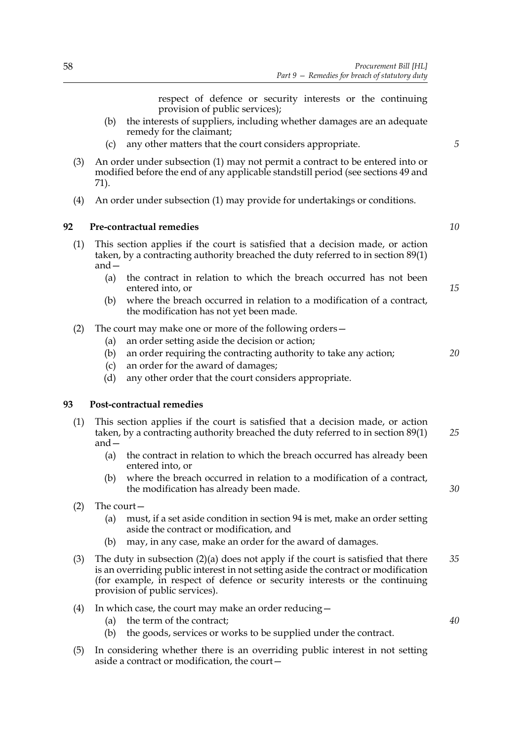respect of defence or security interests or the continuing provision of public services);

- (b) the interests of suppliers, including whether damages are an adequate remedy for the claimant;
- (c) any other matters that the court considers appropriate.
- (3) An order under subsection (1) may not permit a contract to be entered into or modified before the end of any applicable standstill period (see sections [49](#page-37-3) and [71\)](#page-53-3).
- (4) An order under subsection (1) may provide for undertakings or conditions.

### <span id="page-65-2"></span>**92 Pre-contractual remedies**

- (1) This section applies if the court is satisfied that a decision made, or action taken, by a contracting authority breached the duty referred to in section [89](#page-63-1)[\(1\)](#page-63-2) and—
	- (a) the contract in relation to which the breach occurred has not been entered into, or
	- (b) where the breach occurred in relation to a modification of a contract, the modification has not yet been made.
- (2) The court may make one or more of the following orders—
	- (a) an order setting aside the decision or action;
	- (b) an order requiring the contracting authority to take any action;
	- (c) an order for the award of damages;
	- (d) any other order that the court considers appropriate.

#### <span id="page-65-3"></span>**93 Post-contractual remedies**

- <span id="page-65-0"></span>(1) This section applies if the court is satisfied that a decision made, or action taken, by a contracting authority breached the duty referred to in section [89](#page-63-1)[\(1\)](#page-65-0) and— *25*
	- (a) the contract in relation to which the breach occurred has already been entered into, or
	- (b) where the breach occurred in relation to a modification of a contract, the modification has already been made.
- <span id="page-65-4"></span><span id="page-65-1"></span>(2) The court—
	- (a) must, if a set aside condition in section [94](#page-66-0) is met, make an order setting aside the contract or modification, and
	- (b) may, in any case, make an order for the award of damages.
- (3) The duty in subsection [\(2\)\(a\)](#page-65-1) does not apply if the court is satisfied that there is an overriding public interest in not setting aside the contract or modification (for example, in respect of defence or security interests or the continuing provision of public services). *35*
- (4) In which case, the court may make an order reducing—
	- (a) the term of the contract;
	- (b) the goods, services or works to be supplied under the contract.
- (5) In considering whether there is an overriding public interest in not setting aside a contract or modification, the court—

*5*

*15*

*10*

*20*

*30*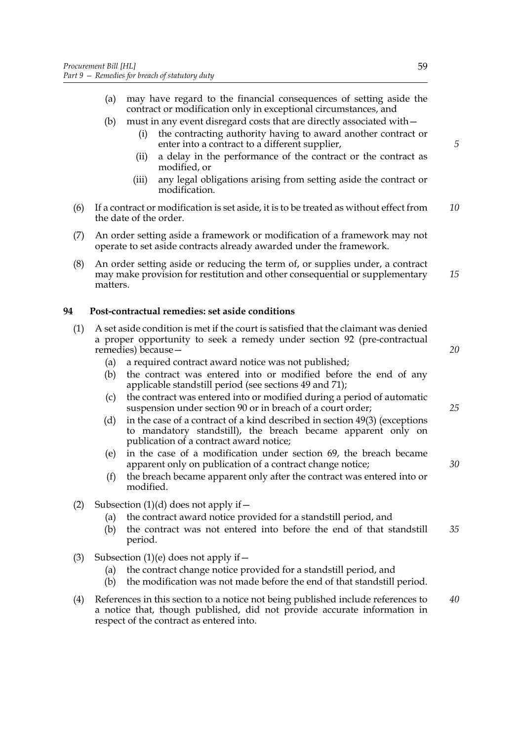- (a) may have regard to the financial consequences of setting aside the contract or modification only in exceptional circumstances, and
- (b) must in any event disregard costs that are directly associated with—
	- (i) the contracting authority having to award another contract or enter into a contract to a different supplier,
	- (ii) a delay in the performance of the contract or the contract as modified, or
	- (iii) any legal obligations arising from setting aside the contract or modification.
- (6) If a contract or modification is set aside, it is to be treated as without effect from the date of the order. *10*
- (7) An order setting aside a framework or modification of a framework may not operate to set aside contracts already awarded under the framework.
- (8) An order setting aside or reducing the term of, or supplies under, a contract may make provision for restitution and other consequential or supplementary matters. *15*

## <span id="page-66-0"></span>**94 Post-contractual remedies: set aside conditions**

- (1) A set aside condition is met if the court is satisfied that the claimant was denied a proper opportunity to seek a remedy under section [92](#page-65-2) (pre-contractual remedies) because—
	- (a) a required contract award notice was not published;
	- (b) the contract was entered into or modified before the end of any applicable standstill period (see sections [49](#page-37-3) and [71](#page-53-3));
	- (c) the contract was entered into or modified during a period of automatic suspension under section [90](#page-64-1) or in breach of a court order;
	- (d) in the case of a contract of a kind described in section [49](#page-37-3)[\(3\)](#page-37-2) (exceptions to mandatory standstill), the breach became apparent only on publication of a contract award notice;
	- (e) in the case of a modification under section [69](#page-51-1), the breach became apparent only on publication of a contract change notice;
	- (f) the breach became apparent only after the contract was entered into or modified.
- <span id="page-66-2"></span><span id="page-66-1"></span>(2) Subsection  $(1)(d)$  does not apply if  $-$ 
	- (a) the contract award notice provided for a standstill period, and
	- (b) the contract was not entered into before the end of that standstill period. *35*
- (3) Subsection [\(1\)\(e\)](#page-66-2) does not apply if  $-$ 
	- (a) the contract change notice provided for a standstill period, and
	- (b) the modification was not made before the end of that standstill period.
- (4) References in this section to a notice not being published include references to a notice that, though published, did not provide accurate information in respect of the contract as entered into. *40*

*20*

*5*

*25*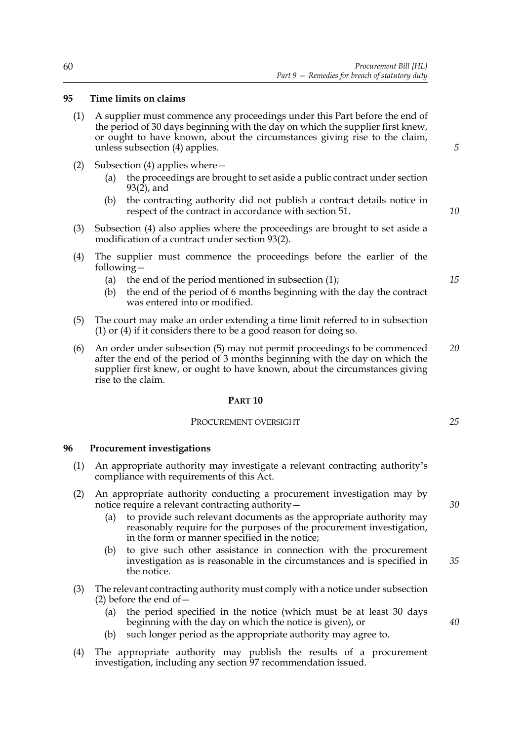### <span id="page-67-0"></span>**95 Time limits on claims**

- <span id="page-67-1"></span>(1) A supplier must commence any proceedings under this Part before the end of the period of 30 days beginning with the day on which the supplier first knew, or ought to have known, about the circumstances giving rise to the claim, unless subsection (4) applies.
- (2) Subsection (4) applies where—
	- (a) the proceedings are brought to set aside a public contract under section  $93(2)$  $93(2)$ , and
	- (b) the contracting authority did not publish a contract details notice in respect of the contract in accordance with section [51.](#page-38-3)
- (3) Subsection (4) also applies where the proceedings are brought to set aside a modification of a contract under section [93](#page-65-3)[\(2\).](#page-65-4)
- (4) The supplier must commence the proceedings before the earlier of the following—
	- (a) the end of the period mentioned in subsection  $(1)$ ;
	- (b) the end of the period of 6 months beginning with the day the contract was entered into or modified.
- <span id="page-67-2"></span>(5) The court may make an order extending a time limit referred to in subsection [\(1\)](#page-67-1) or (4) if it considers there to be a good reason for doing so.
- (6) An order under subsection [\(5\)](#page-67-2) may not permit proceedings to be commenced after the end of the period of 3 months beginning with the day on which the supplier first knew, or ought to have known, about the circumstances giving rise to the claim. *20*

#### **PART 10**

### PROCUREMENT OVERSIGHT

#### <span id="page-67-4"></span>**96 Procurement investigations**

- <span id="page-67-5"></span>(1) An appropriate authority may investigate a relevant contracting authority's compliance with requirements of this Act.
- <span id="page-67-3"></span>(2) An appropriate authority conducting a procurement investigation may by notice require a relevant contracting authority—
	- (a) to provide such relevant documents as the appropriate authority may reasonably require for the purposes of the procurement investigation, in the form or manner specified in the notice;
	- (b) to give such other assistance in connection with the procurement investigation as is reasonable in the circumstances and is specified in the notice. *35*
- (3) The relevant contracting authority must comply with a notice under subsection [\(2\)](#page-67-3) before the end of  $-$ 
	- (a) the period specified in the notice (which must be at least 30 days beginning with the day on which the notice is given), or
	- (b) such longer period as the appropriate authority may agree to.
- (4) The appropriate authority may publish the results of a procurement investigation, including any section [97](#page-68-0) recommendation issued.

*25*

*5*

*10*

*15*

*40*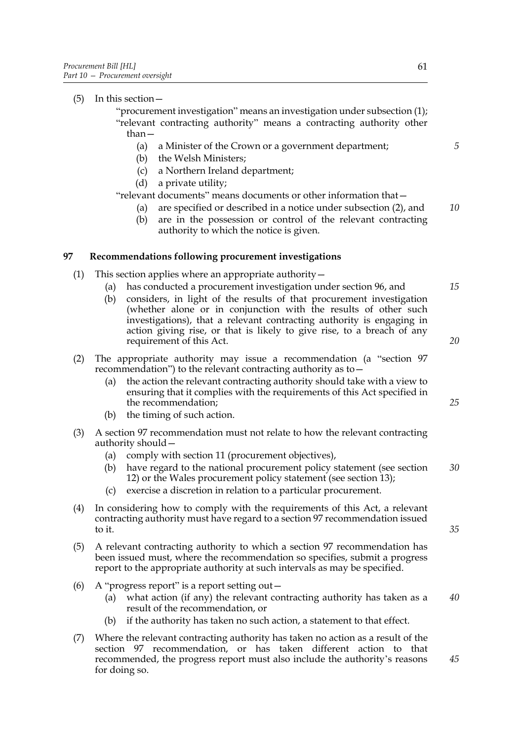(5) In this section—

"procurement investigation" means an investigation under subsection [\(1\)](#page-67-5); "relevant contracting authority" means a contracting authority other than—

- (a) a Minister of the Crown or a government department;
- (b) the Welsh Ministers;
- (c) a Northern Ireland department;
- (d) a private utility;

"relevant documents" means documents or other information that—

- (a) are specified or described in a notice under subsection [\(2\),](#page-67-3) and *10*
- (b) are in the possession or control of the relevant contracting authority to which the notice is given.

### <span id="page-68-0"></span>**97 Recommendations following procurement investigations**

- (1) This section applies where an appropriate authority—
	- (a) has conducted a procurement investigation under section [96,](#page-67-4) and
	- (b) considers, in light of the results of that procurement investigation (whether alone or in conjunction with the results of other such investigations), that a relevant contracting authority is engaging in action giving rise, or that is likely to give rise, to a breach of any requirement of this Act.
- (2) The appropriate authority may issue a recommendation (a "section [97](#page-68-0) recommendation") to the relevant contracting authority as to—
	- (a) the action the relevant contracting authority should take with a view to ensuring that it complies with the requirements of this Act specified in the recommendation;
	- (b) the timing of such action.
- (3) A section [97](#page-68-0) recommendation must not relate to how the relevant contracting authority should—
	- (a) comply with section [11](#page-15-0) (procurement objectives),
	- (b) have regard to the national procurement policy statement (see section [12\)](#page-16-0) or the Wales procurement policy statement (see section [13\)](#page-16-1); *30*
	- (c) exercise a discretion in relation to a particular procurement.
- (4) In considering how to comply with the requirements of this Act, a relevant contracting authority must have regard to a section [97](#page-68-0) recommendation issued to it.
- (5) A relevant contracting authority to which a section [97](#page-68-0) recommendation has been issued must, where the recommendation so specifies, submit a progress report to the appropriate authority at such intervals as may be specified.
- (6) A "progress report" is a report setting out  $-$ 
	- (a) what action (if any) the relevant contracting authority has taken as a result of the recommendation, or *40*
	- (b) if the authority has taken no such action, a statement to that effect.
- (7) Where the relevant contracting authority has taken no action as a result of the section [97](#page-68-0) recommendation, or has taken different action to that recommended, the progress report must also include the authority's reasons for doing so.

*5*

*15*

*20*

*25*

*35*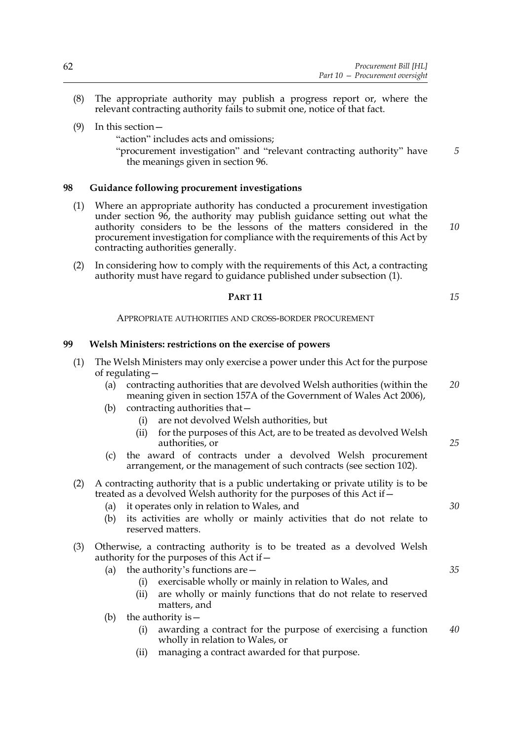- (8) The appropriate authority may publish a progress report or, where the relevant contracting authority fails to submit one, notice of that fact.
- (9) In this section—
	- "action" includes acts and omissions;
	- "procurement investigation" and "relevant contracting authority" have the meanings given in section [96.](#page-67-4)

### **98 Guidance following procurement investigations**

- <span id="page-69-0"></span>(1) Where an appropriate authority has conducted a procurement investigation under section [96](#page-67-4), the authority may publish guidance setting out what the authority considers to be the lessons of the matters considered in the procurement investigation for compliance with the requirements of this Act by contracting authorities generally.
- (2) In considering how to comply with the requirements of this Act, a contracting authority must have regard to guidance published under subsection [\(1\).](#page-69-0)
	- **PART 11**

APPROPRIATE AUTHORITIES AND CROSS-BORDER PROCUREMENT

### **99 Welsh Ministers: restrictions on the exercise of powers**

- (1) The Welsh Ministers may only exercise a power under this Act for the purpose of regulating—
	- (a) contracting authorities that are devolved Welsh authorities (within the meaning given in section 157A of the Government of Wales Act 2006), *20*
	- (b) contracting authorities that—
		- (i) are not devolved Welsh authorities, but
		- (ii) for the purposes of this Act, are to be treated as devolved Welsh authorities, or
	- (c) the award of contracts under a devolved Welsh procurement arrangement, or the management of such contracts (see section [102](#page-71-0)).

### (2) A contracting authority that is a public undertaking or private utility is to be treated as a devolved Welsh authority for the purposes of this Act if—

- (a) it operates only in relation to Wales, and
- (b) its activities are wholly or mainly activities that do not relate to reserved matters.
- (3) Otherwise, a contracting authority is to be treated as a devolved Welsh authority for the purposes of this Act if—
	- (a) the authority's functions are  $-$ 
		- (i) exercisable wholly or mainly in relation to Wales, and
		- (ii) are wholly or mainly functions that do not relate to reserved matters, and
	- (b) the authority is  $-$ 
		- (i) awarding a contract for the purpose of exercising a function wholly in relation to Wales, or *40*
		- (ii) managing a contract awarded for that purpose.

*15*

*10*

*5*

*25*

*30*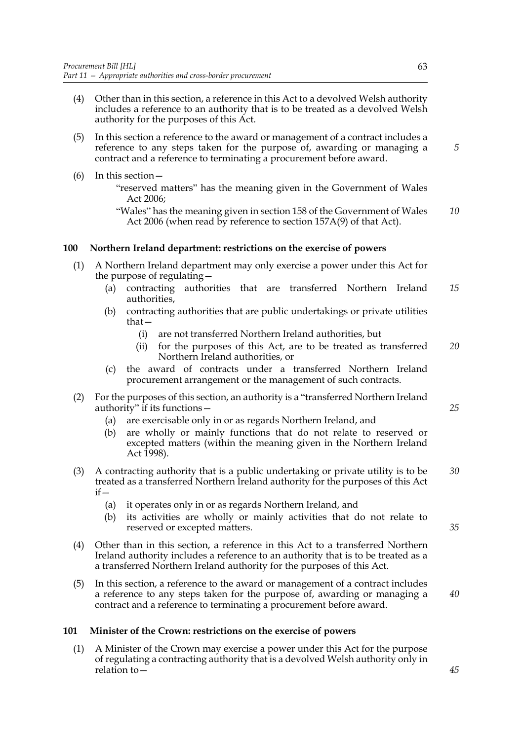- (4) Other than in this section, a reference in this Act to a devolved Welsh authority includes a reference to an authority that is to be treated as a devolved Welsh authority for the purposes of this Act.
- (5) In this section a reference to the award or management of a contract includes a reference to any steps taken for the purpose of, awarding or managing a contract and a reference to terminating a procurement before award.
- (6) In this section—
	- "reserved matters" has the meaning given in the Government of Wales Act 2006;
	- "Wales" has the meaning given in section 158 of the Government of Wales Act 2006 (when read by reference to section 157A(9) of that Act). *10*

### **100 Northern Ireland department: restrictions on the exercise of powers**

- (1) A Northern Ireland department may only exercise a power under this Act for the purpose of regulating—
	- (a) contracting authorities that are transferred Northern Ireland authorities, *15*
	- (b) contracting authorities that are public undertakings or private utilities that—
		- (i) are not transferred Northern Ireland authorities, but
		- (ii) for the purposes of this Act, are to be treated as transferred Northern Ireland authorities, or *20*
	- (c) the award of contracts under a transferred Northern Ireland procurement arrangement or the management of such contracts.
- (2) For the purposes of this section, an authority is a "transferred Northern Ireland authority" if its functions—
	- (a) are exercisable only in or as regards Northern Ireland, and
	- (b) are wholly or mainly functions that do not relate to reserved or excepted matters (within the meaning given in the Northern Ireland Act 1998).
- (3) A contracting authority that is a public undertaking or private utility is to be treated as a transferred Northern Ireland authority for the purposes of this Act if— *30*
	- (a) it operates only in or as regards Northern Ireland, and
	- (b) its activities are wholly or mainly activities that do not relate to reserved or excepted matters.
- (4) Other than in this section, a reference in this Act to a transferred Northern Ireland authority includes a reference to an authority that is to be treated as a a transferred Northern Ireland authority for the purposes of this Act.
- (5) In this section, a reference to the award or management of a contract includes a reference to any steps taken for the purpose of, awarding or managing a contract and a reference to terminating a procurement before award.

#### **101 Minister of the Crown: restrictions on the exercise of powers**

<span id="page-70-0"></span>(1) A Minister of the Crown may exercise a power under this Act for the purpose of regulating a contracting authority that is a devolved Welsh authority only in relation to*5*

*25*

*35*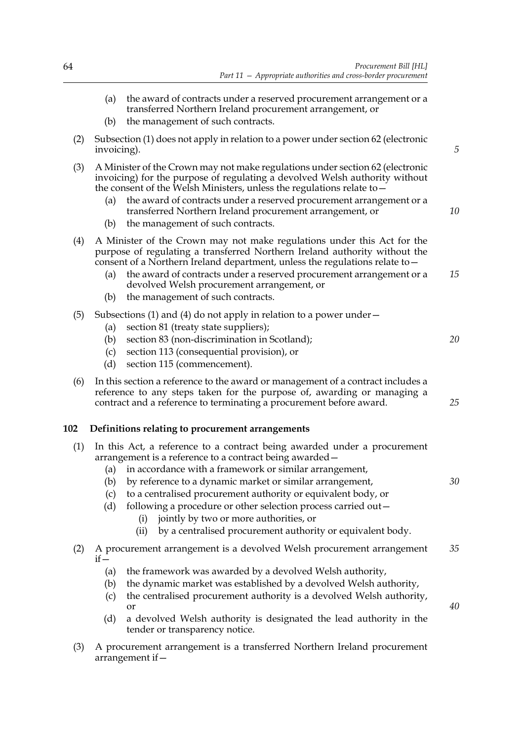<span id="page-71-1"></span>

|     | (a)                      | the award of contracts under a reserved procurement arrangement or a<br>transferred Northern Ireland procurement arrangement, or                                                                                                                                                                                                                                                                                                                                                                                        |    |
|-----|--------------------------|-------------------------------------------------------------------------------------------------------------------------------------------------------------------------------------------------------------------------------------------------------------------------------------------------------------------------------------------------------------------------------------------------------------------------------------------------------------------------------------------------------------------------|----|
|     | (b)                      | the management of such contracts.                                                                                                                                                                                                                                                                                                                                                                                                                                                                                       |    |
| (2) | invoicing).              | Subsection (1) does not apply in relation to a power under section 62 (electronic                                                                                                                                                                                                                                                                                                                                                                                                                                       | 5  |
| (3) | (a)<br>(b)               | A Minister of the Crown may not make regulations under section 62 (electronic<br>invoicing) for the purpose of regulating a devolved Welsh authority without<br>the consent of the Welsh Ministers, unless the regulations relate to -<br>the award of contracts under a reserved procurement arrangement or a<br>transferred Northern Ireland procurement arrangement, or<br>the management of such contracts.                                                                                                         | 10 |
| (4) | (a)<br>(b)               | A Minister of the Crown may not make regulations under this Act for the<br>purpose of regulating a transferred Northern Ireland authority without the<br>consent of a Northern Ireland department, unless the regulations relate to $-$<br>the award of contracts under a reserved procurement arrangement or a<br>devolved Welsh procurement arrangement, or<br>the management of such contracts.                                                                                                                      | 15 |
| (5) | (a)<br>(b)<br>(c)<br>(d) | Subsections (1) and (4) do not apply in relation to a power under $-$<br>section 81 (treaty state suppliers);<br>section 83 (non-discrimination in Scotland);<br>section 113 (consequential provision), or<br>section 115 (commencement).                                                                                                                                                                                                                                                                               | 20 |
| (6) |                          | In this section a reference to the award or management of a contract includes a<br>reference to any steps taken for the purpose of, awarding or managing a<br>contract and a reference to terminating a procurement before award.                                                                                                                                                                                                                                                                                       | 25 |
| 102 |                          | Definitions relating to procurement arrangements                                                                                                                                                                                                                                                                                                                                                                                                                                                                        |    |
| (1) | (a)<br>(c)<br>(d)        | In this Act, a reference to a contract being awarded under a procurement<br>arrangement is a reference to a contract being awarded –<br>in accordance with a framework or similar arrangement,<br>(b) by reference to a dynamic market or similar arrangement,<br>to a centralised procurement authority or equivalent body, or<br>following a procedure or other selection process carried out-<br>jointly by two or more authorities, or<br>(i)<br>by a centralised procurement authority or equivalent body.<br>(ii) | 30 |
| (2) | $if -$                   | A procurement arrangement is a devolved Welsh procurement arrangement                                                                                                                                                                                                                                                                                                                                                                                                                                                   | 35 |
|     | (a)<br>(b)<br>(c)<br>(d) | the framework was awarded by a devolved Welsh authority,<br>the dynamic market was established by a devolved Welsh authority,<br>the centralised procurement authority is a devolved Welsh authority,<br>or<br>a devolved Welsh authority is designated the lead authority in the<br>tender or transparency notice.                                                                                                                                                                                                     | 40 |
|     |                          |                                                                                                                                                                                                                                                                                                                                                                                                                                                                                                                         |    |

<span id="page-71-0"></span>(3) A procurement arrangement is a transferred Northern Ireland procurement arrangement if—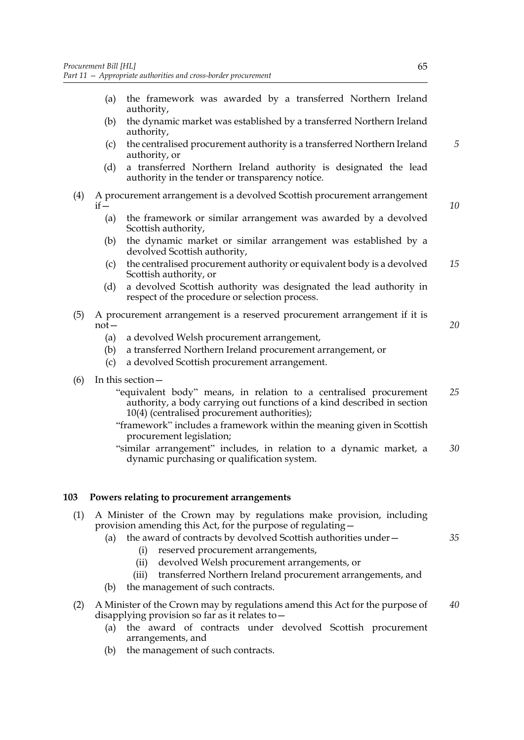- (a) the framework was awarded by a transferred Northern Ireland authority,
- (b) the dynamic market was established by a transferred Northern Ireland authority,
- (c) the centralised procurement authority is a transferred Northern Ireland authority, or
- (d) a transferred Northern Ireland authority is designated the lead authority in the tender or transparency notice.
- (4) A procurement arrangement is a devolved Scottish procurement arrangement  $if -$ 
	- (a) the framework or similar arrangement was awarded by a devolved Scottish authority,
	- (b) the dynamic market or similar arrangement was established by a devolved Scottish authority,
	- (c) the centralised procurement authority or equivalent body is a devolved Scottish authority, or *15*
	- (d) a devolved Scottish authority was designated the lead authority in respect of the procedure or selection process.
- (5) A procurement arrangement is a reserved procurement arrangement if it is not—
	- (a) a devolved Welsh procurement arrangement,
	- (b) a transferred Northern Ireland procurement arrangement, or
	- (c) a devolved Scottish procurement arrangement.
- (6) In this section—
	- "equivalent body" means, in relation to a centralised procurement authority, a body carrying out functions of a kind described in section [10\(](#page-15-0)4) (centralised procurement authorities); *25*
	- "framework" includes a framework within the meaning given in Scottish procurement legislation;
	- "similar arrangement" includes, in relation to a dynamic market, a dynamic purchasing or qualification system. *30*

## <span id="page-72-0"></span>**103 Powers relating to procurement arrangements**

- (1) A Minister of the Crown may by regulations make provision, including provision amending this Act, for the purpose of regulating—
	- (a) the award of contracts by devolved Scottish authorities under— (i) reserved procurement arrangements, *35*
		- (ii) devolved Welsh procurement arrangements, or
		- (iii) transferred Northern Ireland procurement arrangements, and
	- (b) the management of such contracts.
- (2) A Minister of the Crown may by regulations amend this Act for the purpose of disapplying provision so far as it relates to— *40*
	- (a) the award of contracts under devolved Scottish procurement arrangements, and
	- (b) the management of such contracts.

*10*

*5*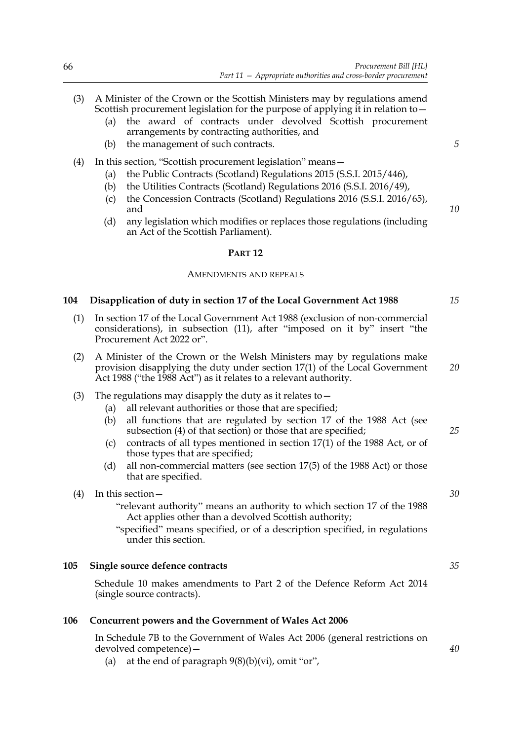## (3) A Minister of the Crown or the Scottish Ministers may by regulations amend Scottish procurement legislation for the purpose of applying it in relation to—

- (a) the award of contracts under devolved Scottish procurement arrangements by contracting authorities, and
- (b) the management of such contracts.

## (4) In this section, "Scottish procurement legislation" means—

- (a) the Public Contracts (Scotland) Regulations 2015 (S.S.I. 2015/446),
- (b) the Utilities Contracts (Scotland) Regulations 2016 (S.S.I. 2016/49),
- (c) the Concession Contracts (Scotland) Regulations 2016 (S.S.I. 2016/65), and
- (d) any legislation which modifies or replaces those regulations (including an Act of the Scottish Parliament).

## **PART 12**

### AMENDMENTS AND REPEALS

## <span id="page-73-0"></span>**104 Disapplication of duty in section 17 of the Local Government Act 1988**

- (1) In section 17 of the Local Government Act 1988 (exclusion of non-commercial considerations), in subsection (11), after "imposed on it by" insert "the Procurement Act 2022 or".
- (2) A Minister of the Crown or the Welsh Ministers may by regulations make provision disapplying the duty under section 17(1) of the Local Government Act 1988 ("the 1988 Act") as it relates to a relevant authority.
- (3) The regulations may disapply the duty as it relates to  $-$ 
	- (a) all relevant authorities or those that are specified;
	- (b) all functions that are regulated by section 17 of the 1988 Act (see subsection (4) of that section) or those that are specified;
	- (c) contracts of all types mentioned in section 17(1) of the 1988 Act, or of those types that are specified;
	- (d) all non-commercial matters (see section 17(5) of the 1988 Act) or those that are specified.
- (4) In this section—
	- "relevant authority" means an authority to which section 17 of the 1988 Act applies other than a devolved Scottish authority;
	- "specified" means specified, or of a description specified, in regulations under this section.

#### **105 Single source defence contracts**

Schedule [10](#page-114-0) makes amendments to Part 2 of the Defence Reform Act 2014 (single source contracts).

#### **106 Concurrent powers and the Government of Wales Act 2006**

In Schedule 7B to the Government of Wales Act 2006 (general restrictions on devolved competence)—

(a) at the end of paragraph  $9(8)(b)(vi)$ , omit "or",

*5*

*10*

*15*

*20*

*25*

*30*

*35*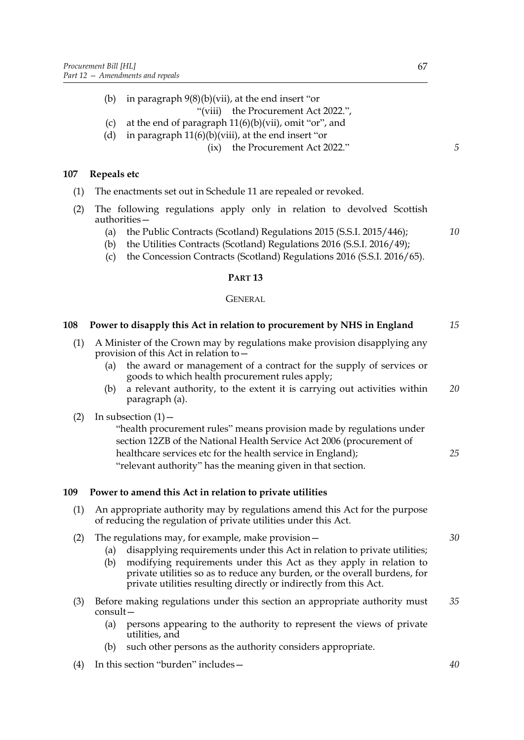(b) in paragraph 9(8)(b)(vii), at the end insert "or

"(viii) the Procurement Act 2022.",

- (c) at the end of paragraph  $11(6)(b)(vii)$ , omit "or", and
- (d) in paragraph  $11(6)(b)(viii)$ , at the end insert "or

(ix) the Procurement Act 2022."

## **107 Repeals etc**

- (1) The enactments set out in Schedule [11](#page-119-0) are repealed or revoked.
- (2) The following regulations apply only in relation to devolved Scottish authorities—
	- (a) the Public Contracts (Scotland) Regulations 2015 (S.S.I. 2015/446);
	- (b) the Utilities Contracts (Scotland) Regulations 2016 (S.S.I. 2016/49);
	- (c) the Concession Contracts (Scotland) Regulations 2016 (S.S.I. 2016/65).

## **PART 13**

## GENERAL

#### <span id="page-74-0"></span>**108 Power to disapply this Act in relation to procurement by NHS in England**  *15*

- (1) A Minister of the Crown may by regulations make provision disapplying any provision of this Act in relation to—
	- (a) the award or management of a contract for the supply of services or goods to which health procurement rules apply;
	- (b) a relevant authority, to the extent it is carrying out activities within paragraph (a). *20*

## (2) In subsection  $(1)$  –

"health procurement rules" means provision made by regulations under section 12ZB of the National Health Service Act 2006 (procurement of healthcare services etc for the health service in England); "relevant authority" has the meaning given in that section. *25*

## <span id="page-74-1"></span>**109 Power to amend this Act in relation to private utilities**

- (1) An appropriate authority may by regulations amend this Act for the purpose of reducing the regulation of private utilities under this Act.
- (2) The regulations may, for example, make provision—
	- (a) disapplying requirements under this Act in relation to private utilities;
	- (b) modifying requirements under this Act as they apply in relation to private utilities so as to reduce any burden, or the overall burdens, for private utilities resulting directly or indirectly from this Act.
- (3) Before making regulations under this section an appropriate authority must consult— *35*
	- (a) persons appearing to the authority to represent the views of private utilities, and
	- (b) such other persons as the authority considers appropriate.
- (4) In this section "burden" includes—

*5*

*10*

*30*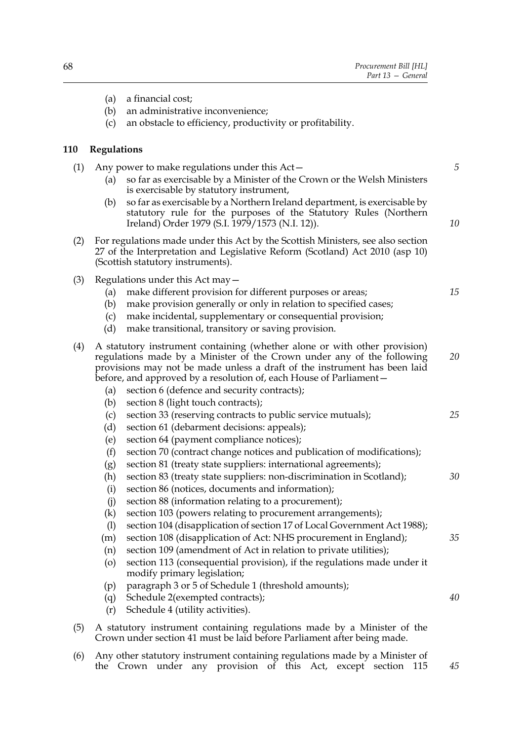- (a) a financial cost;
- (b) an administrative inconvenience;
- (c) an obstacle to efficiency, productivity or profitability.

## **110 Regulations**

- (1) Any power to make regulations under this Act— (a) so far as exercisable by a Minister of the Crown or the Welsh Ministers is exercisable by statutory instrument,
	- (b) so far as exercisable by a Northern Ireland department, is exercisable by statutory rule for the purposes of the Statutory Rules (Northern Ireland) Order 1979 (S.I. 1979/1573 (N.I. 12)).
- (2) For regulations made under this Act by the Scottish Ministers, see also section 27 of the Interpretation and Legislative Reform (Scotland) Act 2010 (asp 10) (Scottish statutory instruments).
- (3) Regulations under this Act may—
	- (a) make different provision for different purposes or areas;
	- (b) make provision generally or only in relation to specified cases;
	- (c) make incidental, supplementary or consequential provision;
	- (d) make transitional, transitory or saving provision.
- (4) A statutory instrument containing (whether alone or with other provision) regulations made by a Minister of the Crown under any of the following provisions may not be made unless a draft of the instrument has been laid before, and approved by a resolution of, each House of Parliament— *20*
	- (a) section 6 (defence and security contracts);
	- (b) section [8](#page-13-0) (light touch contracts);
	- (c) section [33](#page-28-0) (reserving contracts to public service mutuals); *25*
	- (d) section [61](#page-46-0) (debarment decisions: appeals);
	- (e) section [64](#page-48-0) (payment compliance notices);
	- (f) section [70](#page-52-0) (contract change notices and publication of modifications);
	- (g) section [81](#page-59-0) (treaty state suppliers: international agreements);
	- (h) section [83](#page-61-0) (treaty state suppliers: non-discrimination in Scotland); *30*
	- (i) section [86](#page-62-0) (notices, documents and information);
	- (j) section [88](#page-63-0) (information relating to a procurement);
	- (k) section [103](#page-72-0) (powers relating to procurement arrangements);
	- (l) section [104](#page-73-0) (disapplication of section 17 of Local Government Act 1988);
	- (m) section [108](#page-74-0) (disapplication of Act: NHS procurement in England);
	- (n) section [109](#page-74-1) (amendment of Act in relation to private utilities);
	- (o) section [113](#page-80-0) (consequential provision), if the regulations made under it modify primary legislation;
	- (p) paragraph 3 or 5 of Schedule [1](#page-81-0) (threshold amounts);
	- (q) Schedule [2](#page-83-0)(exempted contracts);
	- (r) Schedule [4](#page-91-0) (utility activities).
- <span id="page-75-0"></span>(5) A statutory instrument containing regulations made by a Minister of the Crown under section [41](#page-33-0) must be laid before Parliament after being made.
- (6) Any other statutory instrument containing regulations made by a Minister of the Crown under any provision of this Act, except section [115](#page-80-1) *45*

*5*

*10*

*15*

*35*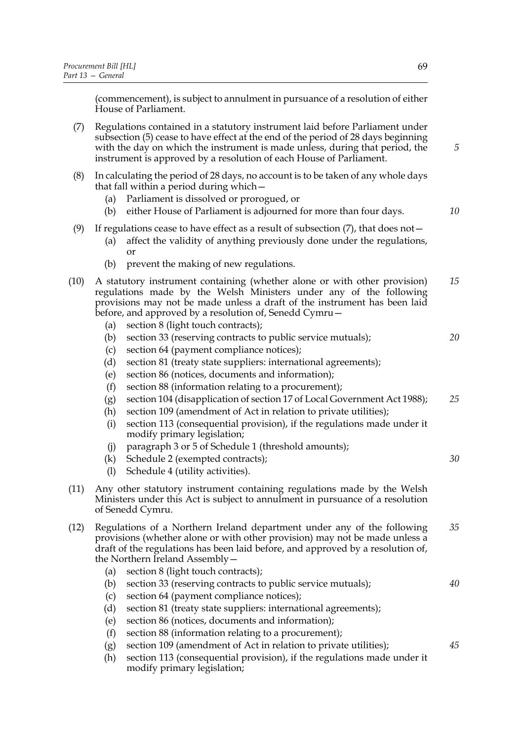(commencement), is subject to annulment in pursuance of a resolution of either House of Parliament.

- <span id="page-76-0"></span>(7) Regulations contained in a statutory instrument laid before Parliament under subsection [\(5\)](#page-75-0) cease to have effect at the end of the period of 28 days beginning with the day on which the instrument is made unless, during that period, the instrument is approved by a resolution of each House of Parliament.
- (8) In calculating the period of 28 days, no account is to be taken of any whole days that fall within a period during which—
	- (a) Parliament is dissolved or prorogued, or
	- (b) either House of Parliament is adjourned for more than four days.
- (9) If regulations cease to have effect as a result of subsection  $(7)$ , that does not -
	- (a) affect the validity of anything previously done under the regulations, or
	- (b) prevent the making of new regulations.
- (10) A statutory instrument containing (whether alone or with other provision) regulations made by the Welsh Ministers under any of the following provisions may not be made unless a draft of the instrument has been laid before, and approved by a resolution of, Senedd Cymru— *15*
	- (a) section [8](#page-13-0) (light touch contracts);
	- (b) section [33](#page-28-0) (reserving contracts to public service mutuals);
	- (c) section [64](#page-48-0) (payment compliance notices);
	- (d) section [81](#page-59-0) (treaty state suppliers: international agreements);
	- (e) section [86](#page-62-0) (notices, documents and information);
	- (f) section [88](#page-63-0) (information relating to a procurement);
	- (g) section [104](#page-73-0) (disapplication of section 17 of Local Government Act 1988); *25*
	- (h) section [109](#page-74-1) (amendment of Act in relation to private utilities);
	- (i) section [113](#page-80-0) (consequential provision), if the regulations made under it modify primary legislation;
	- (j) paragraph 3 or 5 of Schedule [1](#page-81-0) (threshold amounts);
	- (k) Schedule [2](#page-83-0) (exempted contracts);
	- (l) Schedule [4](#page-91-0) (utility activities).
- (11) Any other statutory instrument containing regulations made by the Welsh Ministers under this Act is subject to annulment in pursuance of a resolution of Senedd Cymru.
- (12) Regulations of a Northern Ireland department under any of the following provisions (whether alone or with other provision) may not be made unless a draft of the regulations has been laid before, and approved by a resolution of, the Northern Ireland Assembly— *35*
	- (a) section [8](#page-13-0) (light touch contracts);
	- (b) section [33](#page-28-0) (reserving contracts to public service mutuals);
	- (c) section [64](#page-48-0) (payment compliance notices);
	- (d) section [81](#page-59-0) (treaty state suppliers: international agreements);
	- (e) section [86](#page-62-0) (notices, documents and information);
	- (f) section [88](#page-63-0) (information relating to a procurement);
	- (g) section [109](#page-74-1) (amendment of Act in relation to private utilities);
	- (h) section [113](#page-80-0) (consequential provision), if the regulations made under it modify primary legislation;

*5*

*10*

*20*

*30*

*40*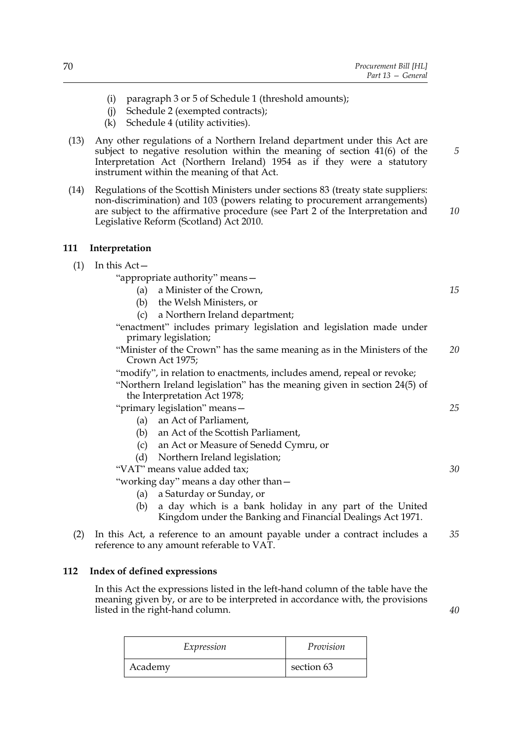- (i) paragraph 3 or 5 of Schedule [1](#page-81-0) (threshold amounts);
- (j) Schedule [2](#page-83-0) (exempted contracts);
- (k) Schedule [4](#page-91-0) (utility activities).
- (13) Any other regulations of a Northern Ireland department under this Act are subject to negative resolution within the meaning of section 41(6) of the Interpretation Act (Northern Ireland) 1954 as if they were a statutory instrument within the meaning of that Act.
- (14) Regulations of the Scottish Ministers under sections [83](#page-61-0) (treaty state suppliers: non-discrimination) and [103](#page-72-0) (powers relating to procurement arrangements) are subject to the affirmative procedure (see Part 2 of the Interpretation and Legislative Reform (Scotland) Act 2010. *10*

#### <span id="page-77-0"></span>**111 Interpretation**

## $(1)$  In this Act –

"appropriate authority" means—

- (a) a Minister of the Crown,
- (b) the Welsh Ministers, or
- (c) a Northern Ireland department;
- "enactment" includes primary legislation and legislation made under primary legislation;
- "Minister of the Crown" has the same meaning as in the Ministers of the Crown Act 1975; *20*

"modify", in relation to enactments, includes amend, repeal or revoke;

"Northern Ireland legislation" has the meaning given in section 24(5) of the Interpretation Act 1978;

"primary legislation" means—

- (a) an Act of Parliament,
- (b) an Act of the Scottish Parliament,
- (c) an Act or Measure of Senedd Cymru, or
- (d) Northern Ireland legislation;

"VAT" means value added tax;

"working day" means a day other than—

- (a) a Saturday or Sunday, or
- (b) a day which is a bank holiday in any part of the United Kingdom under the Banking and Financial Dealings Act 1971.
- (2) In this Act, a reference to an amount payable under a contract includes a reference to any amount referable to VAT. *35*

## **112 Index of defined expressions**

In this Act the expressions listed in the left-hand column of the table have the meaning given by, or are to be interpreted in accordance with, the provisions listed in the right-hand column.

| Expression | Provision  |
|------------|------------|
| Academy    | section 63 |

*15*

*5*

*25*

*30*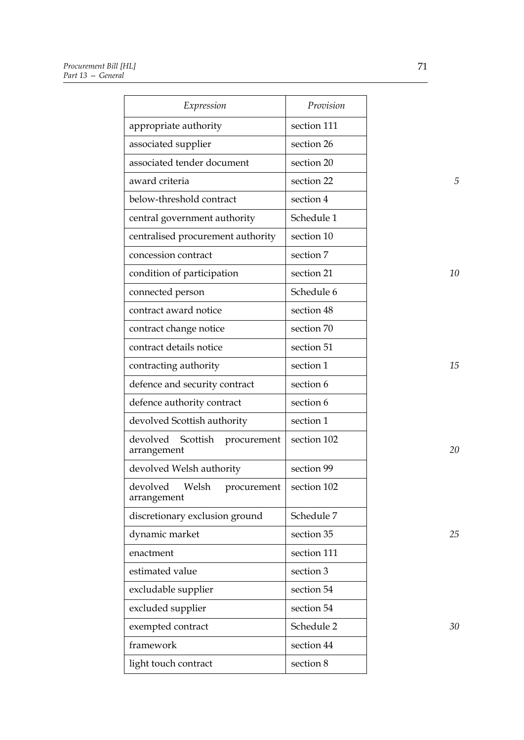| Expression                                         | Provision   |    |
|----------------------------------------------------|-------------|----|
| appropriate authority                              | section 111 |    |
| associated supplier                                | section 26  |    |
| associated tender document                         | section 20  |    |
| award criteria                                     | section 22  | 5  |
| below-threshold contract                           | section 4   |    |
| central government authority                       | Schedule 1  |    |
| centralised procurement authority                  | section 10  |    |
| concession contract                                | section 7   |    |
| condition of participation                         | section 21  | 10 |
| connected person                                   | Schedule 6  |    |
| contract award notice                              | section 48  |    |
| contract change notice                             | section 70  |    |
| contract details notice                            | section 51  |    |
| contracting authority                              | section 1   | 15 |
| defence and security contract                      | section 6   |    |
| defence authority contract                         | section 6   |    |
| devolved Scottish authority                        | section 1   |    |
| devolved<br>Scottish<br>procurement<br>arrangement | section 102 | 20 |
| devolved Welsh authority                           | section 99  |    |
| devolved Welsh<br>procurement<br>arrangement       | section 102 |    |
| discretionary exclusion ground                     | Schedule 7  |    |
| dynamic market                                     | section 35  | 25 |
| enactment                                          | section 111 |    |
| estimated value                                    | section 3   |    |
| excludable supplier                                | section 54  |    |
| excluded supplier                                  | section 54  |    |
| exempted contract                                  | Schedule 2  | 30 |
| framework                                          | section 44  |    |
| light touch contract                               | section 8   |    |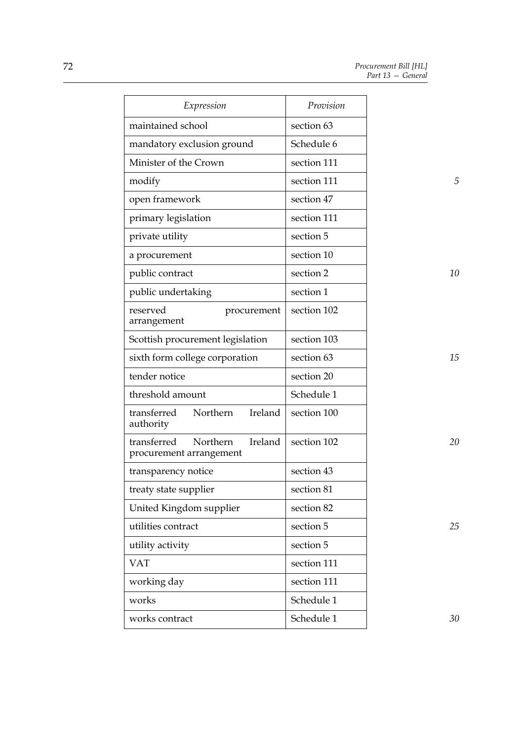| Expression                                                    | Provision   |    |
|---------------------------------------------------------------|-------------|----|
| maintained school                                             | section 63  |    |
| mandatory exclusion ground                                    | Schedule 6  |    |
| Minister of the Crown                                         | section 111 |    |
| modify                                                        | section 111 | 5  |
| open framework                                                | section 47  |    |
| primary legislation                                           | section 111 |    |
| private utility                                               | section 5   |    |
| a procurement                                                 | section 10  |    |
| public contract                                               | section 2   | 10 |
| public undertaking                                            | section 1   |    |
| reserved<br>procurement<br>arrangement                        | section 102 |    |
| Scottish procurement legislation                              | section 103 |    |
| sixth form college corporation                                | section 63  | 15 |
| tender notice                                                 | section 20  |    |
| threshold amount                                              | Schedule 1  |    |
| transferred<br>Northern<br>Ireland<br>authority               | section 100 |    |
| Ireland<br>transferred<br>Northern<br>procurement arrangement | section 102 | 20 |
| transparency notice                                           | section 43  |    |
| treaty state supplier                                         | section 81  |    |
| United Kingdom supplier                                       | section 82  |    |
| utilities contract                                            | section 5   | 25 |
| utility activity                                              | section 5   |    |
| <b>VAT</b>                                                    | section 111 |    |
| working day                                                   | section 111 |    |
| works                                                         | Schedule 1  |    |
| works contract                                                | Schedule 1  | 30 |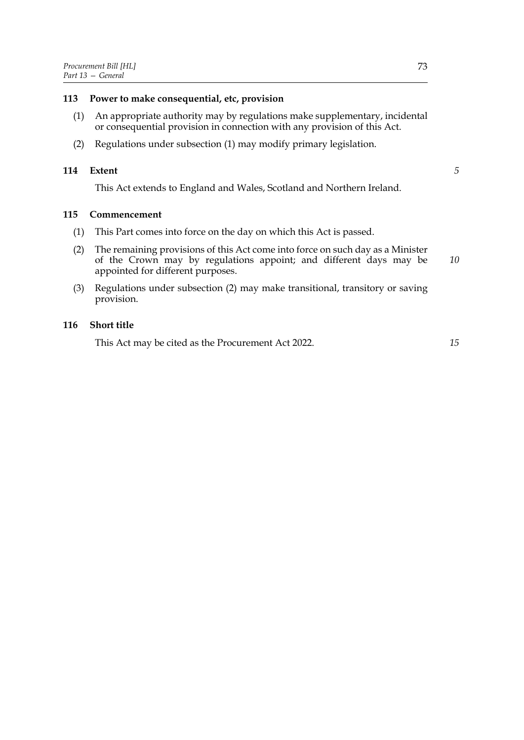- <span id="page-80-2"></span><span id="page-80-0"></span>(1) An appropriate authority may by regulations make supplementary, incidental or consequential provision in connection with any provision of this Act.
- (2) Regulations under subsection [\(1\)](#page-80-2) may modify primary legislation.

### **114 Extent**

*5*

This Act extends to England and Wales, Scotland and Northern Ireland.

## <span id="page-80-1"></span>**115 Commencement**

- (1) This Part comes into force on the day on which this Act is passed.
- <span id="page-80-3"></span>(2) The remaining provisions of this Act come into force on such day as a Minister of the Crown may by regulations appoint; and different days may be appointed for different purposes. *10*
- (3) Regulations under subsection [\(2\)](#page-80-3) may make transitional, transitory or saving provision.

## **116 Short title**

This Act may be cited as the Procurement Act 2022.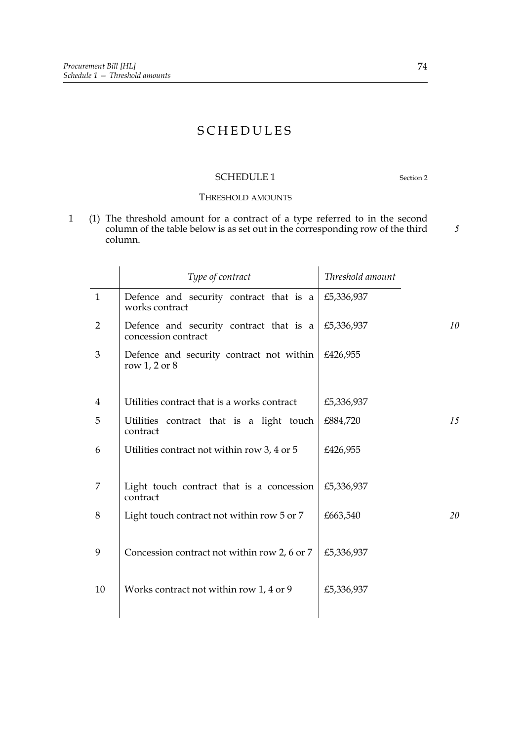## **SCHEDULES**

## <span id="page-81-0"></span>SCHEDULE 1 Section [2](#page-9-1)

## THRESHOLD AMOUNTS

<span id="page-81-1"></span>1 (1) The threshold amount for a contract of a type referred to in the second column of the table below is as set out in the corresponding row of the third column.

|                | Type of contract                                               | Threshold amount |
|----------------|----------------------------------------------------------------|------------------|
| $\mathbf{1}$   | Defence and security contract that is a<br>works contract      | £5,336,937       |
| $\overline{2}$ | Defence and security contract that is a<br>concession contract | 10<br>£5,336,937 |
| 3              | Defence and security contract not within<br>row $1, 2$ or $8$  | £426,955         |
| $\overline{4}$ | Utilities contract that is a works contract                    | £5,336,937       |
| 5              | Utilities contract that is a light touch<br>contract           | 15<br>£884,720   |
| 6              | Utilities contract not within row 3, 4 or 5                    | £426,955         |
| 7              | Light touch contract that is a concession<br>contract          | £5,336,937       |
| 8              | Light touch contract not within row 5 or 7                     | £663,540<br>20   |
| 9              | Concession contract not within row 2, 6 or 7                   | £5,336,937       |
| 10             | Works contract not within row 1, 4 or 9                        | £5,336,937       |
|                |                                                                |                  |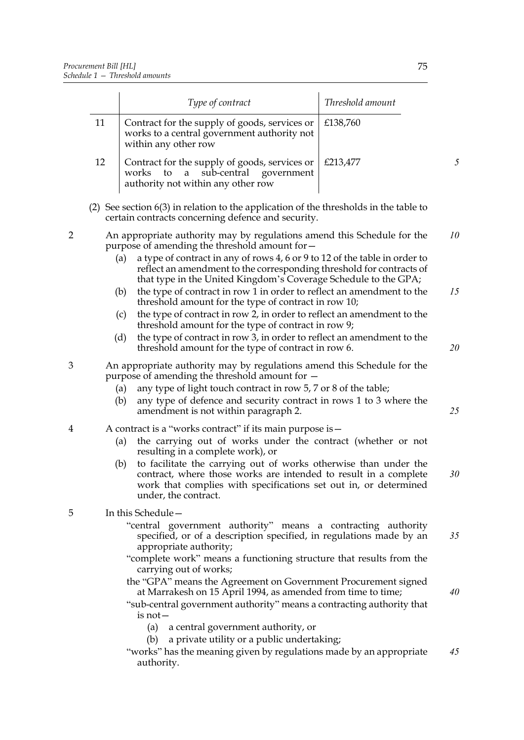<span id="page-82-0"></span>

|   |                                                                                                                                                                                                                                                                                                                                                                                                                  | Type of contract                                                                                                                                                                                                                                                                                                                                | Threshold amount |    |
|---|------------------------------------------------------------------------------------------------------------------------------------------------------------------------------------------------------------------------------------------------------------------------------------------------------------------------------------------------------------------------------------------------------------------|-------------------------------------------------------------------------------------------------------------------------------------------------------------------------------------------------------------------------------------------------------------------------------------------------------------------------------------------------|------------------|----|
|   | 11                                                                                                                                                                                                                                                                                                                                                                                                               | Contract for the supply of goods, services or<br>works to a central government authority not<br>within any other row                                                                                                                                                                                                                            | £138,760         |    |
|   | 12                                                                                                                                                                                                                                                                                                                                                                                                               | Contract for the supply of goods, services or<br>sub-central<br>works<br>to<br>government<br>a<br>authority not within any other row                                                                                                                                                                                                            | £213,477         | 5  |
|   |                                                                                                                                                                                                                                                                                                                                                                                                                  | (2) See section $6(3)$ in relation to the application of the thresholds in the table to<br>certain contracts concerning defence and security.                                                                                                                                                                                                   |                  |    |
| 2 |                                                                                                                                                                                                                                                                                                                                                                                                                  | An appropriate authority may by regulations amend this Schedule for the<br>purpose of amending the threshold amount for -<br>a type of contract in any of rows 4, 6 or 9 to 12 of the table in order to<br>(a)<br>reflect an amendment to the corresponding threshold for contracts of                                                          |                  | 10 |
|   |                                                                                                                                                                                                                                                                                                                                                                                                                  | that type in the United Kingdom's Coverage Schedule to the GPA;<br>the type of contract in row 1 in order to reflect an amendment to the<br>(b)<br>threshold amount for the type of contract in row 10;<br>the type of contract in row 2, in order to reflect an amendment to the<br>(c)<br>threshold amount for the type of contract in row 9; |                  | 15 |
|   |                                                                                                                                                                                                                                                                                                                                                                                                                  | the type of contract in row 3, in order to reflect an amendment to the<br>(d)<br>threshold amount for the type of contract in row 6.                                                                                                                                                                                                            |                  | 20 |
| 3 | An appropriate authority may by regulations amend this Schedule for the<br>purpose of amending the threshold amount for $-$<br>any type of light touch contract in row 5, 7 or 8 of the table;<br>(a)<br>any type of defence and security contract in rows 1 to 3 where the<br>(b)<br>amendment is not within paragraph 2.                                                                                       |                                                                                                                                                                                                                                                                                                                                                 | 25               |    |
| 4 | A contract is a "works contract" if its main purpose is -<br>the carrying out of works under the contract (whether or not<br>(a)<br>resulting in a complete work), or<br>to facilitate the carrying out of works otherwise than under the<br>(b)<br>contract, where those works are intended to result in a complete<br>work that complies with specifications set out in, or determined<br>under, the contract. |                                                                                                                                                                                                                                                                                                                                                 | 30               |    |
| 5 |                                                                                                                                                                                                                                                                                                                                                                                                                  | In this Schedule-<br>"central government authority" means a contracting authority<br>specified, or of a description specified, in regulations made by an<br>appropriate authority;<br>"complete work" means a functioning structure that results from the                                                                                       |                  | 35 |
|   |                                                                                                                                                                                                                                                                                                                                                                                                                  | carrying out of works;<br>the "GPA" means the Agreement on Government Procurement signed<br>at Marrakesh on 15 April 1994, as amended from time to time;<br>"sub-central government authority" means a contracting authority that<br>$is not -$                                                                                                 |                  | 40 |
|   |                                                                                                                                                                                                                                                                                                                                                                                                                  | (a)<br>a central government authority, or<br>a private utility or a public undertaking;<br>(b)<br>"works" has the meaning given by regulations made by an appropriate<br>authority.                                                                                                                                                             |                  | 45 |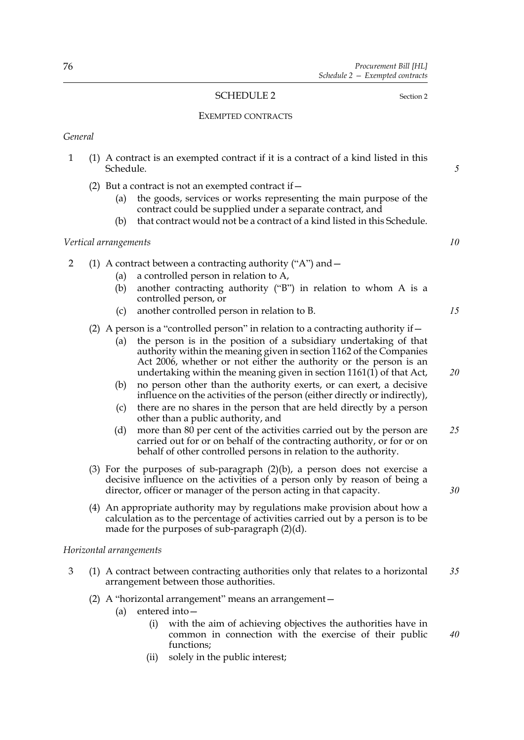## <span id="page-83-0"></span>SCHEDULE [2](#page-9-1) Section 2

## EXEMPTED CONTRACTS

*General*

- 1 (1) A contract is an exempted contract if it is a contract of a kind listed in this Schedule.
	- (2) But a contract is not an exempted contract if  $-$ 
		- (a) the goods, services or works representing the main purpose of the contract could be supplied under a separate contract, and
		- (b) that contract would not be a contract of a kind listed in this Schedule.

#### *Vertical arrangements*

- <span id="page-83-1"></span>2 (1) A contract between a contracting authority ("A") and—
	- (a) a controlled person in relation to A,
	- (b) another contracting authority ("B") in relation to whom A is a controlled person, or
	- (c) another controlled person in relation to B.
	- (2) A person is a "controlled person" in relation to a contracting authority if  $-$ 
		- (a) the person is in the position of a subsidiary undertaking of that authority within the meaning given in section 1162 of the Companies Act 2006, whether or not either the authority or the person is an undertaking within the meaning given in section  $1161(1)$  of that Act,
		- (b) no person other than the authority exerts, or can exert, a decisive influence on the activities of the person (either directly or indirectly),
		- (c) there are no shares in the person that are held directly by a person other than a public authority, and
		- (d) more than 80 per cent of the activities carried out by the person are carried out for or on behalf of the contracting authority, or for or on behalf of other controlled persons in relation to the authority. *25*
	- (3) For the purposes of sub-paragraph [\(2\)\(b\)](#page-83-1), a person does not exercise a decisive influence on the activities of a person only by reason of being a director, officer or manager of the person acting in that capacity.
	- (4) An appropriate authority may by regulations make provision about how a calculation as to the percentage of activities carried out by a person is to be made for the purposes of sub-paragraph [\(2\)\(d\).](#page-83-2)

## <span id="page-83-2"></span>*Horizontal arrangements*

- 3 (1) A contract between contracting authorities only that relates to a horizontal arrangement between those authorities. *35*
	- (2) A "horizontal arrangement" means an arrangement—
		- (a) entered into—
			- (i) with the aim of achieving objectives the authorities have in common in connection with the exercise of their public functions; *40*
			- (ii) solely in the public interest;

*10*

*5*

*15*

*20*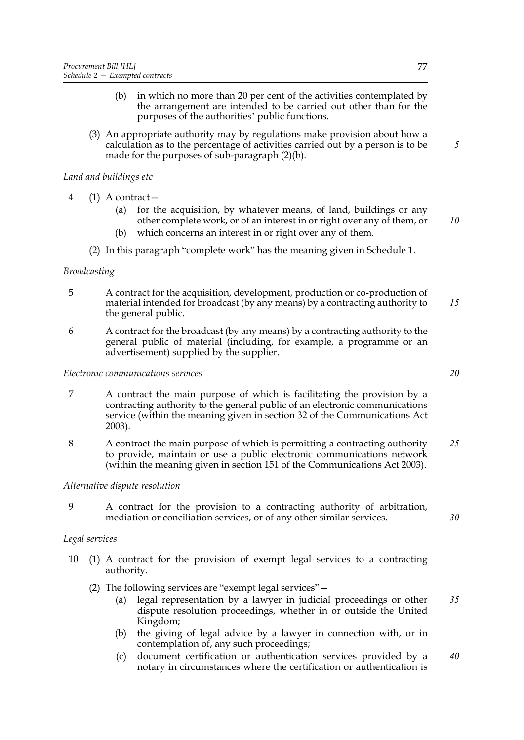- (b) in which no more than 20 per cent of the activities contemplated by the arrangement are intended to be carried out other than for the purposes of the authorities' public functions.
- <span id="page-84-0"></span>(3) An appropriate authority may by regulations make provision about how a calculation as to the percentage of activities carried out by a person is to be made for the purposes of sub-paragraph [\(2\)\(b\)](#page-84-0).

## *Land and buildings etc*

- 4 (1) A contract—
	- (a) for the acquisition, by whatever means, of land, buildings or any other complete work, or of an interest in or right over any of them, or
	- (b) which concerns an interest in or right over any of them.
	- (2) In this paragraph "complete work" has the meaning given in Schedule [1.](#page-81-1)

## *Broadcasting*

- 5 A contract for the acquisition, development, production or co-production of material intended for broadcast (by any means) by a contracting authority to the general public. *15*
- 6 A contract for the broadcast (by any means) by a contracting authority to the general public of material (including, for example, a programme or an advertisement) supplied by the supplier.

## *Electronic communications services*

- 7 A contract the main purpose of which is facilitating the provision by a contracting authority to the general public of an electronic communications service (within the meaning given in section 32 of the Communications Act 2003).
- 8 A contract the main purpose of which is permitting a contracting authority to provide, maintain or use a public electronic communications network (within the meaning given in section 151 of the Communications Act 2003). *25*

## *Alternative dispute resolution*

9 A contract for the provision to a contracting authority of arbitration, mediation or conciliation services, or of any other similar services.

## *Legal services*

- 10 (1) A contract for the provision of exempt legal services to a contracting authority.
	- (2) The following services are "exempt legal services"—
		- (a) legal representation by a lawyer in judicial proceedings or other dispute resolution proceedings, whether in or outside the United Kingdom; *35*
		- (b) the giving of legal advice by a lawyer in connection with, or in contemplation of, any such proceedings;
		- (c) document certification or authentication services provided by a notary in circumstances where the certification or authentication is *40*

*5*

*10*

*20*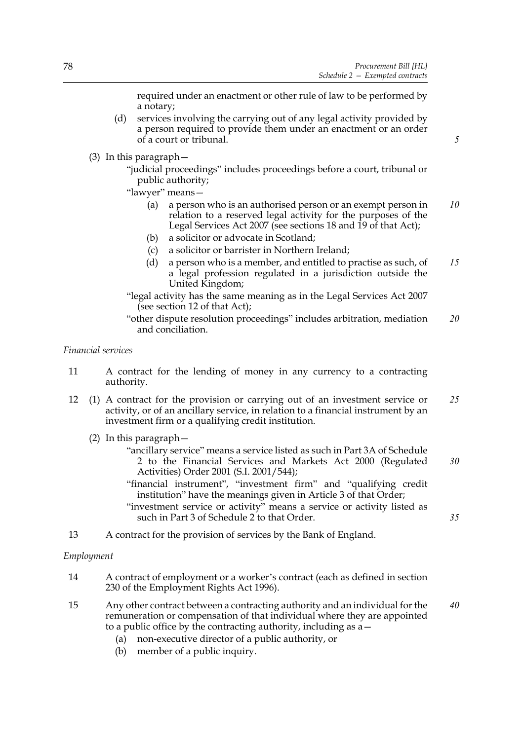*5*

required under an enactment or other rule of law to be performed by a notary;

- (d) services involving the carrying out of any legal activity provided by a person required to provide them under an enactment or an order of a court or tribunal.
- (3) In this paragraph—
	- "judicial proceedings" includes proceedings before a court, tribunal or public authority;
	- "lawyer" means—
		- (a) a person who is an authorised person or an exempt person in relation to a reserved legal activity for the purposes of the Legal Services Act 2007 (see sections 18 and 19 of that Act); *10*
		- (b) a solicitor or advocate in Scotland;
		- (c) a solicitor or barrister in Northern Ireland;
		- (d) a person who is a member, and entitled to practise as such, of a legal profession regulated in a jurisdiction outside the United Kingdom; *15*
	- "legal activity has the same meaning as in the Legal Services Act 2007 (see section 12 of that Act);
	- "other dispute resolution proceedings" includes arbitration, mediation and conciliation. *20*

## *Financial services*

- 11 A contract for the lending of money in any currency to a contracting authority.
- 12 (1) A contract for the provision or carrying out of an investment service or activity, or of an ancillary service, in relation to a financial instrument by an investment firm or a qualifying credit institution. *25*
	- (2) In this paragraph—
		- "ancillary service" means a service listed as such in Part 3A of Schedule 2 to the Financial Services and Markets Act 2000 (Regulated Activities) Order 2001 (S.I. 2001/544); *30*
		- "financial instrument", "investment firm" and "qualifying credit institution" have the meanings given in Article 3 of that Order;
		- "investment service or activity" means a service or activity listed as such in Part 3 of Schedule 2 to that Order.
- 13 A contract for the provision of services by the Bank of England.

## *Employment*

- 14 A contract of employment or a worker's contract (each as defined in section 230 of the Employment Rights Act 1996).
- 15 Any other contract between a contracting authority and an individual for the remuneration or compensation of that individual where they are appointed to a public office by the contracting authority, including as a— *40*
	- (a) non-executive director of a public authority, or
	- (b) member of a public inquiry.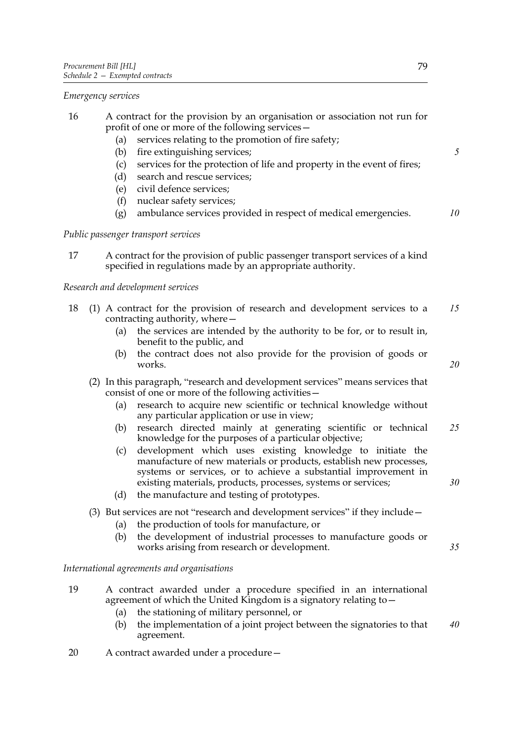*Emergency services*

- 16 A contract for the provision by an organisation or association not run for profit of one or more of the following services—
	- (a) services relating to the promotion of fire safety;
	- (b) fire extinguishing services;
	- (c) services for the protection of life and property in the event of fires;
	- (d) search and rescue services;
	- (e) civil defence services;
	- (f) nuclear safety services;
	- (g) ambulance services provided in respect of medical emergencies. *10*

*Public passenger transport services*

17 A contract for the provision of public passenger transport services of a kind specified in regulations made by an appropriate authority.

## *Research and development services*

- 18 (1) A contract for the provision of research and development services to a contracting authority, where— *15*
	- (a) the services are intended by the authority to be for, or to result in, benefit to the public, and
	- (b) the contract does not also provide for the provision of goods or works.
	- (2) In this paragraph, "research and development services" means services that consist of one or more of the following activities—
		- (a) research to acquire new scientific or technical knowledge without any particular application or use in view;
		- (b) research directed mainly at generating scientific or technical knowledge for the purposes of a particular objective; *25*
		- (c) development which uses existing knowledge to initiate the manufacture of new materials or products, establish new processes, systems or services, or to achieve a substantial improvement in existing materials, products, processes, systems or services;
		- (d) the manufacture and testing of prototypes.
	- (3) But services are not "research and development services" if they include—
		- (a) the production of tools for manufacture, or
		- (b) the development of industrial processes to manufacture goods or works arising from research or development.

#### *International agreements and organisations*

- 19 A contract awarded under a procedure specified in an international agreement of which the United Kingdom is a signatory relating to—
	- (a) the stationing of military personnel, or
	- (b) the implementation of a joint project between the signatories to that agreement. *40*
- 20 A contract awarded under a procedure—

```
20
```
*5*

*35*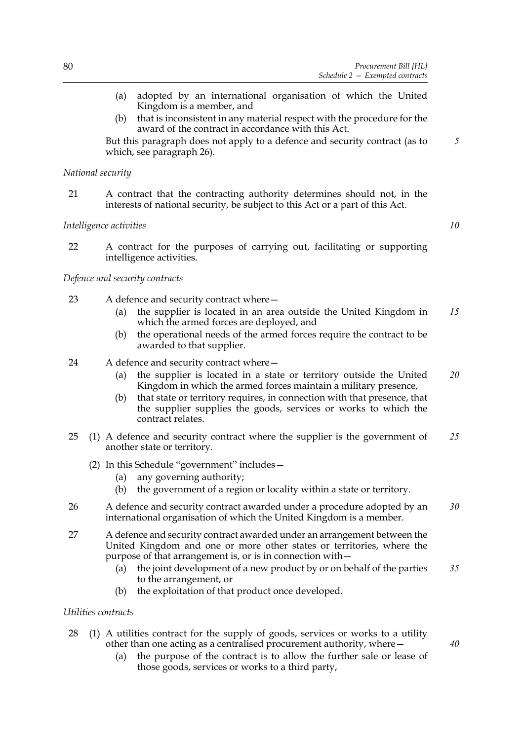- (a) adopted by an international organisation of which the United Kingdom is a member, and
- (b) that is inconsistent in any material respect with the procedure for the award of the contract in accordance with this Act.

But this paragraph does not apply to a defence and security contract (as to which, see paragraph [26](#page-87-0)).

## *National security*

21 A contract that the contracting authority determines should not, in the interests of national security, be subject to this Act or a part of this Act.

## *Intelligence activities*

*10*

*5*

22 A contract for the purposes of carrying out, facilitating or supporting intelligence activities.

## *Defence and security contracts*

- 23 A defence and security contract where—
	- (a) the supplier is located in an area outside the United Kingdom in which the armed forces are deployed, and *15*
	- (b) the operational needs of the armed forces require the contract to be awarded to that supplier.
- 24 A defence and security contract where—
	- (a) the supplier is located in a state or territory outside the United Kingdom in which the armed forces maintain a military presence, *20*
	- (b) that state or territory requires, in connection with that presence, that the supplier supplies the goods, services or works to which the contract relates.
- 25 (1) A defence and security contract where the supplier is the government of another state or territory. *25*
	- (2) In this Schedule "government" includes—
		- (a) any governing authority;
		- (b) the government of a region or locality within a state or territory.
- <span id="page-87-0"></span>26 A defence and security contract awarded under a procedure adopted by an international organisation of which the United Kingdom is a member. *30*
- 27 A defence and security contract awarded under an arrangement between the United Kingdom and one or more other states or territories, where the purpose of that arrangement is, or is in connection with—
	- (a) the joint development of a new product by or on behalf of the parties to the arrangement, or *35*
	- (b) the exploitation of that product once developed.

## *Utilities contracts*

- 28 (1) A utilities contract for the supply of goods, services or works to a utility other than one acting as a centralised procurement authority, where—
	- (a) the purpose of the contract is to allow the further sale or lease of those goods, services or works to a third party,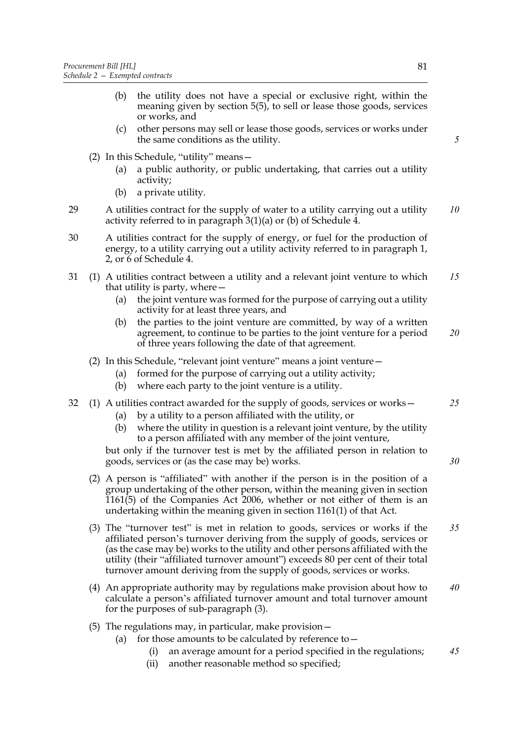- (b) the utility does not have a special or exclusive right, within the meaning given by section [5](#page-10-3)[\(5\)](#page-11-1), to sell or lease those goods, services or works, and
- (c) other persons may sell or lease those goods, services or works under the same conditions as the utility.
- (2) In this Schedule, "utility" means—
	- (a) a public authority, or public undertaking, that carries out a utility activity;
	- (b) a private utility.
- 29 A utilities contract for the supply of water to a utility carrying out a utility activity referred to in paragraph 3(1)(a) or (b) of Schedule [4.](#page-91-1) *10*
- 30 A utilities contract for the supply of energy, or fuel for the production of energy, to a utility carrying out a utility activity referred to in paragraph 1, 2, or 6 of Schedule [4](#page-91-1).
- 31 (1) A utilities contract between a utility and a relevant joint venture to which that utility is party, where— *15*
	- (a) the joint venture was formed for the purpose of carrying out a utility activity for at least three years, and
	- (b) the parties to the joint venture are committed, by way of a written agreement, to continue to be parties to the joint venture for a period of three years following the date of that agreement. *20*
	- (2) In this Schedule, "relevant joint venture" means a joint venture—
		- (a) formed for the purpose of carrying out a utility activity;
		- (b) where each party to the joint venture is a utility.
- 32 (1) A utilities contract awarded for the supply of goods, services or works—
	- (a) by a utility to a person affiliated with the utility, or
	- (b) where the utility in question is a relevant joint venture, by the utility to a person affiliated with any member of the joint venture,

but only if the turnover test is met by the affiliated person in relation to goods, services or (as the case may be) works.

- (2) A person is "affiliated" with another if the person is in the position of a group undertaking of the other person, within the meaning given in section 1161(5) of the Companies Act 2006, whether or not either of them is an undertaking within the meaning given in section 1161(1) of that Act.
- (3) The "turnover test" is met in relation to goods, services or works if the affiliated person's turnover deriving from the supply of goods, services or (as the case may be) works to the utility and other persons affiliated with the utility (their "affiliated turnover amount") exceeds 80 per cent of their total turnover amount deriving from the supply of goods, services or works. *35*
- (4) An appropriate authority may by regulations make provision about how to calculate a person's affiliated turnover amount and total turnover amount for the purposes of sub-paragraph (3). *40*
- (5) The regulations may, in particular, make provision—
	- (a) for those amounts to be calculated by reference to  $-$ 
		- (i) an average amount for a period specified in the regulations; *45*
		- (ii) another reasonable method so specified;

*5*

*25*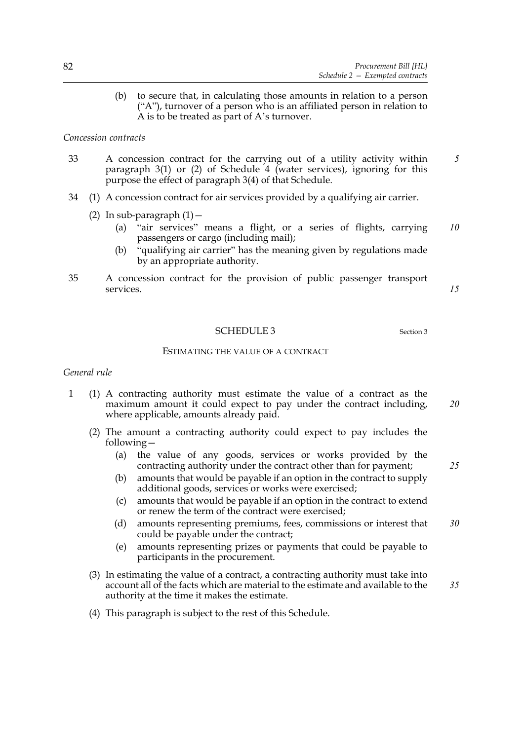(b) to secure that, in calculating those amounts in relation to a person ("A"), turnover of a person who is an affiliated person in relation to A is to be treated as part of A's turnover.

## *Concession contracts*

- 33 A concession contract for the carrying out of a utility activity within paragraph 3(1) or (2) of Schedule [4](#page-91-1) (water services), ignoring for this purpose the effect of paragraph 3(4) of that Schedule. *5*
- 34 (1) A concession contract for air services provided by a qualifying air carrier.
	- (2) In sub-paragraph  $(1)$  -
		- (a) "air services" means a flight, or a series of flights, carrying passengers or cargo (including mail); *10*
		- (b) "qualifying air carrier" has the meaning given by regulations made by an appropriate authority.
- 35 A concession contract for the provision of public passenger transport services.

*15*

## SCHEDULE [3](#page-10-4) Section 3

ESTIMATING THE VALUE OF A CONTRACT

#### *General rule*

- <span id="page-89-0"></span>1 (1) A contracting authority must estimate the value of a contract as the maximum amount it could expect to pay under the contract including, where applicable, amounts already paid.
	- (2) The amount a contracting authority could expect to pay includes the following—
		- (a) the value of any goods, services or works provided by the contracting authority under the contract other than for payment;
		- (b) amounts that would be payable if an option in the contract to supply additional goods, services or works were exercised;
		- (c) amounts that would be payable if an option in the contract to extend or renew the term of the contract were exercised;
		- (d) amounts representing premiums, fees, commissions or interest that could be payable under the contract; *30*
		- (e) amounts representing prizes or payments that could be payable to participants in the procurement.
	- (3) In estimating the value of a contract, a contracting authority must take into account all of the facts which are material to the estimate and available to the authority at the time it makes the estimate. *35*
	- (4) This paragraph is subject to the rest of this Schedule.

*20*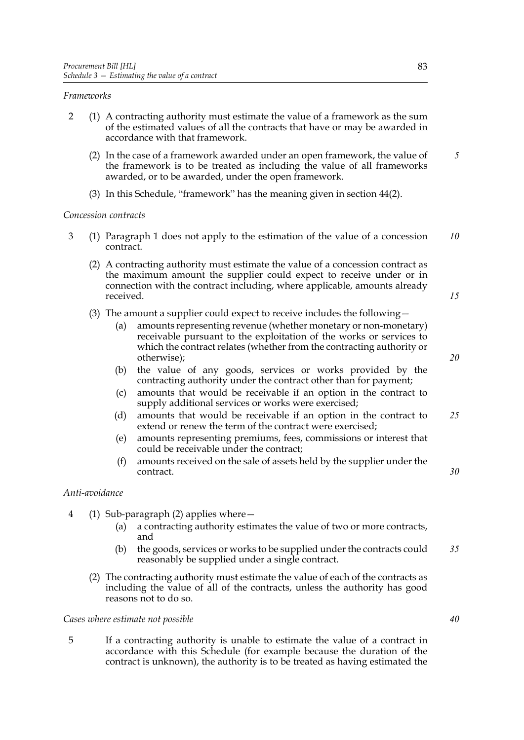## *Frameworks*

- 2 (1) A contracting authority must estimate the value of a framework as the sum of the estimated values of all the contracts that have or may be awarded in accordance with that framework.
	- (2) In the case of a framework awarded under an open framework, the value of the framework is to be treated as including the value of all frameworks awarded, or to be awarded, under the open framework. *5*
	- (3) In this Schedule, "framework" has the meaning given in section [44\(](#page-34-2)2).

#### *Concession contracts*

- 3 (1) Paragraph [1](#page-89-0) does not apply to the estimation of the value of a concession contract. *10*
	- (2) A contracting authority must estimate the value of a concession contract as the maximum amount the supplier could expect to receive under or in connection with the contract including, where applicable, amounts already received.
	- (3) The amount a supplier could expect to receive includes the following—
		- (a) amounts representing revenue (whether monetary or non-monetary) receivable pursuant to the exploitation of the works or services to which the contract relates (whether from the contracting authority or otherwise);
		- (b) the value of any goods, services or works provided by the contracting authority under the contract other than for payment;
		- (c) amounts that would be receivable if an option in the contract to supply additional services or works were exercised;
		- (d) amounts that would be receivable if an option in the contract to extend or renew the term of the contract were exercised; *25*
		- (e) amounts representing premiums, fees, commissions or interest that could be receivable under the contract;
		- (f) amounts received on the sale of assets held by the supplier under the contract.

## *Anti-avoidance*

- 4 (1) Sub-paragraph (2) applies where—
	- (a) a contracting authority estimates the value of two or more contracts, and
	- (b) the goods, services or works to be supplied under the contracts could reasonably be supplied under a single contract. *35*
	- (2) The contracting authority must estimate the value of each of the contracts as including the value of all of the contracts, unless the authority has good reasons not to do so.

## *Cases where estimate not possible*

5 If a contracting authority is unable to estimate the value of a contract in accordance with this Schedule (for example because the duration of the contract is unknown), the authority is to be treated as having estimated the

*30*

*15*

*20*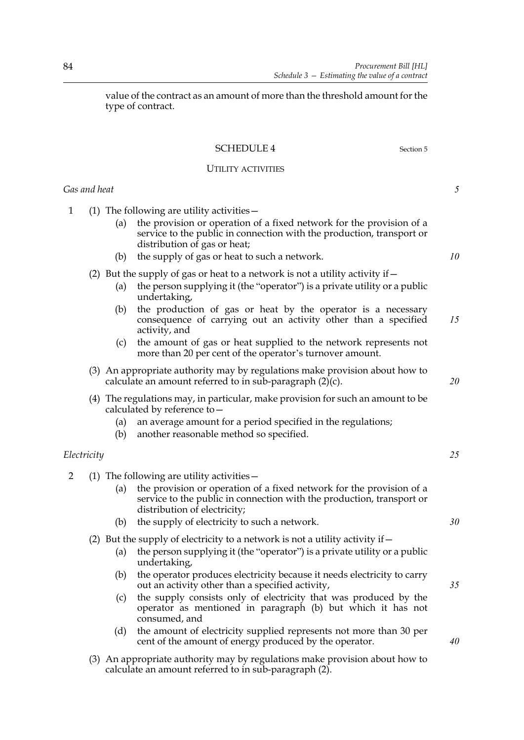value of the contract as an amount of more than the threshold amount for the type of contract.

# <span id="page-91-0"></span>SCHEDULE 4 Section [5](#page-10-3)

## UTILITY ACTIVITIES

<span id="page-91-1"></span>*Gas and heat*

<span id="page-91-2"></span>1 (1) The following are utility activities—

- (a) the provision or operation of a fixed network for the provision of a service to the public in connection with the production, transport or distribution of gas or heat;
- (b) the supply of gas or heat to such a network.
- (2) But the supply of gas or heat to a network is not a utility activity if  $-$ 
	- (a) the person supplying it (the "operator") is a private utility or a public undertaking,
	- (b) the production of gas or heat by the operator is a necessary consequence of carrying out an activity other than a specified activity, and *15*
	- (c) the amount of gas or heat supplied to the network represents not more than 20 per cent of the operator's turnover amount.
- (3) An appropriate authority may by regulations make provision about how to calculate an amount referred to in sub-paragraph  $(2)(c)$ .
- (4) The regulations may, in particular, make provision for such an amount to be calculated by reference to—
	- (a) an average amount for a period specified in the regulations;
	- (b) another reasonable method so specified.

## *Electricity*

- <span id="page-91-3"></span>2 (1) The following are utility activities—
	- (a) the provision or operation of a fixed network for the provision of a service to the public in connection with the production, transport or distribution of electricity;
	- (b) the supply of electricity to such a network.
	- (2) But the supply of electricity to a network is not a utility activity if  $-$ 
		- (a) the person supplying it (the "operator") is a private utility or a public undertaking,
		- (b) the operator produces electricity because it needs electricity to carry out an activity other than a specified activity,
		- (c) the supply consists only of electricity that was produced by the operator as mentioned in paragraph (b) but which it has not consumed, and
		- (d) the amount of electricity supplied represents not more than 30 per cent of the amount of energy produced by the operator.
	- (3) An appropriate authority may by regulations make provision about how to calculate an amount referred to in sub-paragraph (2).

*10*

*5*

*25*

*20*

*30*

*35*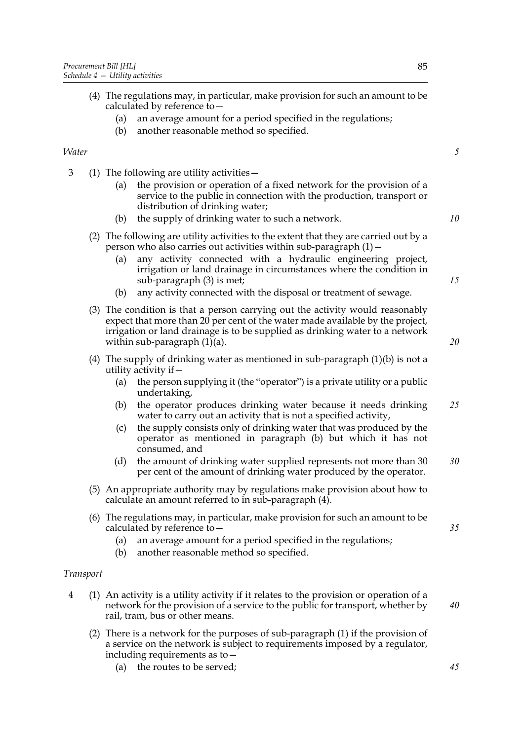*5*

*10*

*15*

*20*

| calculated by reference to -                                     |  |
|------------------------------------------------------------------|--|
| (a) an average amount for a period specified in the regulations; |  |

(4) The regulations may, in particular, make provision for such an amount to be

(b) another reasonable method so specified.

## *Water*

- <span id="page-92-1"></span><span id="page-92-0"></span>3 (1) The following are utility activities—
	- (a) the provision or operation of a fixed network for the provision of a service to the public in connection with the production, transport or distribution of drinking water;
	- (b) the supply of drinking water to such a network.
	- (2) The following are utility activities to the extent that they are carried out by a person who also carries out activities within sub-paragraph  $(1)$  –
		- (a) any activity connected with a hydraulic engineering project, irrigation or land drainage in circumstances where the condition in sub-paragraph (3) is met;
		- (b) any activity connected with the disposal or treatment of sewage.
	- (3) The condition is that a person carrying out the activity would reasonably expect that more than 20 per cent of the water made available by the project, irrigation or land drainage is to be supplied as drinking water to a network within sub-paragraph  $(1)(a)$ .
	- (4) The supply of drinking water as mentioned in sub-paragraph  $(1)(b)$  is not a utility activity if—
		- (a) the person supplying it (the "operator") is a private utility or a public undertaking,
		- (b) the operator produces drinking water because it needs drinking water to carry out an activity that is not a specified activity, *25*
		- (c) the supply consists only of drinking water that was produced by the operator as mentioned in paragraph (b) but which it has not consumed, and
		- (d) the amount of drinking water supplied represents not more than 30 per cent of the amount of drinking water produced by the operator. *30*
	- (5) An appropriate authority may by regulations make provision about how to calculate an amount referred to in sub-paragraph (4).
	- (6) The regulations may, in particular, make provision for such an amount to be calculated by reference to—
		- (a) an average amount for a period specified in the regulations;
		- (b) another reasonable method so specified.

#### *Transport*

- <span id="page-92-2"></span>4 (1) An activity is a utility activity if it relates to the provision or operation of a network for the provision of a service to the public for transport, whether by rail, tram, bus or other means.
	- (2) There is a network for the purposes of sub-paragraph (1) if the provision of a service on the network is subject to requirements imposed by a regulator, including requirements as to—
		- (a) the routes to be served;

*40*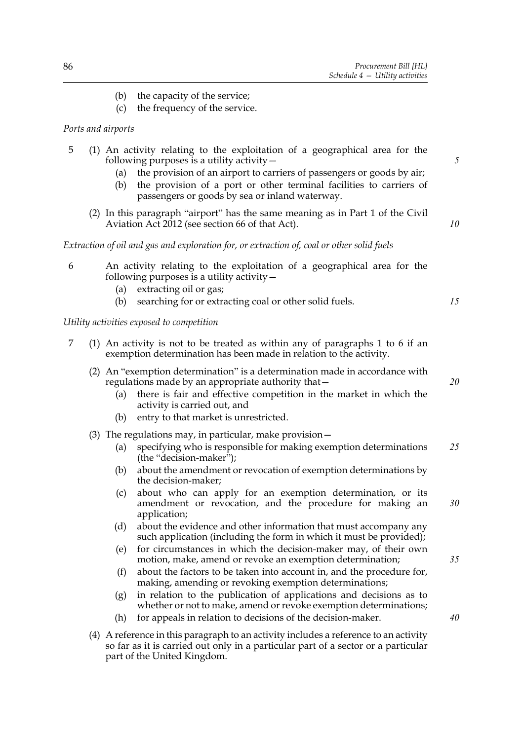- (b) the capacity of the service;
- (c) the frequency of the service.

## *Ports and airports*

## 5 (1) An activity relating to the exploitation of a geographical area for the following purposes is a utility activity—

- (a) the provision of an airport to carriers of passengers or goods by air;
- (b) the provision of a port or other terminal facilities to carriers of passengers or goods by sea or inland waterway.
- (2) In this paragraph "airport" has the same meaning as in Part 1 of the Civil Aviation Act 2012 (see section 66 of that Act).

*Extraction of oil and gas and exploration for, or extraction of, coal or other solid fuels*

- <span id="page-93-0"></span>6 An activity relating to the exploitation of a geographical area for the following purposes is a utility activity  $-$ 
	- (a) extracting oil or gas;
	- (b) searching for or extracting coal or other solid fuels.

#### *Utility activities exposed to competition*

- <span id="page-93-1"></span>7 (1) An activity is not to be treated as within any of paragraphs [1](#page-91-2) to [6](#page-93-0) if an exemption determination has been made in relation to the activity.
	- (2) An "exemption determination" is a determination made in accordance with regulations made by an appropriate authority that—
		- (a) there is fair and effective competition in the market in which the activity is carried out, and
		- (b) entry to that market is unrestricted.
	- (3) The regulations may, in particular, make provision—
		- (a) specifying who is responsible for making exemption determinations (the "decision-maker"); *25*
		- (b) about the amendment or revocation of exemption determinations by the decision-maker;
		- (c) about who can apply for an exemption determination, or its amendment or revocation, and the procedure for making an application; *30*
		- (d) about the evidence and other information that must accompany any such application (including the form in which it must be provided);
		- (e) for circumstances in which the decision-maker may, of their own motion, make, amend or revoke an exemption determination;
		- (f) about the factors to be taken into account in, and the procedure for, making, amending or revoking exemption determinations;
		- (g) in relation to the publication of applications and decisions as to whether or not to make, amend or revoke exemption determinations;
		- (h) for appeals in relation to decisions of the decision-maker.
	- (4) A reference in this paragraph to an activity includes a reference to an activity so far as it is carried out only in a particular part of a sector or a particular part of the United Kingdom.

*15*

*5*

*10*

*20*

*35*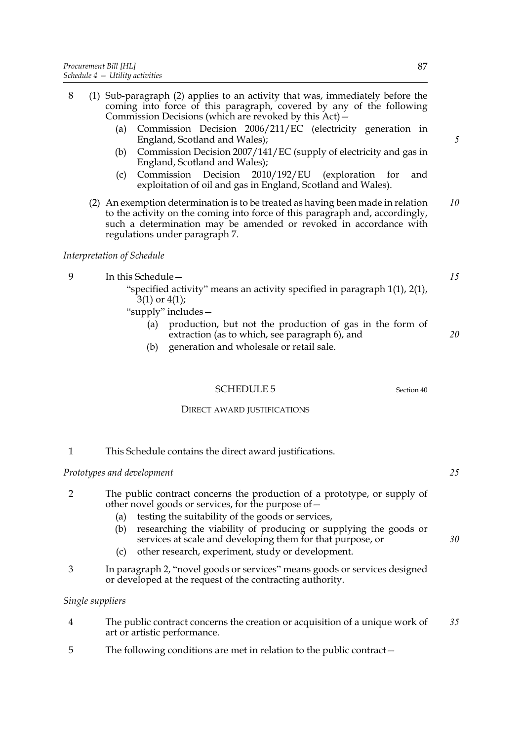- 8 (1) Sub-paragraph (2) applies to an activity that was, immediately before the coming into force of this paragraph, covered by any of the following Commission Decisions (which are revoked by this Act)— (a) Commission Decision 2006/211/EC (electricity generation in England, Scotland and Wales); (b) Commission Decision 2007/141/EC (supply of electricity and gas in England, Scotland and Wales); (c) Commission Decision 2010/192/EU (exploration for and exploitation of oil and gas in England, Scotland and Wales). (2) An exemption determination is to be treated as having been made in relation to the activity on the coming into force of this paragraph and, accordingly, such a determination may be amended or revoked in accordance with regulations under paragraph [7.](#page-93-1) *Interpretation of Schedule* 9 In this Schedule—
	- "specified activity" means an activity specified in paragraph [1\(1\)](#page-91-2), [2\(1\)](#page-91-3),  $3(1)$  or  $4(1)$ ;

"supply" includes—

- (a) production, but not the production of gas in the form of extraction (as to which, see paragraph [6\)](#page-93-0), and
- (b) generation and wholesale or retail sale.

SCHEDULE 5 Section [40](#page-32-0)

DIRECT AWARD JUSTIFICATIONS

## 1 This Schedule contains the direct award justifications.

## *Prototypes and development*

<span id="page-94-0"></span>

| The public contract concerns the production of a prototype, or supply of |
|--------------------------------------------------------------------------|
| other novel goods or services, for the purpose of $-$                    |

- (a) testing the suitability of the goods or services,
- (b) researching the viability of producing or supplying the goods or services at scale and developing them for that purpose, or
- (c) other research, experiment, study or development.
- 3 In paragraph [2](#page-94-0), "novel goods or services" means goods or services designed or developed at the request of the contracting authority.

## *Single suppliers*

- 4 The public contract concerns the creation or acquisition of a unique work of art or artistic performance. *35*
- 5 The following conditions are met in relation to the public contract—

*5*

*10*

*15*

*20*

*25*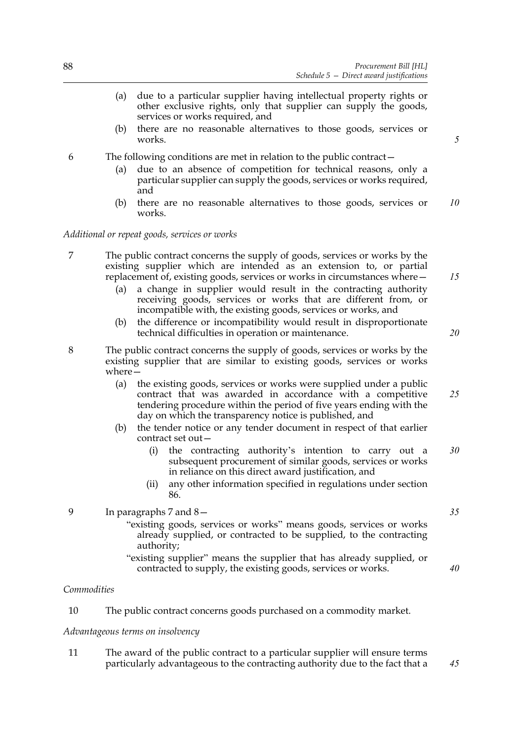- (a) due to a particular supplier having intellectual property rights or other exclusive rights, only that supplier can supply the goods, services or works required, and
- (b) there are no reasonable alternatives to those goods, services or works.
- 6 The following conditions are met in relation to the public contract—
	- (a) due to an absence of competition for technical reasons, only a particular supplier can supply the goods, services or works required, and
	- (b) there are no reasonable alternatives to those goods, services or works. *10*

#### *Additional or repeat goods, services or works*

- <span id="page-95-0"></span>7 The public contract concerns the supply of goods, services or works by the existing supplier which are intended as an extension to, or partial replacement of, existing goods, services or works in circumstances where—
	- (a) a change in supplier would result in the contracting authority receiving goods, services or works that are different from, or incompatible with, the existing goods, services or works, and
	- (b) the difference or incompatibility would result in disproportionate technical difficulties in operation or maintenance.
- <span id="page-95-1"></span>8 The public contract concerns the supply of goods, services or works by the existing supplier that are similar to existing goods, services or works where—
	- (a) the existing goods, services or works were supplied under a public contract that was awarded in accordance with a competitive tendering procedure within the period of five years ending with the day on which the transparency notice is published, and
	- (b) the tender notice or any tender document in respect of that earlier contract set out—
		- (i) the contracting authority's intention to carry out a subsequent procurement of similar goods, services or works in reliance on this direct award justification, and *30*
		- (ii) any other information specified in regulations under section [86.](#page-62-1)

9 In paragraphs [7](#page-95-0) and [8](#page-95-1)—

- "existing goods, services or works" means goods, services or works already supplied, or contracted to be supplied, to the contracting authority;
- "existing supplier" means the supplier that has already supplied, or contracted to supply, the existing goods, services or works.

#### *Commodities*

10 The public contract concerns goods purchased on a commodity market.

#### *Advantageous terms on insolvency*

11 The award of the public contract to a particular supplier will ensure terms particularly advantageous to the contracting authority due to the fact that a

*20*

*15*

*5*

*25*

*35*

*40*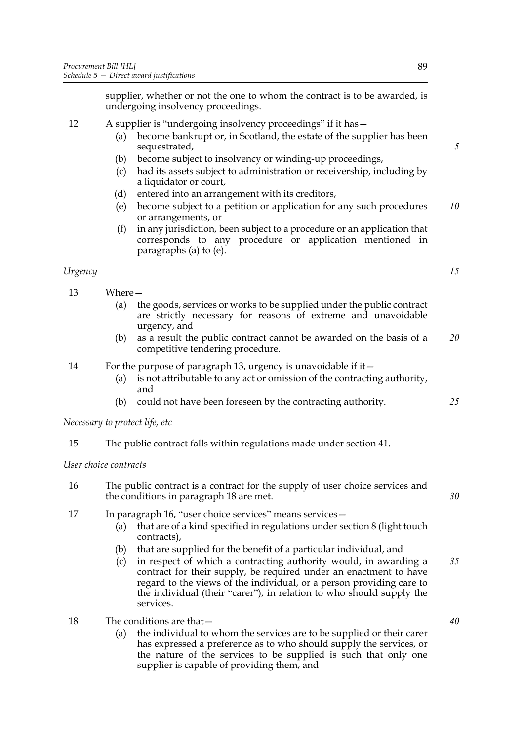supplier, whether or not the one to whom the contract is to be awarded, is undergoing insolvency proceedings.

## 12 A supplier is "undergoing insolvency proceedings" if it has—

- (a) become bankrupt or, in Scotland, the estate of the supplier has been sequestrated,
- (b) become subject to insolvency or winding-up proceedings,
- (c) had its assets subject to administration or receivership, including by a liquidator or court,
- <span id="page-96-0"></span>(d) entered into an arrangement with its creditors,
- (e) become subject to a petition or application for any such procedures or arrangements, or *10*
- (f) in any jurisdiction, been subject to a procedure or an application that corresponds to any procedure or application mentioned in paragraphs (a) to [\(e\).](#page-96-0)

## *Urgency*

<span id="page-96-1"></span>13 Where—

- (a) the goods, services or works to be supplied under the public contract are strictly necessary for reasons of extreme and unavoidable urgency, and
- (b) as a result the public contract cannot be awarded on the basis of a competitive tendering procedure. *20*

## 14 For the purpose of paragraph [13,](#page-96-1) urgency is unavoidable if it—

- (a) is not attributable to any act or omission of the contracting authority, and
- (b) could not have been foreseen by the contracting authority.

*Necessary to protect life, etc*

15 The public contract falls within regulations made under section [41](#page-33-1).

*User choice contracts*

- <span id="page-96-3"></span>16 The public contract is a contract for the supply of user choice services and the conditions in paragraph [18](#page-96-2) are met.
- 17 In paragraph [16](#page-96-3), "user choice services" means services -
	- (a) that are of a kind specified in regulations under section [8](#page-13-2) (light touch contracts),
	- (b) that are supplied for the benefit of a particular individual, and
	- (c) in respect of which a contracting authority would, in awarding a contract for their supply, be required under an enactment to have regard to the views of the individual, or a person providing care to the individual (their "carer"), in relation to who should supply the services. *35*
- <span id="page-96-2"></span>18 The conditions are that
	- the individual to whom the services are to be supplied or their carer has expressed a preference as to who should supply the services, or the nature of the services to be supplied is such that only one supplier is capable of providing them, and

*5*

*15*

*30*

*25*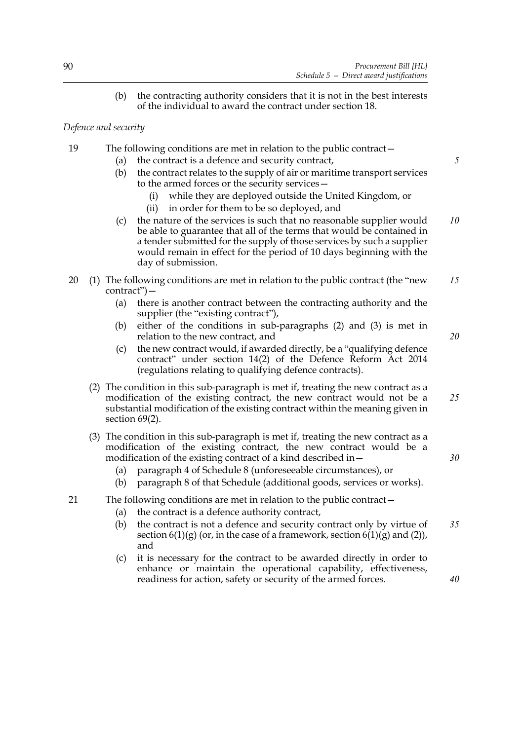(b) the contracting authority considers that it is not in the best interests of the individual to award the contract under section [18.](#page-19-0)

*Defence and security*

- 19 The following conditions are met in relation to the public contract—
	- (a) the contract is a defence and security contract,
	- (b) the contract relates to the supply of air or maritime transport services to the armed forces or the security services—
		- (i) while they are deployed outside the United Kingdom, or
		- (ii) in order for them to be so deployed, and
	- (c) the nature of the services is such that no reasonable supplier would be able to guarantee that all of the terms that would be contained in a tender submitted for the supply of those services by such a supplier would remain in effect for the period of 10 days beginning with the day of submission. *10*
- <span id="page-97-0"></span>20 (1) The following conditions are met in relation to the public contract (the "new contract")— *15*
	- (a) there is another contract between the contracting authority and the supplier (the "existing contract"),
	- (b) either of the conditions in sub-paragraphs [\(2\)](#page-97-0) and [\(3\)](#page-97-1) is met in relation to the new contract, and
	- (c) the new contract would, if awarded directly, be a "qualifying defence contract" under section 14(2) of the Defence Reform Act 2014 (regulations relating to qualifying defence contracts).
	- (2) The condition in this sub-paragraph is met if, treating the new contract as a modification of the existing contract, the new contract would not be a substantial modification of the existing contract within the meaning given in section [69\(](#page-51-0)2). *25*
	- (3) The condition in this sub-paragraph is met if, treating the new contract as a modification of the existing contract, the new contract would be a modification of the existing contract of a kind described in—
		- (a) paragraph 4 of Schedule [8](#page-109-0) (unforeseeable circumstances), or
		- (b) paragraph 8 of that Schedule (additional goods, services or works).
- <span id="page-97-1"></span>21 The following conditions are met in relation to the public contract—
	- (a) the contract is a defence authority contract,
	- (b) the contract is not a defence and security contract only by virtue of section  $6(1)(g)$  (or, in the case of a framework, section  $6(1)(g)$  and  $(2)$ ), and *35*
	- (c) it is necessary for the contract to be awarded directly in order to enhance or maintain the operational capability, effectiveness, readiness for action, safety or security of the armed forces.

*40*

*30*

*5*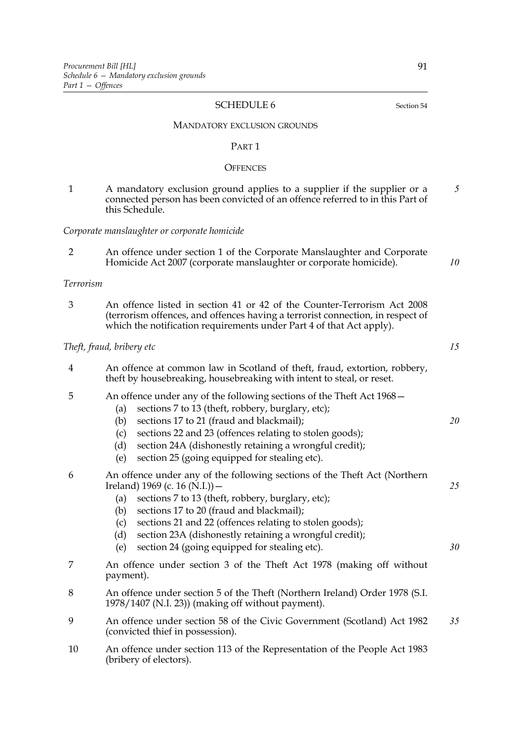#### <span id="page-98-0"></span>SCHEDULE 6 Section [54](#page-40-1)

#### MANDATORY EXCLUSION GROUNDS

#### PART 1

#### **OFFENCES**

1 A mandatory exclusion ground applies to a supplier if the supplier or a connected person has been convicted of an offence referred to in this Part of this Schedule. *5*

#### *Corporate manslaughter or corporate homicide*

<span id="page-98-3"></span>2 An offence under section 1 of the Corporate Manslaughter and Corporate Homicide Act 2007 (corporate manslaughter or corporate homicide).

## *Terrorism*

<span id="page-98-1"></span>3 An offence listed in section 41 or 42 of the Counter-Terrorism Act 2008 (terrorism offences, and offences having a terrorist connection, in respect of which the notification requirements under Part 4 of that Act apply).

#### *Theft, fraud, bribery etc*

<span id="page-98-4"></span>4 An offence at common law in Scotland of theft, fraud, extortion, robbery, theft by housebreaking, housebreaking with intent to steal, or reset.

## <span id="page-98-5"></span>5 An offence under any of the following sections of the Theft Act 1968—

- (a) sections 7 to 13 (theft, robbery, burglary, etc);
- (b) sections 17 to 21 (fraud and blackmail);
- (c) sections 22 and 23 (offences relating to stolen goods);
- (d) section 24A (dishonestly retaining a wrongful credit);
- (e) section 25 (going equipped for stealing etc).
- <span id="page-98-6"></span>6 An offence under any of the following sections of the Theft Act (Northern Ireland) 1969 (c. 16 (N.I.))  $-$ 
	- (a) sections 7 to 13 (theft, robbery, burglary, etc);
	- (b) sections 17 to 20 (fraud and blackmail);
	- (c) sections 21 and 22 (offences relating to stolen goods);
	- (d) section 23A (dishonestly retaining a wrongful credit);
	- (e) section 24 (going equipped for stealing etc).
- <span id="page-98-7"></span>7 An offence under section 3 of the Theft Act 1978 (making off without payment).
- 8 An offence under section 5 of the Theft (Northern Ireland) Order 1978 (S.I. 1978/1407 (N.I. 23)) (making off without payment).
- <span id="page-98-8"></span>9 An offence under section 58 of the Civic Government (Scotland) Act 1982 (convicted thief in possession). *35*
- <span id="page-98-2"></span>10 An offence under section 113 of the Representation of the People Act 1983 (bribery of electors).

*25*

*10*

*15*

*20*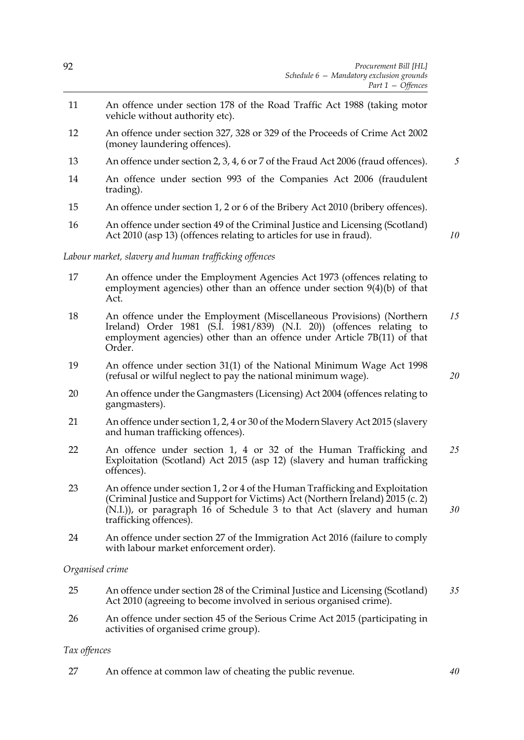- <span id="page-99-7"></span>11 An offence under section 178 of the Road Traffic Act 1988 (taking motor vehicle without authority etc).
- <span id="page-99-1"></span>12 An offence under section 327, 328 or 329 of the Proceeds of Crime Act 2002 (money laundering offences).
- <span id="page-99-8"></span>13 An offence under section 2, 3, 4, 6 or 7 of the Fraud Act 2006 (fraud offences). *5*
- <span id="page-99-9"></span>14 An offence under section 993 of the Companies Act 2006 (fraudulent trading).
- <span id="page-99-0"></span>15 An offence under section 1, 2 or 6 of the Bribery Act 2010 (bribery offences).
- <span id="page-99-10"></span>16 An offence under section 49 of the Criminal Justice and Licensing (Scotland) Act 2010 (asp 13) (offences relating to articles for use in fraud).

*10*

## *Labour market, slavery and human trafficking offences*

- <span id="page-99-11"></span>17 An offence under the Employment Agencies Act 1973 (offences relating to employment agencies) other than an offence under section 9(4)(b) of that Act.
- 18 An offence under the Employment (Miscellaneous Provisions) (Northern Ireland) Order 1981 (S.I. 1981/839) (N.I. 20)) (offences relating to employment agencies) other than an offence under Article 7B(11) of that Order. *15*
- 19 An offence under section 31(1) of the National Minimum Wage Act 1998 (refusal or wilful neglect to pay the national minimum wage).
- <span id="page-99-12"></span>20 An offence under the Gangmasters (Licensing) Act 2004 (offences relating to gangmasters).
- <span id="page-99-2"></span>21 An offence under section 1, 2, 4 or 30 of the Modern Slavery Act 2015 (slavery and human trafficking offences).
- <span id="page-99-3"></span>22 An offence under section 1, 4 or 32 of the Human Trafficking and Exploitation (Scotland) Act 2015 (asp 12) (slavery and human trafficking offences). *25*
- <span id="page-99-4"></span>23 An offence under section 1, 2 or 4 of the Human Trafficking and Exploitation (Criminal Justice and Support for Victims) Act (Northern Ireland) 2015 (c. 2)  $(N.I.)$ , or paragraph 16 of Schedule 3 to that Act (slavery and human trafficking offences). *30*
- <span id="page-99-13"></span>24 An offence under section 27 of the Immigration Act 2016 (failure to comply with labour market enforcement order).

## *Organised crime*

- <span id="page-99-5"></span>25 An offence under section 28 of the Criminal Justice and Licensing (Scotland) Act 2010 (agreeing to become involved in serious organised crime). *35*
- <span id="page-99-6"></span>26 An offence under section 45 of the Serious Crime Act 2015 (participating in activities of organised crime group).

## *Tax offences*

<span id="page-99-14"></span>27 An offence at common law of cheating the public revenue. *40*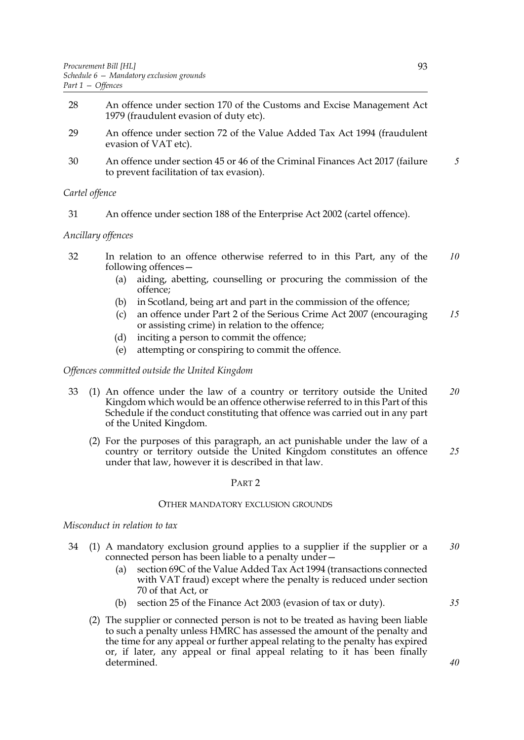- 28 An offence under section 170 of the Customs and Excise Management Act 1979 (fraudulent evasion of duty etc).
- 29 An offence under section 72 of the Value Added Tax Act 1994 (fraudulent evasion of VAT etc).
- <span id="page-100-3"></span>30 An offence under section 45 or 46 of the Criminal Finances Act 2017 (failure to prevent facilitation of tax evasion). *5*

## *Cartel offence*

<span id="page-100-4"></span>31 An offence under section 188 of the Enterprise Act 2002 (cartel offence).

## *Ancillary offences*

- <span id="page-100-1"></span>32 In relation to an offence otherwise referred to in this Part, any of the following offences— *10*
	- (a) aiding, abetting, counselling or procuring the commission of the offence;
	- (b) in Scotland, being art and part in the commission of the offence;
	- (c) an offence under Part 2 of the Serious Crime Act 2007 (encouraging or assisting crime) in relation to the offence; *15*
	- (d) inciting a person to commit the offence;
	- (e) attempting or conspiring to commit the offence.

## *Offences committed outside the United Kingdom*

- <span id="page-100-2"></span>33 (1) An offence under the law of a country or territory outside the United Kingdom which would be an offence otherwise referred to in this Part of this Schedule if the conduct constituting that offence was carried out in any part of the United Kingdom. *20*
	- (2) For the purposes of this paragraph, an act punishable under the law of a country or territory outside the United Kingdom constitutes an offence under that law, however it is described in that law. *25*

#### PART 2

## OTHER MANDATORY EXCLUSION GROUNDS

#### *Misconduct in relation to tax*

- <span id="page-100-0"></span>34 (1) A mandatory exclusion ground applies to a supplier if the supplier or a connected person has been liable to a penalty under— *30*
	- (a) section 69C of the Value Added Tax Act 1994 (transactions connected with VAT fraud) except where the penalty is reduced under section 70 of that Act, or
	- (b) section 25 of the Finance Act 2003 (evasion of tax or duty).
- *35*
- (2) The supplier or connected person is not to be treated as having been liable to such a penalty unless HMRC has assessed the amount of the penalty and the time for any appeal or further appeal relating to the penalty has expired or, if later, any appeal or final appeal relating to it has been finally determined.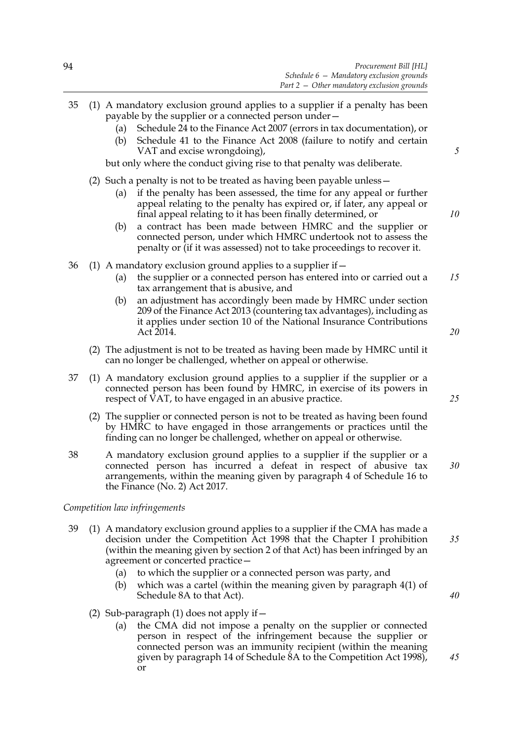- 35 (1) A mandatory exclusion ground applies to a supplier if a penalty has been payable by the supplier or a connected person under— (a) Schedule 24 to the Finance Act 2007 (errors in tax documentation), or (b) Schedule 41 to the Finance Act 2008 (failure to notify and certain VAT and excise wrongdoing), but only where the conduct giving rise to that penalty was deliberate. (2) Such a penalty is not to be treated as having been payable unless— (a) if the penalty has been assessed, the time for any appeal or further appeal relating to the penalty has expired or, if later, any appeal or final appeal relating to it has been finally determined, or (b) a contract has been made between HMRC and the supplier or connected person, under which HMRC undertook not to assess the penalty or (if it was assessed) not to take proceedings to recover it. 36 (1) A mandatory exclusion ground applies to a supplier if  $-$ (a) the supplier or a connected person has entered into or carried out a tax arrangement that is abusive, and (b) an adjustment has accordingly been made by HMRC under section 209 of the Finance Act 2013 (countering tax advantages), including as it applies under section 10 of the National Insurance Contributions *5 10 15*
	- *20*
	- (2) The adjustment is not to be treated as having been made by HMRC until it can no longer be challenged, whether on appeal or otherwise.
- 37 (1) A mandatory exclusion ground applies to a supplier if the supplier or a connected person has been found by HMRC, in exercise of its powers in respect of VAT, to have engaged in an abusive practice.
	- (2) The supplier or connected person is not to be treated as having been found by HMRC to have engaged in those arrangements or practices until the finding can no longer be challenged, whether on appeal or otherwise.
- <span id="page-101-1"></span>38 A mandatory exclusion ground applies to a supplier if the supplier or a connected person has incurred a defeat in respect of abusive tax arrangements, within the meaning given by paragraph 4 of Schedule 16 to the Finance (No. 2) Act 2017.

## *Competition law infringements*

Act 2014.

- <span id="page-101-0"></span>39 (1) A mandatory exclusion ground applies to a supplier if the CMA has made a decision under the Competition Act 1998 that the Chapter I prohibition (within the meaning given by section 2 of that Act) has been infringed by an agreement or concerted practice—
	- (a) to which the supplier or a connected person was party, and
	- (b) which was a cartel (within the meaning given by paragraph 4(1) of Schedule 8A to that Act).
	- (2) Sub-paragraph [\(1\)](#page-101-0) does not apply if  $-$ 
		- (a) the CMA did not impose a penalty on the supplier or connected person in respect of the infringement because the supplier or connected person was an immunity recipient (within the meaning given by paragraph 14 of Schedule 8A to the Competition Act 1998), or

*25*

*30*

*35*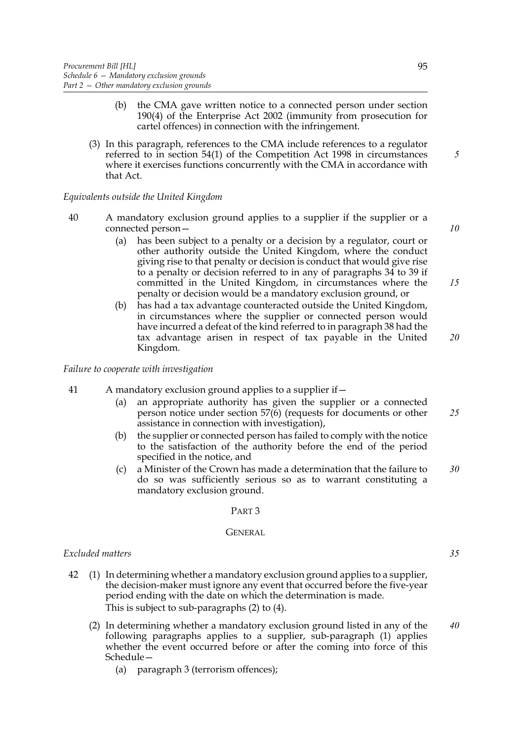- (b) the CMA gave written notice to a connected person under section 190(4) of the Enterprise Act 2002 (immunity from prosecution for cartel offences) in connection with the infringement.
- (3) In this paragraph, references to the CMA include references to a regulator referred to in section 54(1) of the Competition Act 1998 in circumstances where it exercises functions concurrently with the CMA in accordance with that Act.

## *Equivalents outside the United Kingdom*

- <span id="page-102-2"></span>40 A mandatory exclusion ground applies to a supplier if the supplier or a connected person—
	- (a) has been subject to a penalty or a decision by a regulator, court or other authority outside the United Kingdom, where the conduct giving rise to that penalty or decision is conduct that would give rise to a penalty or decision referred to in any of paragraphs [34](#page-100-0) to [39](#page-101-0) if committed in the United Kingdom, in circumstances where the penalty or decision would be a mandatory exclusion ground, or
	- (b) has had a tax advantage counteracted outside the United Kingdom, in circumstances where the supplier or connected person would have incurred a defeat of the kind referred to in paragraph [38](#page-101-1) had the tax advantage arisen in respect of tax payable in the United Kingdom. *20*

*Failure to cooperate with investigation*

- 41 A mandatory exclusion ground applies to a supplier if—
	- (a) an appropriate authority has given the supplier or a connected person notice under section [57](#page-43-0)(6) (requests for documents or other assistance in connection with investigation), *25*
	- (b) the supplier or connected person has failed to comply with the notice to the satisfaction of the authority before the end of the period specified in the notice, and
	- (c) a Minister of the Crown has made a determination that the failure to do so was sufficiently serious so as to warrant constituting a mandatory exclusion ground. *30*

#### PART 3

#### **GENERAL**

### *Excluded matters*

- <span id="page-102-1"></span><span id="page-102-0"></span>42 (1) In determining whether a mandatory exclusion ground applies to a supplier, the decision-maker must ignore any event that occurred before the five-year period ending with the date on which the determination is made. This is subject to sub-paragraphs [\(2\)](#page-102-0) to [\(4\)](#page-103-0).
	- (2) In determining whether a mandatory exclusion ground listed in any of the following paragraphs applies to a supplier, sub-paragraph [\(1\)](#page-102-1) applies whether the event occurred before or after the coming into force of this Schedule— *40*
		- (a) paragraph [3](#page-98-1) (terrorism offences);

*10*

*15*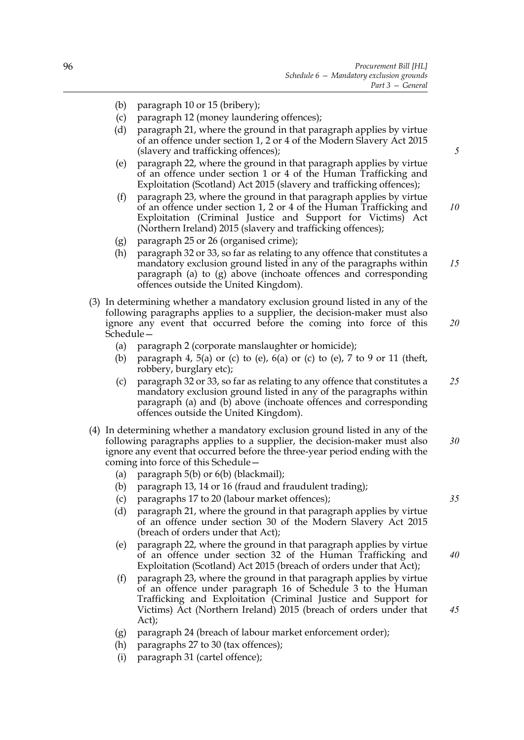- (b) paragraph [10](#page-98-2) or [15](#page-99-0) (bribery);
- (c) paragraph [12](#page-99-1) (money laundering offences);
- (d) paragraph [21,](#page-99-2) where the ground in that paragraph applies by virtue of an offence under section 1, 2 or 4 of the Modern Slavery Act 2015 (slavery and trafficking offences);
- (e) paragraph [22,](#page-99-3) where the ground in that paragraph applies by virtue of an offence under section 1 or 4 of the Human Trafficking and Exploitation (Scotland) Act 2015 (slavery and trafficking offences);
- (f) paragraph [23,](#page-99-4) where the ground in that paragraph applies by virtue of an offence under section 1, 2 or 4 of the Human Trafficking and Exploitation (Criminal Justice and Support for Victims) Act (Northern Ireland) 2015 (slavery and trafficking offences);
- <span id="page-103-1"></span>(g) paragraph [25](#page-99-5) or [26](#page-99-6) (organised crime);
- (h) paragraph [32](#page-100-1) or [33,](#page-100-2) so far as relating to any offence that constitutes a mandatory exclusion ground listed in any of the paragraphs within paragraph (a) to [\(g\)](#page-103-1) above (inchoate offences and corresponding offences outside the United Kingdom). *15*
- (3) In determining whether a mandatory exclusion ground listed in any of the following paragraphs applies to a supplier, the decision-maker must also ignore any event that occurred before the coming into force of this Schedule— *20*
	- (a) paragraph [2](#page-98-3) (corporate manslaughter or homicide);
	- (b) paragraph [4](#page-98-4), [5\(](#page-98-5)a) or (c) to (e), [6\(](#page-98-6)a) or (c) to (e), [7](#page-98-7) to [9](#page-98-8) or [11](#page-99-7) (theft, robbery, burglary etc);
	- (c) paragraph [32](#page-100-1) or [33,](#page-100-2) so far as relating to any offence that constitutes a mandatory exclusion ground listed in any of the paragraphs within paragraph (a) and (b) above (inchoate offences and corresponding offences outside the United Kingdom). *25*
- <span id="page-103-2"></span><span id="page-103-0"></span>(4) In determining whether a mandatory exclusion ground listed in any of the following paragraphs applies to a supplier, the decision-maker must also ignore any event that occurred before the three-year period ending with the coming into force of this Schedule— *30*
	- (a) paragraph [5](#page-98-5)(b) or [6\(](#page-98-6)b) (blackmail);
	- (b) paragraph [13,](#page-99-8) [14](#page-99-9) or [16](#page-99-10) (fraud and fraudulent trading);
	- (c) paragraphs [17](#page-99-11) to [20](#page-99-12) (labour market offences);
	- (d) paragraph [21,](#page-99-2) where the ground in that paragraph applies by virtue of an offence under section 30 of the Modern Slavery Act 2015 (breach of orders under that Act);
	- (e) paragraph [22,](#page-99-3) where the ground in that paragraph applies by virtue of an offence under section 32 of the Human Trafficking and Exploitation (Scotland) Act 2015 (breach of orders under that Act);
	- (f) paragraph [23,](#page-99-4) where the ground in that paragraph applies by virtue of an offence under paragraph 16 of Schedule 3 to the Human Trafficking and Exploitation (Criminal Justice and Support for Victims) Act (Northern Ireland) 2015 (breach of orders under that Act);
	- (g) paragraph [24](#page-99-13) (breach of labour market enforcement order);
	- (h) paragraphs [27](#page-99-14) to [30](#page-100-3) (tax offences);
	- (i) paragraph [31](#page-100-4) (cartel offence);

*5*

*10*

*35*

*45*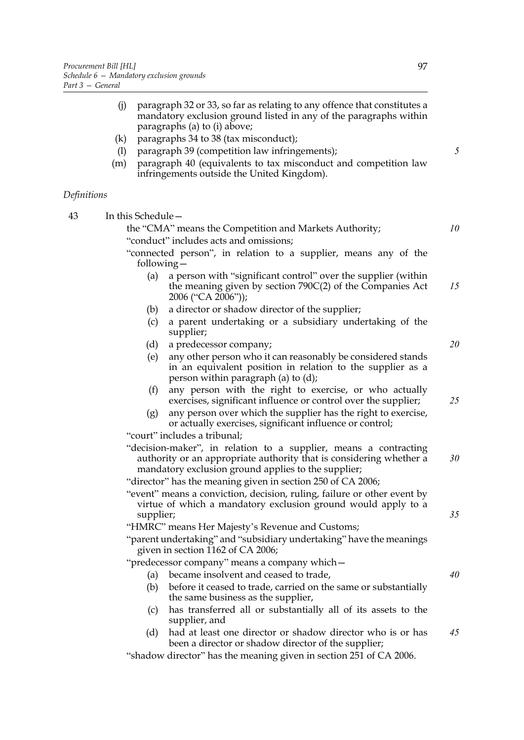- (j) paragraph [32](#page-100-1) or [33,](#page-100-2) so far as relating to any offence that constitutes a mandatory exclusion ground listed in any of the paragraphs within paragraphs (a) to [\(i\)](#page-103-2) above;
- (k) paragraphs [34](#page-100-0) to [38](#page-101-1) (tax misconduct);
- (l) paragraph [39](#page-101-0) (competition law infringements);
- (m) paragraph [40](#page-102-2) (equivalents to tax misconduct and competition law infringements outside the United Kingdom).

## *Definitions*

| 43 | In this Schedule-                                                                                                                                                                              |    |
|----|------------------------------------------------------------------------------------------------------------------------------------------------------------------------------------------------|----|
|    | the "CMA" means the Competition and Markets Authority;                                                                                                                                         | 10 |
|    | "conduct" includes acts and omissions;                                                                                                                                                         |    |
|    | "connected person", in relation to a supplier, means any of the<br>following $-$                                                                                                               |    |
|    | a person with "significant control" over the supplier (within<br>(a)<br>the meaning given by section 790C(2) of the Companies Act<br>2006 ("CA 2006"));                                        | 15 |
|    | a director or shadow director of the supplier;<br>(b)                                                                                                                                          |    |
|    | a parent undertaking or a subsidiary undertaking of the<br>(c)<br>supplier;                                                                                                                    |    |
|    | (d)<br>a predecessor company;                                                                                                                                                                  | 20 |
|    | any other person who it can reasonably be considered stands<br>(e)<br>in an equivalent position in relation to the supplier as a<br>person within paragraph (a) to (d);                        |    |
|    | (f)<br>any person with the right to exercise, or who actually<br>exercises, significant influence or control over the supplier;                                                                | 25 |
|    | any person over which the supplier has the right to exercise,<br>(g)<br>or actually exercises, significant influence or control;                                                               |    |
|    | "court" includes a tribunal;                                                                                                                                                                   |    |
|    | "decision-maker", in relation to a supplier, means a contracting<br>authority or an appropriate authority that is considering whether a<br>mandatory exclusion ground applies to the supplier; | 30 |
|    | "director" has the meaning given in section 250 of CA 2006;                                                                                                                                    |    |
|    | "event" means a conviction, decision, ruling, failure or other event by<br>virtue of which a mandatory exclusion ground would apply to a<br>supplier;                                          | 35 |
|    | "HMRC" means Her Majesty's Revenue and Customs;                                                                                                                                                |    |
|    | "parent undertaking" and "subsidiary undertaking" have the meanings<br>given in section 1162 of CA 2006;                                                                                       |    |
|    | "predecessor company" means a company which-                                                                                                                                                   |    |
|    | became insolvent and ceased to trade,<br>(a)                                                                                                                                                   | 40 |
|    | before it ceased to trade, carried on the same or substantially<br>(b)<br>the same business as the supplier,                                                                                   |    |
|    | has transferred all or substantially all of its assets to the<br>(c)<br>supplier, and                                                                                                          |    |
|    | had at least one director or shadow director who is or has<br>(d)<br>been a director or shadow director of the supplier;                                                                       | 45 |
|    | "shadow director" has the meaning given in section 251 of CA 2006.                                                                                                                             |    |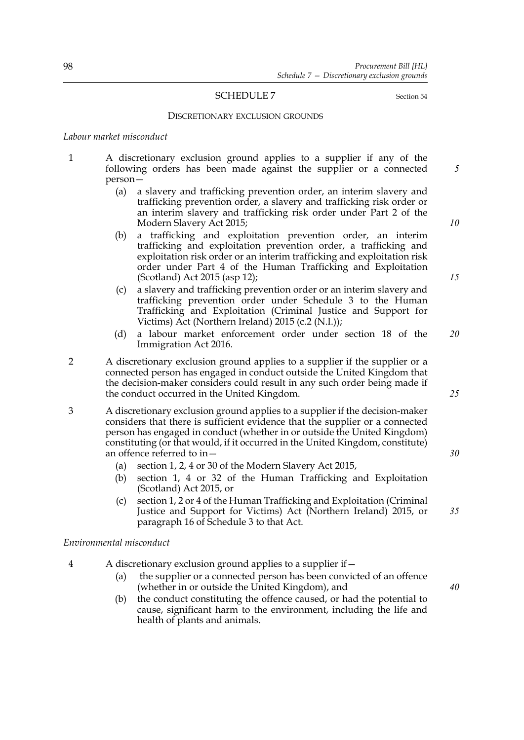#### <span id="page-105-0"></span>SCHEDULE 7 Section [54](#page-40-1)

#### DISCRETIONARY EXCLUSION GROUNDS

#### *Labour market misconduct*

- 1 A discretionary exclusion ground applies to a supplier if any of the following orders has been made against the supplier or a connected person—
	- (a) a slavery and trafficking prevention order, an interim slavery and trafficking prevention order, a slavery and trafficking risk order or an interim slavery and trafficking risk order under Part 2 of the Modern Slavery Act 2015;
	- (b) a trafficking and exploitation prevention order, an interim trafficking and exploitation prevention order, a trafficking and exploitation risk order or an interim trafficking and exploitation risk order under Part 4 of the Human Trafficking and Exploitation (Scotland) Act 2015 (asp 12);
	- (c) a slavery and trafficking prevention order or an interim slavery and trafficking prevention order under Schedule 3 to the Human Trafficking and Exploitation (Criminal Justice and Support for Victims) Act (Northern Ireland) 2015 (c.2 (N.I.));
	- (d) a labour market enforcement order under section 18 of the Immigration Act 2016. *20*
- 2 A discretionary exclusion ground applies to a supplier if the supplier or a connected person has engaged in conduct outside the United Kingdom that the decision-maker considers could result in any such order being made if the conduct occurred in the United Kingdom.

3 A discretionary exclusion ground applies to a supplier if the decision-maker considers that there is sufficient evidence that the supplier or a connected person has engaged in conduct (whether in or outside the United Kingdom) constituting (or that would, if it occurred in the United Kingdom, constitute) an offence referred to in—

- (a) section 1, 2, 4 or 30 of the Modern Slavery Act 2015,
- (b) section 1, 4 or 32 of the Human Trafficking and Exploitation (Scotland) Act 2015, or
- (c) section 1, 2 or 4 of the Human Trafficking and Exploitation (Criminal Justice and Support for Victims) Act (Northern Ireland) 2015, or paragraph 16 of Schedule 3 to that Act.

#### *Environmental misconduct*

- 4 A discretionary exclusion ground applies to a supplier if—
	- (a) the supplier or a connected person has been convicted of an offence (whether in or outside the United Kingdom), and
	- (b) the conduct constituting the offence caused, or had the potential to cause, significant harm to the environment, including the life and health of plants and animals.

*5*

*25*

*15*

*30*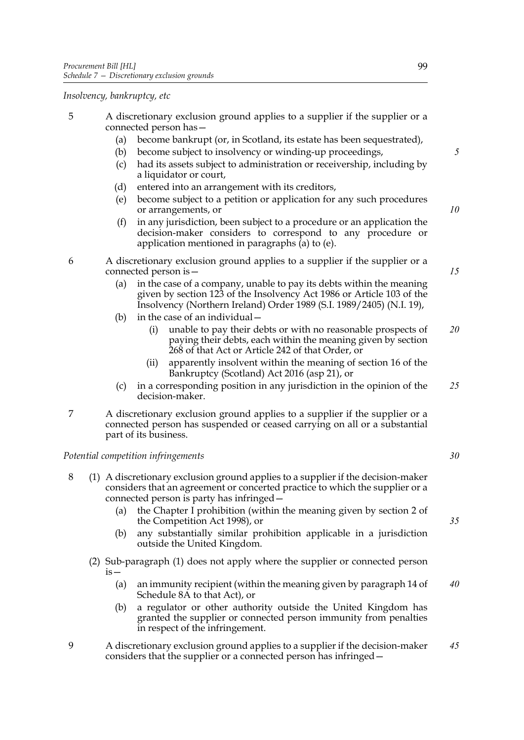*Insolvency, bankruptcy, etc*

- <span id="page-106-0"></span>5 A discretionary exclusion ground applies to a supplier if the supplier or a connected person has—
	- (a) become bankrupt (or, in Scotland, its estate has been sequestrated),
	- (b) become subject to insolvency or winding-up proceedings,
	- (c) had its assets subject to administration or receivership, including by a liquidator or court,
	- (d) entered into an arrangement with its creditors,
	- (e) become subject to a petition or application for any such procedures or arrangements, or
	- (f) in any jurisdiction, been subject to a procedure or an application the decision-maker considers to correspond to any procedure or application mentioned in paragraphs [\(a\)](#page-106-0) to [\(e\).](#page-106-1)

<span id="page-106-1"></span>6 A discretionary exclusion ground applies to a supplier if the supplier or a connected person is—

- (a) in the case of a company, unable to pay its debts within the meaning given by section 123 of the Insolvency Act 1986 or Article 103 of the Insolvency (Northern Ireland) Order 1989 (S.I. 1989/2405) (N.I. 19),
- (b) in the case of an individual—
	- (i) unable to pay their debts or with no reasonable prospects of paying their debts, each within the meaning given by section 268 of that Act or Article 242 of that Order, or *20*
	- (ii) apparently insolvent within the meaning of section 16 of the Bankruptcy (Scotland) Act 2016 (asp 21), or
- (c) in a corresponding position in any jurisdiction in the opinion of the decision-maker. *25*
- 7 A discretionary exclusion ground applies to a supplier if the supplier or a connected person has suspended or ceased carrying on all or a substantial part of its business.

#### *Potential competition infringements*

- <span id="page-106-2"></span>8 (1) A discretionary exclusion ground applies to a supplier if the decision-maker considers that an agreement or concerted practice to which the supplier or a connected person is party has infringed—
	- (a) the Chapter I prohibition (within the meaning given by section 2 of the Competition Act 1998), or
	- (b) any substantially similar prohibition applicable in a jurisdiction outside the United Kingdom.
	- (2) Sub-paragraph [\(1\)](#page-106-2) does not apply where the supplier or connected person is—
		- (a) an immunity recipient (within the meaning given by paragraph 14 of Schedule 8A to that Act), or *40*
		- (b) a regulator or other authority outside the United Kingdom has granted the supplier or connected person immunity from penalties in respect of the infringement.
- 9 A discretionary exclusion ground applies to a supplier if the decision-maker considers that the supplier or a connected person has infringed— *45*

*5*

*10*

*15*

*30*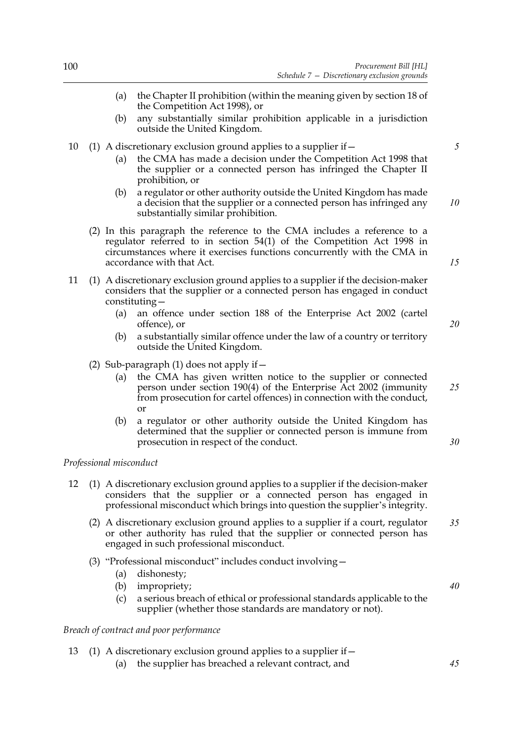- (a) the Chapter II prohibition (within the meaning given by section 18 of the Competition Act 1998), or
- (b) any substantially similar prohibition applicable in a jurisdiction outside the United Kingdom.
- 10 (1) A discretionary exclusion ground applies to a supplier if—
	- (a) the CMA has made a decision under the Competition Act 1998 that the supplier or a connected person has infringed the Chapter II prohibition, or
	- (b) a regulator or other authority outside the United Kingdom has made a decision that the supplier or a connected person has infringed any substantially similar prohibition. *10*
	- (2) In this paragraph the reference to the CMA includes a reference to a regulator referred to in section 54(1) of the Competition Act 1998 in circumstances where it exercises functions concurrently with the CMA in accordance with that Act.
- 11 (1) A discretionary exclusion ground applies to a supplier if the decision-maker considers that the supplier or a connected person has engaged in conduct constituting—
	- (a) an offence under section 188 of the Enterprise Act 2002 (cartel offence), or
	- (b) a substantially similar offence under the law of a country or territory outside the United Kingdom.
	- (2) Sub-paragraph (1) does not apply if  $-$ 
		- (a) the CMA has given written notice to the supplier or connected person under section 190(4) of the Enterprise Act 2002 (immunity from prosecution for cartel offences) in connection with the conduct, or *25*
		- (b) a regulator or other authority outside the United Kingdom has determined that the supplier or connected person is immune from prosecution in respect of the conduct.

#### *Professional misconduct*

- 12 (1) A discretionary exclusion ground applies to a supplier if the decision-maker considers that the supplier or a connected person has engaged in professional misconduct which brings into question the supplier's integrity.
	- (2) A discretionary exclusion ground applies to a supplier if a court, regulator or other authority has ruled that the supplier or connected person has engaged in such professional misconduct. *35*
	- (3) "Professional misconduct" includes conduct involving—
		- (a) dishonesty;
		- (b) impropriety;
		- (c) a serious breach of ethical or professional standards applicable to the supplier (whether those standards are mandatory or not).

## *Breach of contract and poor performance*

- 13 (1) A discretionary exclusion ground applies to a supplier if—
	- (a) the supplier has breached a relevant contract, and

*15*

*20*

*30*

*40*

*45*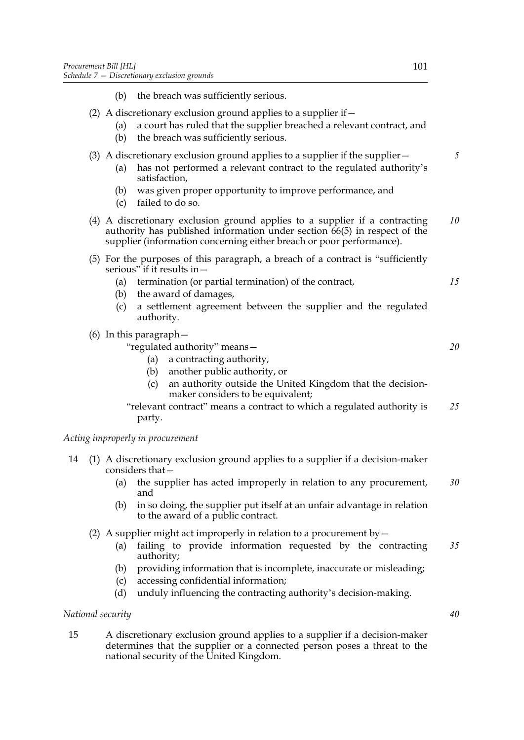- (b) the breach was sufficiently serious. (2) A discretionary exclusion ground applies to a supplier if  $-$ (a) a court has ruled that the supplier breached a relevant contract, and (b) the breach was sufficiently serious. (3) A discretionary exclusion ground applies to a supplier if the supplier— (a) has not performed a relevant contract to the regulated authority's satisfaction, (b) was given proper opportunity to improve performance, and (c) failed to do so. (4) A discretionary exclusion ground applies to a supplier if a contracting authority has published information under section  $66(5)$  $66(5)$  in respect of the supplier (information concerning either breach or poor performance). (5) For the purposes of this paragraph, a breach of a contract is "sufficiently
- serious" if it results in—
	- (a) termination (or partial termination) of the contract,
	- (b) the award of damages,
	- (c) a settlement agreement between the supplier and the regulated authority.
- (6) In this paragraph—

"regulated authority" means—

- (a) a contracting authority,
- (b) another public authority, or
- (c) an authority outside the United Kingdom that the decisionmaker considers to be equivalent;

"relevant contract" means a contract to which a regulated authority is party. *25*

# *Acting improperly in procurement*

- <span id="page-108-0"></span>14 (1) A discretionary exclusion ground applies to a supplier if a decision-maker considers that—
	- (a) the supplier has acted improperly in relation to any procurement, and *30*
	- (b) in so doing, the supplier put itself at an unfair advantage in relation to the award of a public contract.
	- (2) A supplier might act improperly in relation to a procurement by  $-$ 
		- (a) failing to provide information requested by the contracting authority; *35*
		- (b) providing information that is incomplete, inaccurate or misleading;
		- (c) accessing confidential information;
		- (d) unduly influencing the contracting authority's decision-making.

# *National security*

<span id="page-108-1"></span>15 A discretionary exclusion ground applies to a supplier if a decision-maker determines that the supplier or a connected person poses a threat to the national security of the United Kingdom.

*5*

*10*

*15*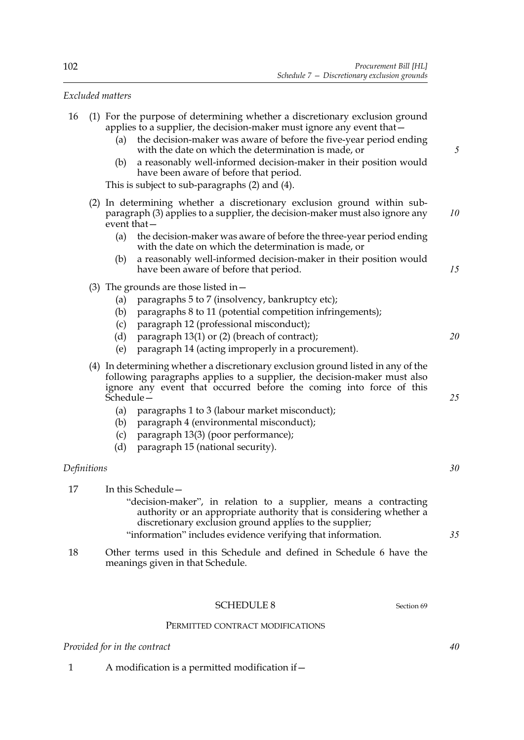# *Excluded matters*

<span id="page-109-1"></span><span id="page-109-0"></span>

| 16          | (1) For the purpose of determining whether a discretionary exclusion ground<br>applies to a supplier, the decision-maker must ignore any event that –<br>the decision-maker was aware of before the five-year period ending<br>(a)<br>with the date on which the determination is made, or<br>a reasonably well-informed decision-maker in their position would<br>(b)<br>have been aware of before that period.<br>This is subject to sub-paragraphs (2) and (4). | 5  |  |
|-------------|--------------------------------------------------------------------------------------------------------------------------------------------------------------------------------------------------------------------------------------------------------------------------------------------------------------------------------------------------------------------------------------------------------------------------------------------------------------------|----|--|
|             | (2) In determining whether a discretionary exclusion ground within sub-<br>paragraph (3) applies to a supplier, the decision-maker must also ignore any<br>event that $-$                                                                                                                                                                                                                                                                                          |    |  |
|             | (a)<br>the decision-maker was aware of before the three-year period ending<br>with the date on which the determination is made, or<br>a reasonably well-informed decision-maker in their position would<br>(b)                                                                                                                                                                                                                                                     |    |  |
|             | have been aware of before that period.                                                                                                                                                                                                                                                                                                                                                                                                                             | 15 |  |
|             | (3) The grounds are those listed in $-$<br>paragraphs 5 to 7 (insolvency, bankruptcy etc);<br>(a)<br>paragraphs 8 to 11 (potential competition infringements);<br>(b)<br>paragraph 12 (professional misconduct);<br>(c)<br>paragraph 13(1) or (2) (breach of contract);<br>(d)<br>paragraph 14 (acting improperly in a procurement).<br>(e)                                                                                                                        | 20 |  |
|             | (4) In determining whether a discretionary exclusion ground listed in any of the<br>following paragraphs applies to a supplier, the decision-maker must also<br>ignore any event that occurred before the coming into force of this<br>Schedule-                                                                                                                                                                                                                   |    |  |
|             | paragraphs 1 to 3 (labour market misconduct);<br>(a)<br>paragraph 4 (environmental misconduct);<br>(b)<br>paragraph 13(3) (poor performance);<br>(c)<br>paragraph 15 (national security).<br>(d)                                                                                                                                                                                                                                                                   |    |  |
| Definitions |                                                                                                                                                                                                                                                                                                                                                                                                                                                                    | 30 |  |
| 17          | In this Schedule-<br>"decision-maker", in relation to a supplier, means a contracting<br>authority or an appropriate authority that is considering whether a<br>discretionary exclusion ground applies to the supplier;<br>"information" includes evidence verifying that information.                                                                                                                                                                             | 35 |  |
| 18          | Other terms used in this Schedule and defined in Schedule 6 have the<br>meanings given in that Schedule.                                                                                                                                                                                                                                                                                                                                                           |    |  |

# PERMITTED CONTRACT MODIFICATIONS

SCHEDULE 8 Section [69](#page-51-0)

# *Provided for in the contract*

1 A modification is a permitted modification if—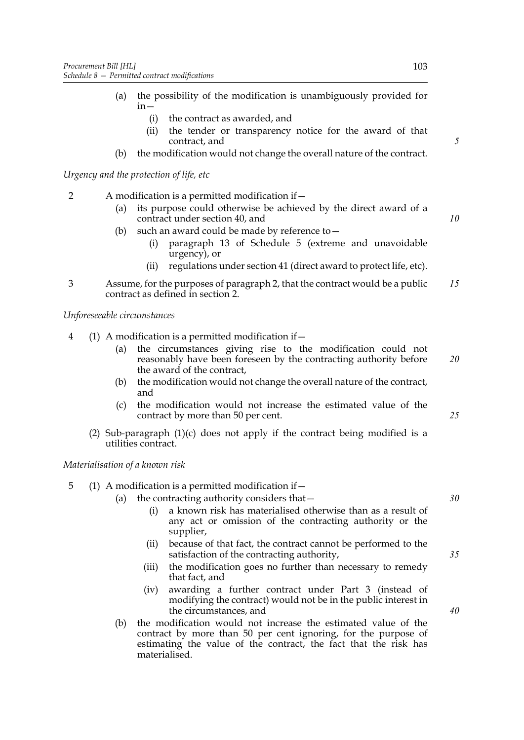- (a) the possibility of the modification is unambiguously provided for in—
	- (i) the contract as awarded, and
	- (ii) the tender or transparency notice for the award of that contract, and
- (b) the modification would not change the overall nature of the contract.

*Urgency and the protection of life, etc*

- <span id="page-110-0"></span>2 A modification is a permitted modification if—
	- (a) its purpose could otherwise be achieved by the direct award of a contract under section [40,](#page-32-0) and
	- (b) such an award could be made by reference to—
		- (i) paragraph [13](#page-96-0) of Schedule [5](#page-94-0) (extreme and unavoidable urgency), or
		- (ii) regulations under section [41](#page-33-0) (direct award to protect life, etc).
- 3 Assume, for the purposes of paragraph [2](#page-110-0), that the contract would be a public contract as defined in section [2](#page-9-0). *15*

*Unforeseeable circumstances*

- 4 (1) A modification is a permitted modification if—
	- (a) the circumstances giving rise to the modification could not reasonably have been foreseen by the contracting authority before the award of the contract, *20*
	- (b) the modification would not change the overall nature of the contract, and
	- (c) the modification would not increase the estimated value of the contract by more than 50 per cent.
	- (2) Sub-paragraph [\(1\)\(c\)](#page-110-1) does not apply if the contract being modified is a utilities contract.

# <span id="page-110-1"></span>*Materialisation of a known risk*

# <span id="page-110-3"></span>5 (1) A modification is a permitted modification if—

- (a) the contracting authority considers that—
	- (i) a known risk has materialised otherwise than as a result of any act or omission of the contracting authority or the supplier,
	- (ii) because of that fact, the contract cannot be performed to the satisfaction of the contracting authority,
	- (iii) the modification goes no further than necessary to remedy that fact, and
	- (iv) awarding a further contract under Part 3 (instead of modifying the contract) would not be in the public interest in the circumstances, and
- <span id="page-110-2"></span>(b) the modification would not increase the estimated value of the contract by more than 50 per cent ignoring, for the purpose of estimating the value of the contract, the fact that the risk has materialised.

*5*

*10*

*30*

*25*

*40*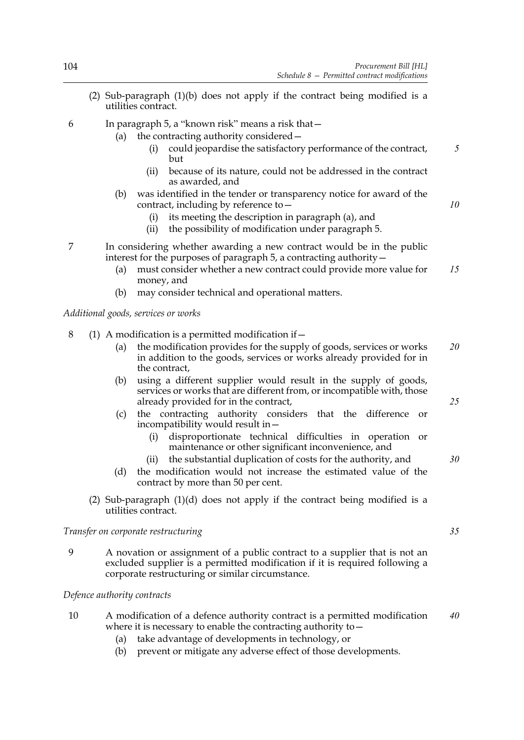(2) Sub-paragraph [\(1\)\(b\)](#page-110-2) does not apply if the contract being modified is a utilities contract.

<span id="page-111-0"></span>6 In paragraph [5,](#page-110-3) a "known risk" means a risk that—

- (a) the contracting authority considered—
	- (i) could jeopardise the satisfactory performance of the contract, but
	- (ii) because of its nature, could not be addressed in the contract as awarded, and
- (b) was identified in the tender or transparency notice for award of the contract, including by reference to—
	- (i) its meeting the description in paragraph [\(a\),](#page-111-0) and
	- (ii) the possibility of modification under paragraph [5.](#page-110-3)
- 7 In considering whether awarding a new contract would be in the public interest for the purposes of paragraph [5,](#page-110-3) a contracting authority—
	- (a) must consider whether a new contract could provide more value for money, and *15*
	- (b) may consider technical and operational matters.

*Additional goods, services or works*

8 (1) A modification is a permitted modification if—

- (a) the modification provides for the supply of goods, services or works in addition to the goods, services or works already provided for in the contract, *20*
- (b) using a different supplier would result in the supply of goods, services or works that are different from, or incompatible with, those already provided for in the contract,
- (c) the contracting authority considers that the difference or incompatibility would result in—
	- (i) disproportionate technical difficulties in operation or maintenance or other significant inconvenience, and
	- (ii) the substantial duplication of costs for the authority, and
- (d) the modification would not increase the estimated value of the contract by more than 50 per cent.
- <span id="page-111-1"></span>(2) Sub-paragraph [\(1\)\(d\)](#page-111-1) does not apply if the contract being modified is a utilities contract.

*Transfer on corporate restructuring*

9 A novation or assignment of a public contract to a supplier that is not an excluded supplier is a permitted modification if it is required following a corporate restructuring or similar circumstance.

*Defence authority contracts*

- 10 A modification of a defence authority contract is a permitted modification where it is necessary to enable the contracting authority to  $-$ *40*
	- (a) take advantage of developments in technology, or
	- (b) prevent or mitigate any adverse effect of those developments.

*35*

*25*

*30*

*5*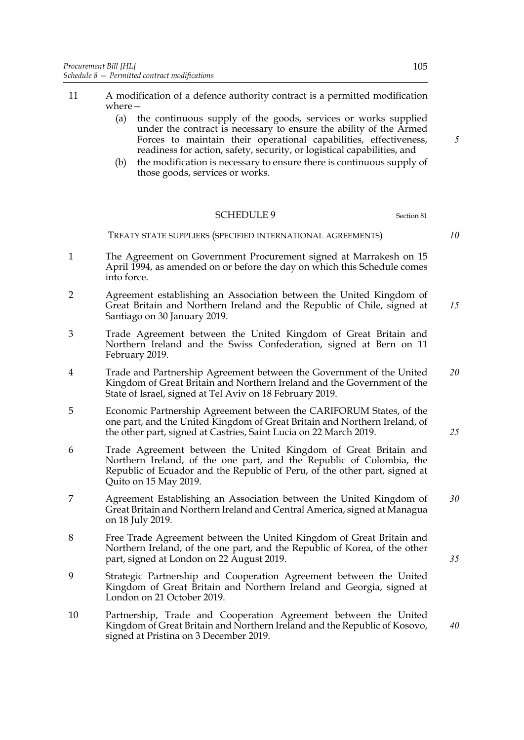- 11 A modification of a defence authority contract is a permitted modification where—
	- (a) the continuous supply of the goods, services or works supplied under the contract is necessary to ensure the ability of the Armed Forces to maintain their operational capabilities, effectiveness, readiness for action, safety, security, or logistical capabilities, and
	- (b) the modification is necessary to ensure there is continuous supply of those goods, services or works.

#### SCHEDULE 9 Section [81](#page-59-0)

#### TREATY STATE SUPPLIERS (SPECIFIED INTERNATIONAL AGREEMENTS)

- 1 The Agreement on Government Procurement signed at Marrakesh on 15 April 1994, as amended on or before the day on which this Schedule comes into force.
- 2 Agreement establishing an Association between the United Kingdom of Great Britain and Northern Ireland and the Republic of Chile, signed at Santiago on 30 January 2019. *15*
- 3 Trade Agreement between the United Kingdom of Great Britain and Northern Ireland and the Swiss Confederation, signed at Bern on 11 February 2019.
- 4 Trade and Partnership Agreement between the Government of the United Kingdom of Great Britain and Northern Ireland and the Government of the State of Israel, signed at Tel Aviv on 18 February 2019.
- 5 Economic Partnership Agreement between the CARIFORUM States, of the one part, and the United Kingdom of Great Britain and Northern Ireland, of the other part, signed at Castries, Saint Lucia on 22 March 2019.
- 6 Trade Agreement between the United Kingdom of Great Britain and Northern Ireland, of the one part, and the Republic of Colombia, the Republic of Ecuador and the Republic of Peru, of the other part, signed at Quito on 15 May 2019.
- 7 Agreement Establishing an Association between the United Kingdom of Great Britain and Northern Ireland and Central America, signed at Managua on 18 July 2019. *30*
- 8 Free Trade Agreement between the United Kingdom of Great Britain and Northern Ireland, of the one part, and the Republic of Korea, of the other part, signed at London on 22 August 2019.
- 9 Strategic Partnership and Cooperation Agreement between the United Kingdom of Great Britain and Northern Ireland and Georgia, signed at London on 21 October 2019.
- 10 Partnership, Trade and Cooperation Agreement between the United Kingdom of Great Britain and Northern Ireland and the Republic of Kosovo, signed at Pristina on 3 December 2019.

*10*

*5*

*20*

*25*

*35*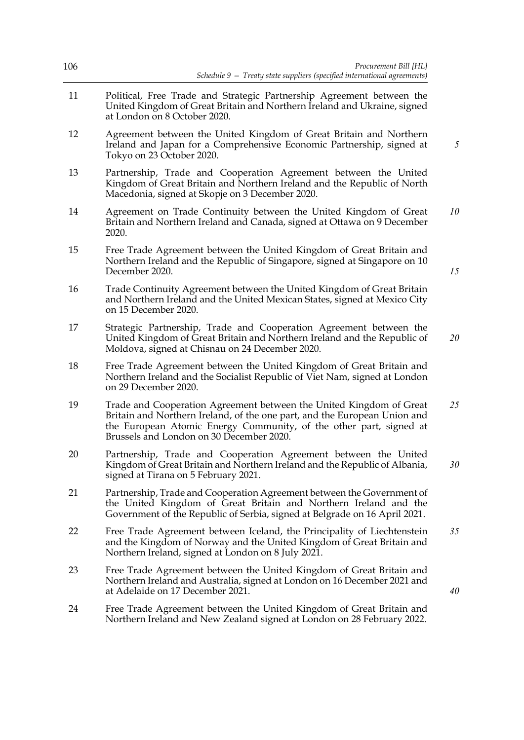| Procurement Bill [HL]<br>Schedule 9 - Treaty state suppliers (specified international agreements)                                                                                                                                                                  | 106 |
|--------------------------------------------------------------------------------------------------------------------------------------------------------------------------------------------------------------------------------------------------------------------|-----|
| Political, Free Trade and Strategic Partnership Agreement between the<br>United Kingdom of Great Britain and Northern Ireland and Ukraine, signed<br>at London on 8 October 2020.                                                                                  | 11  |
| Agreement between the United Kingdom of Great Britain and Northern<br>Ireland and Japan for a Comprehensive Economic Partnership, signed at<br>Tokyo on 23 October 2020.                                                                                           | 12  |
| Partnership, Trade and Cooperation Agreement between the United<br>Kingdom of Great Britain and Northern Ireland and the Republic of North<br>Macedonia, signed at Skopje on 3 December 2020.                                                                      | 13  |
| Agreement on Trade Continuity between the United Kingdom of Great<br>Britain and Northern Ireland and Canada, signed at Ottawa on 9 December<br>2020.                                                                                                              | 14  |
| Free Trade Agreement between the United Kingdom of Great Britain and<br>Northern Ireland and the Republic of Singapore, signed at Singapore on 10<br>December 2020.                                                                                                | 15  |
| Trade Continuity Agreement between the United Kingdom of Great Britain<br>and Northern Ireland and the United Mexican States, signed at Mexico City<br>on 15 December 2020.                                                                                        | 16  |
| Strategic Partnership, Trade and Cooperation Agreement between the<br>United Kingdom of Great Britain and Northern Ireland and the Republic of<br>Moldova, signed at Chisnau on 24 December 2020.                                                                  | 17  |
| Free Trade Agreement between the United Kingdom of Great Britain and<br>Northern Ireland and the Socialist Republic of Viet Nam, signed at London<br>on 29 December 2020.                                                                                          | 18  |
| Trade and Cooperation Agreement between the United Kingdom of Great<br>Britain and Northern Ireland, of the one part, and the European Union and<br>the European Atomic Energy Community, of the other part, signed at<br>Brussels and London on 30 December 2020. | 19  |
| Partnership, Trade and Cooperation Agreement between the United<br>Kingdom of Great Britain and Northern Ireland and the Republic of Albania,<br>signed at Tirana on 5 February 2021.                                                                              | 20  |
| Partnership, Trade and Cooperation Agreement between the Government of<br>the United Kingdom of Great Britain and Northern Ireland and the<br>Government of the Republic of Serbia, signed at Belgrade on 16 April 2021.                                           | 21  |
| Free Trade Agreement between Iceland, the Principality of Liechtenstein<br>and the Kingdom of Norway and the United Kingdom of Great Britain and<br>Northern Ireland, signed at London on 8 July 2021.                                                             | 22  |
| Free Trade Agreement between the United Kingdom of Great Britain and<br>Northern Ireland and Australia, signed at London on 16 December 2021 and<br>at Adelaide on 17 December 2021.                                                                               | 23  |
| Free Trade Agreement between the United Kingdom of Great Britain and<br>Northern Ireland and New Zealand signed at London on 28 February 2022.                                                                                                                     | 24  |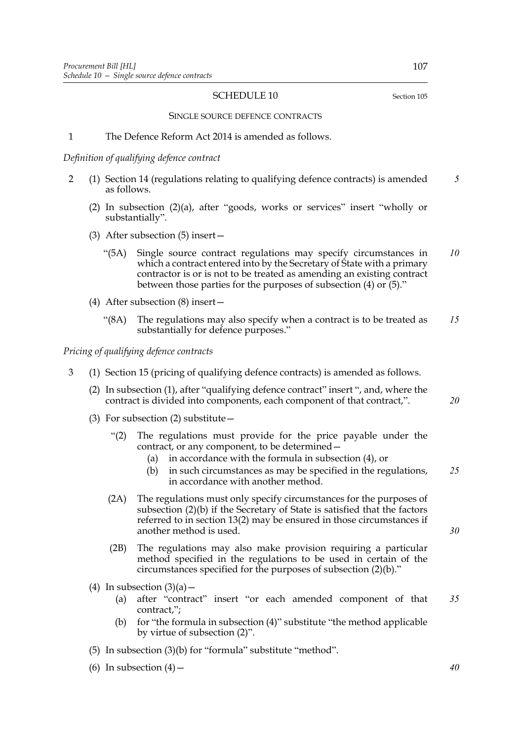# SCHEDULE 10 Section [105](#page-73-0)

SINGLE SOURCE DEFENCE CONTRACTS

#### 1 The Defence Reform Act 2014 is amended as follows.

*Definition of qualifying defence contract*

- 2 (1) Section 14 (regulations relating to qualifying defence contracts) is amended as follows. *5*
	- (2) In subsection (2)(a), after "goods, works or services" insert "wholly or substantially".
	- (3) After subsection (5) insert—
		- "(5A) Single source contract regulations may specify circumstances in which a contract entered into by the Secretary of State with a primary contractor is or is not to be treated as amending an existing contract between those parties for the purposes of subsection (4) or (5)." *10*
	- (4) After subsection (8) insert—
		- "(8A) The regulations may also specify when a contract is to be treated as substantially for defence purposes." *15*

*Pricing of qualifying defence contracts*

- 3 (1) Section 15 (pricing of qualifying defence contracts) is amended as follows.
	- (2) In subsection (1), after "qualifying defence contract" insert ", and, where the contract is divided into components, each component of that contract,".
	- (3) For subsection (2) substitute—
		- "(2) The regulations must provide for the price payable under the contract, or any component, to be determined—
			- (a) in accordance with the formula in subsection (4), or
			- (b) in such circumstances as may be specified in the regulations, in accordance with another method. *25*
		- (2A) The regulations must only specify circumstances for the purposes of subsection (2)(b) if the Secretary of State is satisfied that the factors referred to in section 13(2) may be ensured in those circumstances if another method is used.
		- (2B) The regulations may also make provision requiring a particular method specified in the regulations to be used in certain of the circumstances specified for the purposes of subsection (2)(b)."
	- (4) In subsection  $(3)(a)$ 
		- (a) after "contract" insert "or each amended component of that contract,"; *35*
		- (b) for "the formula in subsection (4)" substitute "the method applicable by virtue of subsection (2)".
	- (5) In subsection (3)(b) for "formula" substitute "method".
	- (6) In subsection  $(4)$  –

*40*

*30*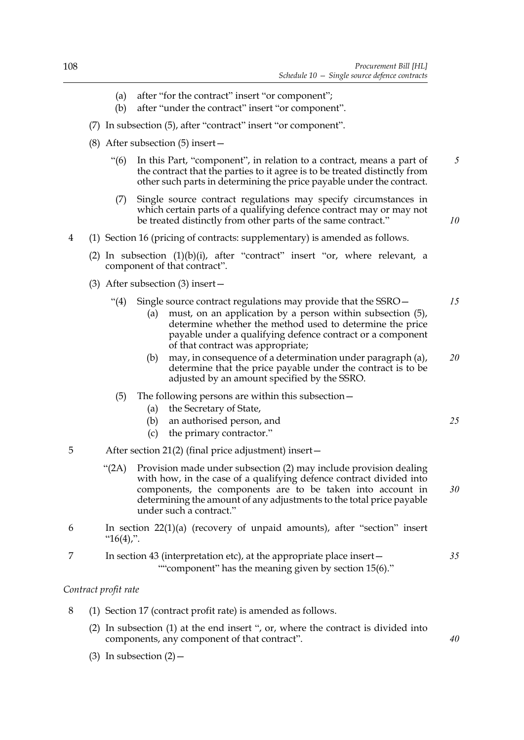- (a) after "for the contract" insert "or component";
- (b) after "under the contract" insert "or component".
- (7) In subsection (5), after "contract" insert "or component".
- (8) After subsection (5) insert—
	- "(6) In this Part, "component", in relation to a contract, means a part of the contract that the parties to it agree is to be treated distinctly from other such parts in determining the price payable under the contract. *5*
	- (7) Single source contract regulations may specify circumstances in which certain parts of a qualifying defence contract may or may not be treated distinctly from other parts of the same contract."
- <span id="page-115-0"></span>4 (1) Section 16 (pricing of contracts: supplementary) is amended as follows.
	- (2) In subsection (1)(b)(i), after "contract" insert "or, where relevant, a component of that contract".
	- (3) After subsection (3) insert—
		- "(4) Single source contract regulations may provide that the SSRO— *15*
			- (a) must, on an application by a person within subsection (5), determine whether the method used to determine the price payable under a qualifying defence contract or a component of that contract was appropriate;
			- (b) may, in consequence of a determination under paragraph [\(a\)](#page-115-0), determine that the price payable under the contract is to be adjusted by an amount specified by the SSRO. *20*
		- (5) The following persons are within this subsection—
			- (a) the Secretary of State,
			- (b) an authorised person, and
			- (c) the primary contractor."
- 5 After section 21(2) (final price adjustment) insert—
	- "(2A) Provision made under subsection (2) may include provision dealing with how, in the case of a qualifying defence contract divided into components, the components are to be taken into account in determining the amount of any adjustments to the total price payable under such a contract." *30*
- 6 In section 22(1)(a) (recovery of unpaid amounts), after "section" insert " $16(4)$ ,".
- 7 In section 43 (interpretation etc), at the appropriate place insert— ""component" has the meaning given by section 15(6)."

#### *Contract profit rate*

- 8 (1) Section 17 (contract profit rate) is amended as follows.
	- (2) In subsection (1) at the end insert ", or, where the contract is divided into components, any component of that contract".
	- (3) In subsection  $(2)$  –

*10*

*25*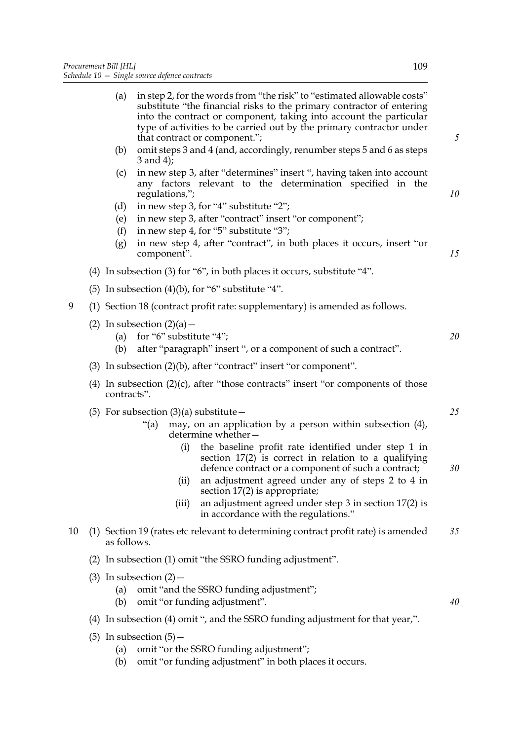|    | (a)                                                                                                                                 |                             | in step 2, for the words from "the risk" to "estimated allowable costs"<br>substitute "the financial risks to the primary contractor of entering<br>into the contract or component, taking into account the particular<br>type of activities to be carried out by the primary contractor under<br>that contract or component."; | 5  |  |  |  |  |
|----|-------------------------------------------------------------------------------------------------------------------------------------|-----------------------------|---------------------------------------------------------------------------------------------------------------------------------------------------------------------------------------------------------------------------------------------------------------------------------------------------------------------------------|----|--|--|--|--|
|    | (b)                                                                                                                                 | $3$ and $4$ );              | omit steps 3 and 4 (and, accordingly, renumber steps 5 and 6 as steps                                                                                                                                                                                                                                                           |    |  |  |  |  |
|    | (c)                                                                                                                                 | regulations,";              | in new step 3, after "determines" insert ", having taken into account<br>any factors relevant to the determination specified in the                                                                                                                                                                                             | 10 |  |  |  |  |
|    | (d)<br>(e)<br>(f)<br>(g)                                                                                                            | component".                 | in new step 3, for "4" substitute "2";<br>in new step 3, after "contract" insert "or component";<br>in new step 4, for "5" substitute "3";<br>in new step 4, after "contract", in both places it occurs, insert "or                                                                                                             | 15 |  |  |  |  |
|    |                                                                                                                                     |                             | (4) In subsection (3) for "6", in both places it occurs, substitute "4".                                                                                                                                                                                                                                                        |    |  |  |  |  |
|    |                                                                                                                                     |                             |                                                                                                                                                                                                                                                                                                                                 |    |  |  |  |  |
| 9  | (5) In subsection $(4)(b)$ , for "6" substitute "4".                                                                                |                             |                                                                                                                                                                                                                                                                                                                                 |    |  |  |  |  |
|    | (1) Section 18 (contract profit rate: supplementary) is amended as follows.<br>(2) In subsection $(2)(a)$ –                         |                             |                                                                                                                                                                                                                                                                                                                                 |    |  |  |  |  |
|    | (a)<br>(b)                                                                                                                          | for "6" substitute "4";     | after "paragraph" insert ", or a component of such a contract".                                                                                                                                                                                                                                                                 | 20 |  |  |  |  |
|    | (3) In subsection $(2)(b)$ , after "contract" insert "or component".                                                                |                             |                                                                                                                                                                                                                                                                                                                                 |    |  |  |  |  |
|    | (4) In subsection $(2)(c)$ , after "those contracts" insert "or components of those<br>contracts".                                  |                             |                                                                                                                                                                                                                                                                                                                                 |    |  |  |  |  |
|    | (5) For subsection $(3)(a)$ substitute –<br>may, on an application by a person within subsection (4),<br>"(a)<br>determine whether- |                             |                                                                                                                                                                                                                                                                                                                                 |    |  |  |  |  |
|    |                                                                                                                                     | (i)<br>(ii)                 | the baseline profit rate identified under step 1 in<br>section $17(2)$ is correct in relation to a qualifying<br>defence contract or a component of such a contract;<br>an adjustment agreed under any of steps 2 to 4 in                                                                                                       | 30 |  |  |  |  |
|    |                                                                                                                                     |                             | section $17(2)$ is appropriate;                                                                                                                                                                                                                                                                                                 |    |  |  |  |  |
|    |                                                                                                                                     | (iii)                       | an adjustment agreed under step $3$ in section $17(2)$ is<br>in accordance with the regulations."                                                                                                                                                                                                                               |    |  |  |  |  |
| 10 | (1) Section 19 (rates etc relevant to determining contract profit rate) is amended<br>35<br>as follows.                             |                             |                                                                                                                                                                                                                                                                                                                                 |    |  |  |  |  |
|    | (2) In subsection (1) omit "the SSRO funding adjustment".                                                                           |                             |                                                                                                                                                                                                                                                                                                                                 |    |  |  |  |  |
|    | (a)<br>(b)                                                                                                                          | $(3)$ In subsection $(2)$ – | omit "and the SSRO funding adjustment";<br>omit "or funding adjustment".                                                                                                                                                                                                                                                        | 40 |  |  |  |  |
|    | (4) In subsection (4) omit ", and the SSRO funding adjustment for that year,".                                                      |                             |                                                                                                                                                                                                                                                                                                                                 |    |  |  |  |  |
|    |                                                                                                                                     |                             |                                                                                                                                                                                                                                                                                                                                 |    |  |  |  |  |

- (5) In subsection  $(5)$ 
	- (a) omit "or the SSRO funding adjustment";
	- (b) omit "or funding adjustment" in both places it occurs.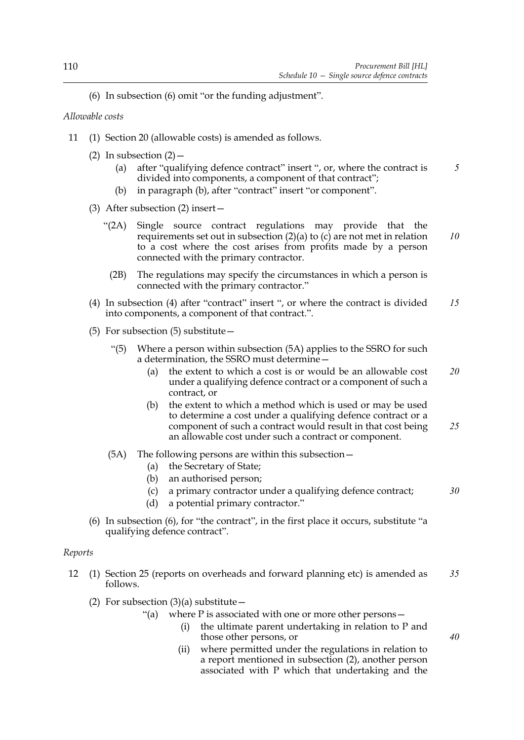(6) In subsection (6) omit "or the funding adjustment".

*Allowable costs*

- 11 (1) Section 20 (allowable costs) is amended as follows.
	- (2) In subsection  $(2)$ 
		- (a) after "qualifying defence contract" insert ", or, where the contract is divided into components, a component of that contract"; *5*
		- (b) in paragraph (b), after "contract" insert "or component".
	- (3) After subsection (2) insert—
		- "(2A) Single source contract regulations may provide that the requirements set out in subsection  $(2)(a)$  to  $(c)$  are not met in relation to a cost where the cost arises from profits made by a person connected with the primary contractor. *10*
			- (2B) The regulations may specify the circumstances in which a person is connected with the primary contractor."
	- (4) In subsection (4) after "contract" insert ", or where the contract is divided into components, a component of that contract.". *15*
	- (5) For subsection (5) substitute—
		- "(5) Where a person within subsection (5A) applies to the SSRO for such a determination, the SSRO must determine—
			- (a) the extent to which a cost is or would be an allowable cost under a qualifying defence contract or a component of such a contract, or *20*
			- (b) the extent to which a method which is used or may be used to determine a cost under a qualifying defence contract or a component of such a contract would result in that cost being an allowable cost under such a contract or component. *25*
		- (5A) The following persons are within this subsection—
			- (a) the Secretary of State;
			- (b) an authorised person;
			- (c) a primary contractor under a qualifying defence contract;

*30*

*40*

- (d) a potential primary contractor."
- (6) In subsection (6), for "the contract", in the first place it occurs, substitute "a qualifying defence contract".

# *Reports*

- 12 (1) Section 25 (reports on overheads and forward planning etc) is amended as follows. *35*
	- (2) For subsection  $(3)(a)$  substitute  $-$ 
		- "(a) where  $P$  is associated with one or more other persons  $-$ 
			- (i) the ultimate parent undertaking in relation to P and those other persons, or
			- (ii) where permitted under the regulations in relation to a report mentioned in subsection (2), another person associated with P which that undertaking and the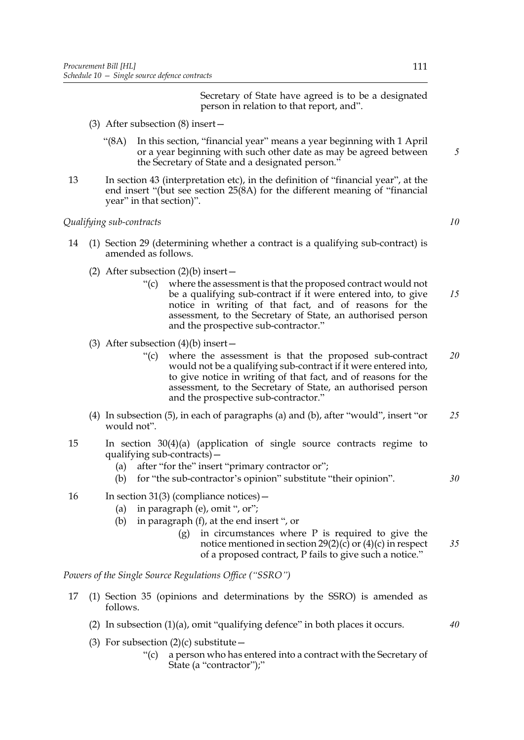Secretary of State have agreed is to be a designated person in relation to that report, and".

- (3) After subsection (8) insert—
	- "(8A) In this section, "financial year" means a year beginning with 1 April or a year beginning with such other date as may be agreed between the Secretary of State and a designated person."
- 13 In section 43 (interpretation etc), in the definition of "financial year", at the end insert "(but see section 25(8A) for the different meaning of "financial year" in that section)".

*Qualifying sub-contracts*

- 14 (1) Section 29 (determining whether a contract is a qualifying sub-contract) is amended as follows.
	- (2) After subsection  $(2)(b)$  insert
		- "(c) where the assessment is that the proposed contract would not be a qualifying sub-contract if it were entered into, to give notice in writing of that fact, and of reasons for the assessment, to the Secretary of State, an authorised person and the prospective sub-contractor." *15*
	- (3) After subsection  $(4)(b)$  insert
		- "(c) where the assessment is that the proposed sub-contract would not be a qualifying sub-contract if it were entered into, to give notice in writing of that fact, and of reasons for the assessment, to the Secretary of State, an authorised person and the prospective sub-contractor." *20*
	- (4) In subsection (5), in each of paragraphs (a) and (b), after "would", insert "or would not". *25*
- 15 In section 30(4)(a) (application of single source contracts regime to qualifying sub-contracts)—
	- (a) after "for the" insert "primary contractor or";
	- (b) for "the sub-contractor's opinion" substitute "their opinion".
- 16 In section 31(3) (compliance notices)—
	- (a) in paragraph (e), omit ", or";
	- (b) in paragraph (f), at the end insert ", or
		- (g) in circumstances where P is required to give the notice mentioned in section  $29(2)(c)$  or  $(4)(c)$  in respect of a proposed contract, P fails to give such a notice." *35*

*Powers of the Single Source Regulations Office ("SSRO")*

- 17 (1) Section 35 (opinions and determinations by the SSRO) is amended as follows.
	- (2) In subsection (1)(a), omit "qualifying defence" in both places it occurs.
	- (3) For subsection  $(2)(c)$  substitute
		- "(c) a person who has entered into a contract with the Secretary of State (a "contractor");"

*30*

*40*

*10*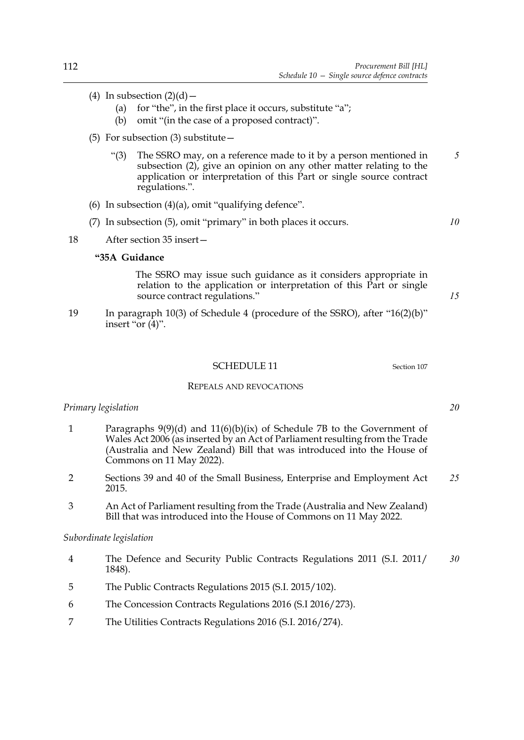- (4) In subsection  $(2)(d)$  -
	- (a) for "the", in the first place it occurs, substitute "a";
	- (b) omit "(in the case of a proposed contract)".
- (5) For subsection (3) substitute—
	- "(3) The SSRO may, on a reference made to it by a person mentioned in subsection (2), give an opinion on any other matter relating to the application or interpretation of this Part or single source contract regulations.". *5*
- (6) In subsection  $(4)(a)$ , omit "qualifying defence".
- (7) In subsection (5), omit "primary" in both places it occurs.
- 18 After section 35 insert—

### **"35A Guidance**

 The SSRO may issue such guidance as it considers appropriate in relation to the application or interpretation of this Part or single source contract regulations."

19 In paragraph 10(3) of Schedule 4 (procedure of the SSRO), after "16(2)(b)" insert "or  $(4)$ ".

#### SCHEDULE 11 Section [107](#page-74-0)

#### REPEALS AND REVOCATIONS

#### *Primary legislation*

- 1 Paragraphs 9(9)(d) and 11(6)(b)(ix) of Schedule 7B to the Government of Wales Act 2006 (as inserted by an Act of Parliament resulting from the Trade (Australia and New Zealand) Bill that was introduced into the House of Commons on 11 May 2022).
- 2 Sections 39 and 40 of the Small Business, Enterprise and Employment Act 2015. *25*
- 3 An Act of Parliament resulting from the Trade (Australia and New Zealand) Bill that was introduced into the House of Commons on 11 May 2022.

## *Subordinate legislation*

- 4 The Defence and Security Public Contracts Regulations 2011 (S.I. 2011/ 1848). *30*
- 5 The Public Contracts Regulations 2015 (S.I. 2015/102).
- 6 The Concession Contracts Regulations 2016 (S.I 2016/273).
- 7 The Utilities Contracts Regulations 2016 (S.I. 2016/274).

*20*

*10*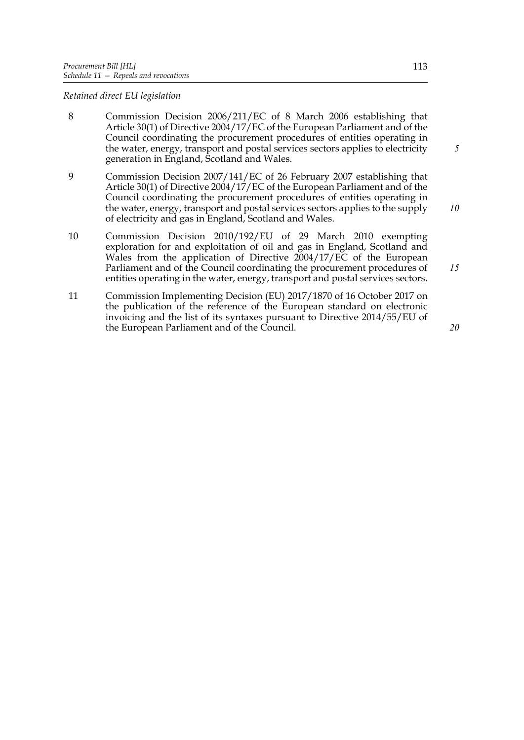### *Retained direct EU legislation*

- 8 Commission Decision 2006/211/EC of 8 March 2006 establishing that Article 30(1) of Directive 2004/17/EC of the European Parliament and of the Council coordinating the procurement procedures of entities operating in the water, energy, transport and postal services sectors applies to electricity generation in England, Scotland and Wales.
- 9 Commission Decision 2007/141/EC of 26 February 2007 establishing that Article 30(1) of Directive 2004/17/EC of the European Parliament and of the Council coordinating the procurement procedures of entities operating in the water, energy, transport and postal services sectors applies to the supply of electricity and gas in England, Scotland and Wales.
- 10 Commission Decision 2010/192/EU of 29 March 2010 exempting exploration for and exploitation of oil and gas in England, Scotland and Wales from the application of Directive 2004/17/EC of the European Parliament and of the Council coordinating the procurement procedures of entities operating in the water, energy, transport and postal services sectors. *15*
- 11 Commission Implementing Decision (EU) 2017/1870 of 16 October 2017 on the publication of the reference of the European standard on electronic invoicing and the list of its syntaxes pursuant to Directive 2014/55/EU of the European Parliament and of the Council.

*20*

*5*